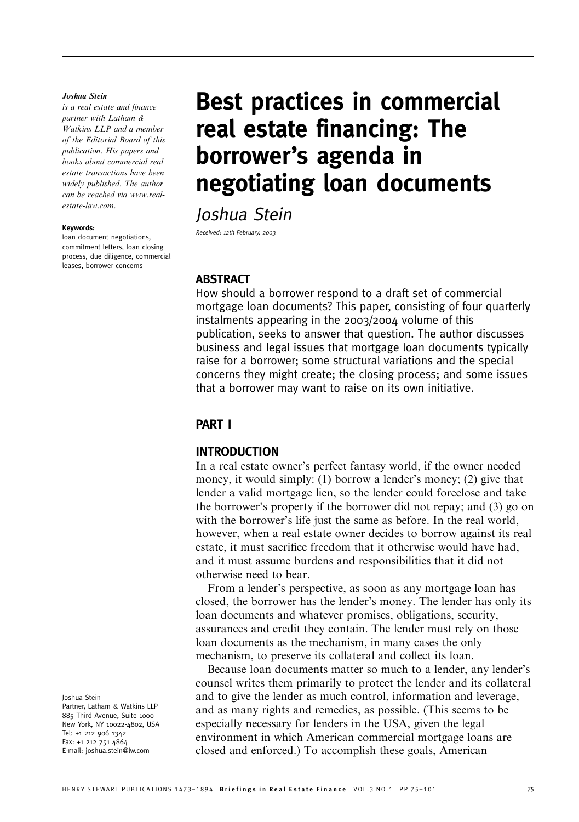#### Joshua Stein

is a real estate and finance partner with Latham & Watkins LLP and a member of the Editorial Board of this publication. His papers and books about commercial real estate transactions have been widely published. The author can be reached via www.realestate-law.com.

#### Keywords:

loan document negotiations, commitment letters, loan closing process, due diligence, commercial leases, borrower concerns

# Best practices in commercial real estate financing: The borrower's agenda in negotiating loan documents

Joshua Stein

Received: 12th February, 2003

# ABSTRACT

How should a borrower respond to a draft set of commercial mortgage loan documents? This paper, consisting of four quarterly instalments appearing in the 2003/2004 volume of this publication, seeks to answer that question. The author discusses business and legal issues that mortgage loan documents typically raise for a borrower; some structural variations and the special concerns they might create; the closing process; and some issues that a borrower may want to raise on its own initiative.

# PART I

# INTRODUCTION

In a real estate owner's perfect fantasy world, if the owner needed money, it would simply: (1) borrow a lender's money; (2) give that lender a valid mortgage lien, so the lender could foreclose and take the borrower's property if the borrower did not repay; and (3) go on with the borrower's life just the same as before. In the real world, however, when a real estate owner decides to borrow against its real estate, it must sacrifice freedom that it otherwise would have had, and it must assume burdens and responsibilities that it did not otherwise need to bear.

From a lender's perspective, as soon as any mortgage loan has closed, the borrower has the lender's money. The lender has only its loan documents and whatever promises, obligations, security, assurances and credit they contain. The lender must rely on those loan documents as the mechanism, in many cases the only mechanism, to preserve its collateral and collect its loan.

Because loan documents matter so much to a lender, any lender's counsel writes them primarily to protect the lender and its collateral and to give the lender as much control, information and leverage, and as many rights and remedies, as possible. (This seems to be especially necessary for lenders in the USA, given the legal environment in which American commercial mortgage loans are closed and enforced.) To accomplish these goals, American

Joshua Stein Partner, Latham & Watkins LLP 885 Third Avenue, Suite 1000 New York, NY 10022-4802, USA Tel: +1 212 906 1342 Fax: +1 212 751 4864 E-mail: joshua.stein@lw.com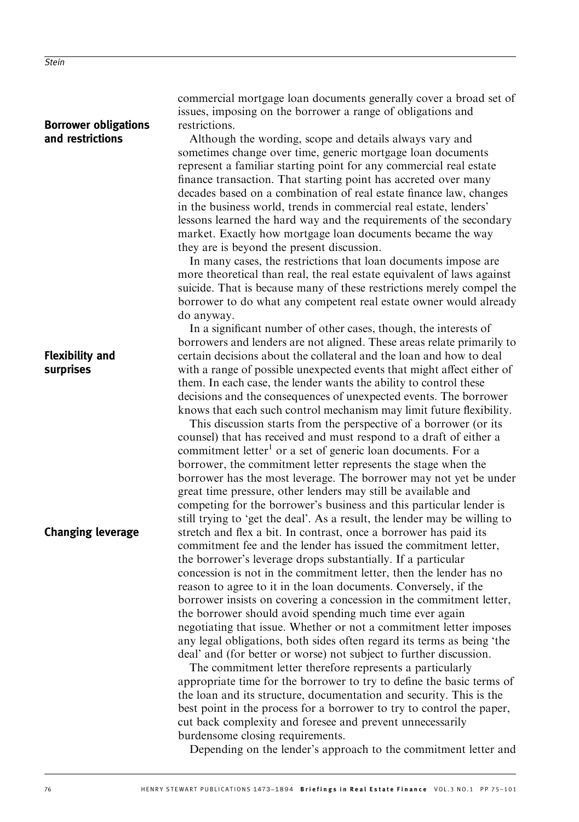# Borrower obligations and restrictions

commercial mortgage loan documents generally cover a broad set of issues, imposing on the borrower a range of obligations and restrictions.

Although the wording, scope and details always vary and sometimes change over time, generic mortgage loan documents represent a familiar starting point for any commercial real estate finance transaction. That starting point has accreted over many decades based on a combination of real estate finance law, changes in the business world, trends in commercial real estate, lenders' lessons learned the hard way and the requirements of the secondary market. Exactly how mortgage loan documents became the way they are is beyond the present discussion.

In many cases, the restrictions that loan documents impose are more theoretical than real, the real estate equivalent of laws against suicide. That is because many of these restrictions merely compel the borrower to do what any competent real estate owner would already do anyway.

In a significant number of other cases, though, the interests of borrowers and lenders are not aligned. These areas relate primarily to certain decisions about the collateral and the loan and how to deal with a range of possible unexpected events that might affect either of them. In each case, the lender wants the ability to control these decisions and the consequences of unexpected events. The borrower knows that each such control mechanism may limit future flexibility.

This discussion starts from the perspective of a borrower (or its counsel) that has received and must respond to a draft of either a commitment letter<sup>1</sup> or a set of generic loan documents. For a borrower, the commitment letter represents the stage when the borrower has the most leverage. The borrower may not yet be under great time pressure, other lenders may still be available and competing for the borrower's business and this particular lender is still trying to 'get the deal'. As a result, the lender may be willing to stretch and flex a bit. In contrast, once a borrower has paid its commitment fee and the lender has issued the commitment letter, the borrower's leverage drops substantially. If a particular concession is not in the commitment letter, then the lender has no reason to agree to it in the loan documents. Conversely, if the borrower insists on covering a concession in the commitment letter, the borrower should avoid spending much time ever again negotiating that issue. Whether or not a commitment letter imposes any legal obligations, both sides often regard its terms as being 'the deal' and (for better or worse) not subject to further discussion.

The commitment letter therefore represents a particularly appropriate time for the borrower to try to define the basic terms of the loan and its structure, documentation and security. This is the best point in the process for a borrower to try to control the paper, cut back complexity and foresee and prevent unnecessarily burdensome closing requirements.

Depending on the lender's approach to the commitment letter and

# Flexibility and surprises

Changing leverage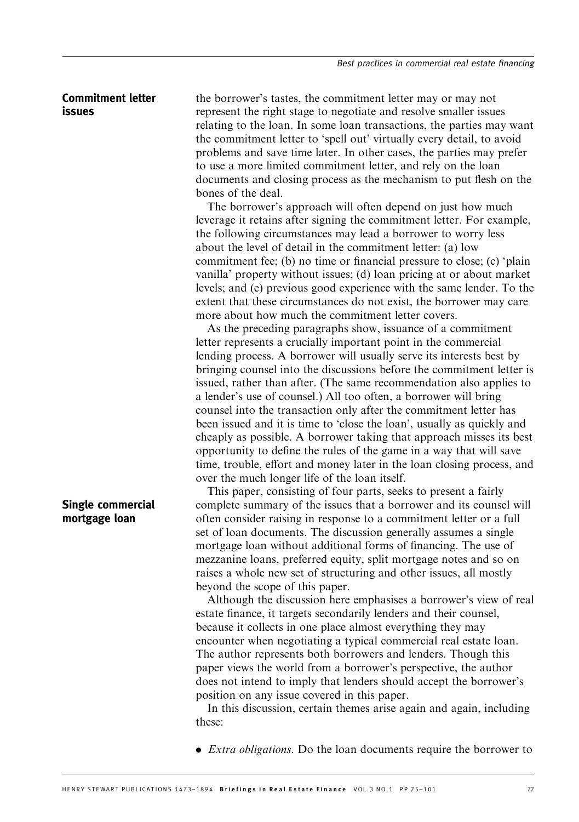# Commitment letter issues

the borrower's tastes, the commitment letter may or may not represent the right stage to negotiate and resolve smaller issues relating to the loan. In some loan transactions, the parties may want the commitment letter to 'spell out' virtually every detail, to avoid problems and save time later. In other cases, the parties may prefer to use a more limited commitment letter, and rely on the loan documents and closing process as the mechanism to put flesh on the bones of the deal.

The borrower's approach will often depend on just how much leverage it retains after signing the commitment letter. For example, the following circumstances may lead a borrower to worry less about the level of detail in the commitment letter: (a) low commitment fee; (b) no time or financial pressure to close; (c) 'plain vanilla' property without issues; (d) loan pricing at or about market levels; and (e) previous good experience with the same lender. To the extent that these circumstances do not exist, the borrower may care more about how much the commitment letter covers.

As the preceding paragraphs show, issuance of a commitment letter represents a crucially important point in the commercial lending process. A borrower will usually serve its interests best by bringing counsel into the discussions before the commitment letter is issued, rather than after. (The same recommendation also applies to a lender's use of counsel.) All too often, a borrower will bring counsel into the transaction only after the commitment letter has been issued and it is time to 'close the loan', usually as quickly and cheaply as possible. A borrower taking that approach misses its best opportunity to define the rules of the game in a way that will save time, trouble, effort and money later in the loan closing process, and over the much longer life of the loan itself.

This paper, consisting of four parts, seeks to present a fairly complete summary of the issues that a borrower and its counsel will often consider raising in response to a commitment letter or a full set of loan documents. The discussion generally assumes a single mortgage loan without additional forms of financing. The use of mezzanine loans, preferred equity, split mortgage notes and so on raises a whole new set of structuring and other issues, all mostly beyond the scope of this paper.

Although the discussion here emphasises a borrower's view of real estate finance, it targets secondarily lenders and their counsel, because it collects in one place almost everything they may encounter when negotiating a typical commercial real estate loan. The author represents both borrowers and lenders. Though this paper views the world from a borrower's perspective, the author does not intend to imply that lenders should accept the borrower's position on any issue covered in this paper.

In this discussion, certain themes arise again and again, including these:

• *Extra obligations*. Do the loan documents require the borrower to

# Single commercial mortgage loan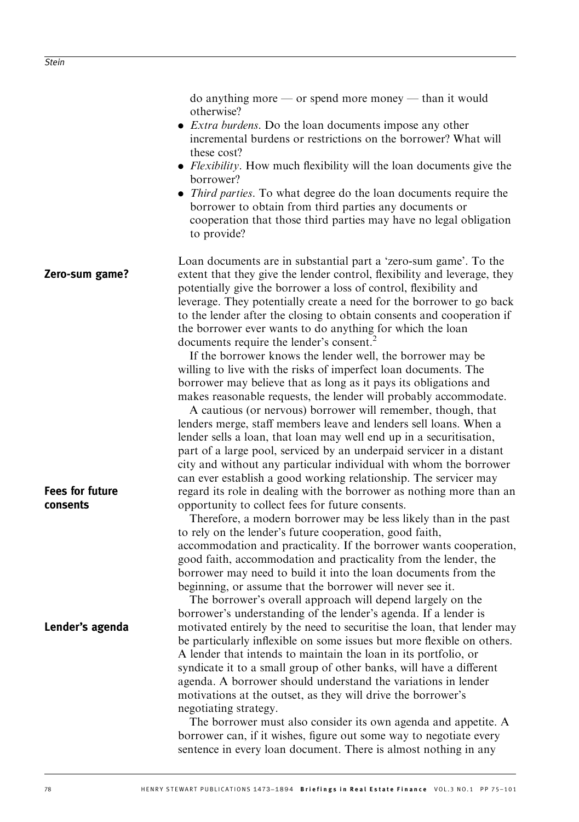do anything more — or spend more money — than it would otherwise?

- *Extra burdens*. Do the loan documents impose any other incremental burdens or restrictions on the borrower? What will these cost?
- Flexibility. How much flexibility will the loan documents give the borrower?
- *Third parties*. To what degree do the loan documents require the borrower to obtain from third parties any documents or cooperation that those third parties may have no legal obligation to provide?

Loan documents are in substantial part a 'zero-sum game'. To the extent that they give the lender control, flexibility and leverage, they potentially give the borrower a loss of control, flexibility and leverage. They potentially create a need for the borrower to go back to the lender after the closing to obtain consents and cooperation if the borrower ever wants to do anything for which the loan documents require the lender's consent.<sup>2</sup> Zero-sum game?

If the borrower knows the lender well, the borrower may be willing to live with the risks of imperfect loan documents. The borrower may believe that as long as it pays its obligations and makes reasonable requests, the lender will probably accommodate.

A cautious (or nervous) borrower will remember, though, that lenders merge, staff members leave and lenders sell loans. When a lender sells a loan, that loan may well end up in a securitisation, part of a large pool, serviced by an underpaid servicer in a distant city and without any particular individual with whom the borrower can ever establish a good working relationship. The servicer may regard its role in dealing with the borrower as nothing more than an opportunity to collect fees for future consents.

Therefore, a modern borrower may be less likely than in the past to rely on the lender's future cooperation, good faith, accommodation and practicality. If the borrower wants cooperation, good faith, accommodation and practicality from the lender, the borrower may need to build it into the loan documents from the beginning, or assume that the borrower will never see it.

The borrower's overall approach will depend largely on the borrower's understanding of the lender's agenda. If a lender is motivated entirely by the need to securitise the loan, that lender may be particularly inflexible on some issues but more flexible on others. A lender that intends to maintain the loan in its portfolio, or syndicate it to a small group of other banks, will have a different agenda. A borrower should understand the variations in lender motivations at the outset, as they will drive the borrower's negotiating strategy.

The borrower must also consider its own agenda and appetite. A borrower can, if it wishes, figure out some way to negotiate every sentence in every loan document. There is almost nothing in any

# Fees for future consents

#### Lender's agenda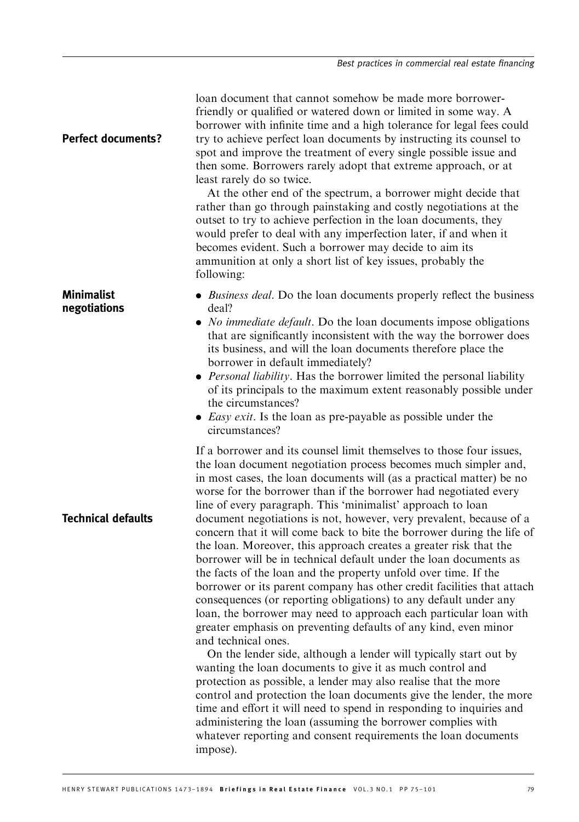| <b>Perfect documents?</b>         | loan document that cannot somehow be made more borrower-<br>friendly or qualified or watered down or limited in some way. A<br>borrower with infinite time and a high tolerance for legal fees could<br>try to achieve perfect loan documents by instructing its counsel to<br>spot and improve the treatment of every single possible issue and<br>then some. Borrowers rarely adopt that extreme approach, or at<br>least rarely do so twice.<br>At the other end of the spectrum, a borrower might decide that<br>rather than go through painstaking and costly negotiations at the<br>outset to try to achieve perfection in the loan documents, they<br>would prefer to deal with any imperfection later, if and when it<br>becomes evident. Such a borrower may decide to aim its<br>ammunition at only a short list of key issues, probably the<br>following:                                                                                                                                                                                                                                                                                                                                                                                                                                                                                                                                                                                                                                                           |
|-----------------------------------|--------------------------------------------------------------------------------------------------------------------------------------------------------------------------------------------------------------------------------------------------------------------------------------------------------------------------------------------------------------------------------------------------------------------------------------------------------------------------------------------------------------------------------------------------------------------------------------------------------------------------------------------------------------------------------------------------------------------------------------------------------------------------------------------------------------------------------------------------------------------------------------------------------------------------------------------------------------------------------------------------------------------------------------------------------------------------------------------------------------------------------------------------------------------------------------------------------------------------------------------------------------------------------------------------------------------------------------------------------------------------------------------------------------------------------------------------------------------------------------------------------------------------------|
| <b>Minimalist</b><br>negotiations | • <i>Business deal</i> . Do the loan documents properly reflect the business<br>deal?<br>• No immediate default. Do the loan documents impose obligations<br>that are significantly inconsistent with the way the borrower does<br>its business, and will the loan documents therefore place the<br>borrower in default immediately?<br>• Personal liability. Has the borrower limited the personal liability<br>of its principals to the maximum extent reasonably possible under<br>the circumstances?<br>• <i>Easy exit</i> . Is the loan as pre-payable as possible under the<br>circumstances?                                                                                                                                                                                                                                                                                                                                                                                                                                                                                                                                                                                                                                                                                                                                                                                                                                                                                                                            |
| <b>Technical defaults</b>         | If a borrower and its counsel limit themselves to those four issues,<br>the loan document negotiation process becomes much simpler and,<br>in most cases, the loan documents will (as a practical matter) be no<br>worse for the borrower than if the borrower had negotiated every<br>line of every paragraph. This 'minimalist' approach to loan<br>document negotiations is not, however, very prevalent, because of a<br>concern that it will come back to bite the borrower during the life of<br>the loan. Moreover, this approach creates a greater risk that the<br>borrower will be in technical default under the loan documents as<br>the facts of the loan and the property unfold over time. If the<br>borrower or its parent company has other credit facilities that attach<br>consequences (or reporting obligations) to any default under any<br>loan, the borrower may need to approach each particular loan with<br>greater emphasis on preventing defaults of any kind, even minor<br>and technical ones.<br>On the lender side, although a lender will typically start out by<br>wanting the loan documents to give it as much control and<br>protection as possible, a lender may also realise that the more<br>control and protection the loan documents give the lender, the more<br>time and effort it will need to spend in responding to inquiries and<br>administering the loan (assuming the borrower complies with<br>whatever reporting and consent requirements the loan documents<br>impose). |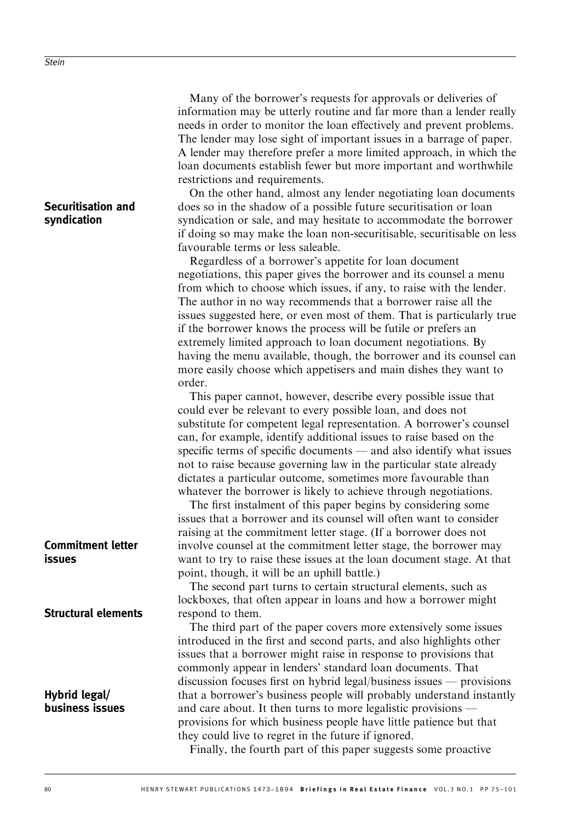# Securitisation and syndication

Commitment letter

Structural elements

Hybrid legal/ business issues

issues

Many of the borrower's requests for approvals or deliveries of information may be utterly routine and far more than a lender really needs in order to monitor the loan effectively and prevent problems. The lender may lose sight of important issues in a barrage of paper. A lender may therefore prefer a more limited approach, in which the loan documents establish fewer but more important and worthwhile restrictions and requirements.

On the other hand, almost any lender negotiating loan documents does so in the shadow of a possible future securitisation or loan syndication or sale, and may hesitate to accommodate the borrower if doing so may make the loan non-securitisable, securitisable on less favourable terms or less saleable.

Regardless of a borrower's appetite for loan document negotiations, this paper gives the borrower and its counsel a menu from which to choose which issues, if any, to raise with the lender. The author in no way recommends that a borrower raise all the issues suggested here, or even most of them. That is particularly true if the borrower knows the process will be futile or prefers an extremely limited approach to loan document negotiations. By having the menu available, though, the borrower and its counsel can more easily choose which appetisers and main dishes they want to order.

This paper cannot, however, describe every possible issue that could ever be relevant to every possible loan, and does not substitute for competent legal representation. A borrower's counsel can, for example, identify additional issues to raise based on the specific terms of specific documents — and also identify what issues not to raise because governing law in the particular state already dictates a particular outcome, sometimes more favourable than whatever the borrower is likely to achieve through negotiations.

The first instalment of this paper begins by considering some issues that a borrower and its counsel will often want to consider raising at the commitment letter stage. (If a borrower does not involve counsel at the commitment letter stage, the borrower may want to try to raise these issues at the loan document stage. At that point, though, it will be an uphill battle.)

The second part turns to certain structural elements, such as lockboxes, that often appear in loans and how a borrower might respond to them.

The third part of the paper covers more extensively some issues introduced in the first and second parts, and also highlights other issues that a borrower might raise in response to provisions that commonly appear in lenders' standard loan documents. That discussion focuses first on hybrid legal/business issues — provisions that a borrower's business people will probably understand instantly and care about. It then turns to more legalistic provisions provisions for which business people have little patience but that they could live to regret in the future if ignored.

Finally, the fourth part of this paper suggests some proactive

80 HENRY STEWART PUBLICATIONS 1473-1894 Briefings in Real Estate Finance VOL.3 NO.1 PP 75-101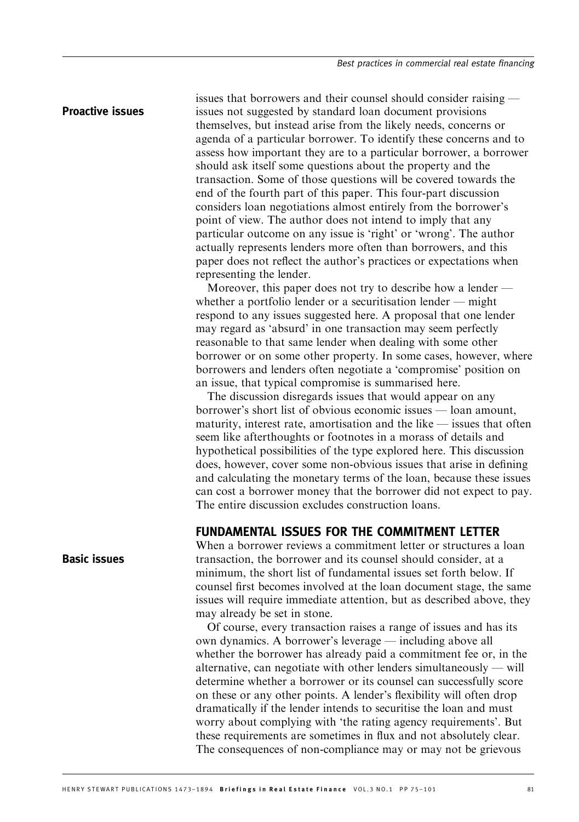# Proactive issues

issues that borrowers and their counsel should consider raising issues not suggested by standard loan document provisions themselves, but instead arise from the likely needs, concerns or agenda of a particular borrower. To identify these concerns and to assess how important they are to a particular borrower, a borrower should ask itself some questions about the property and the transaction. Some of those questions will be covered towards the end of the fourth part of this paper. This four-part discussion considers loan negotiations almost entirely from the borrower's point of view. The author does not intend to imply that any particular outcome on any issue is 'right' or 'wrong'. The author actually represents lenders more often than borrowers, and this paper does not reflect the author's practices or expectations when representing the lender.

Moreover, this paper does not try to describe how a lender whether a portfolio lender or a securitisation lender — might respond to any issues suggested here. A proposal that one lender may regard as 'absurd' in one transaction may seem perfectly reasonable to that same lender when dealing with some other borrower or on some other property. In some cases, however, where borrowers and lenders often negotiate a 'compromise' position on an issue, that typical compromise is summarised here.

The discussion disregards issues that would appear on any borrower's short list of obvious economic issues — loan amount, maturity, interest rate, amortisation and the like — issues that often seem like afterthoughts or footnotes in a morass of details and hypothetical possibilities of the type explored here. This discussion does, however, cover some non-obvious issues that arise in defining and calculating the monetary terms of the loan, because these issues can cost a borrower money that the borrower did not expect to pay. The entire discussion excludes construction loans.

# FUNDAMENTAL ISSUES FOR THE COMMITMENT LETTER

When a borrower reviews a commitment letter or structures a loan transaction, the borrower and its counsel should consider, at a minimum, the short list of fundamental issues set forth below. If counsel first becomes involved at the loan document stage, the same issues will require immediate attention, but as described above, they may already be set in stone.

Of course, every transaction raises a range of issues and has its own dynamics. A borrower's leverage — including above all whether the borrower has already paid a commitment fee or, in the alternative, can negotiate with other lenders simultaneously — will determine whether a borrower or its counsel can successfully score on these or any other points. A lender's flexibility will often drop dramatically if the lender intends to securitise the loan and must worry about complying with 'the rating agency requirements'. But these requirements are sometimes in flux and not absolutely clear. The consequences of non-compliance may or may not be grievous

# Basic issues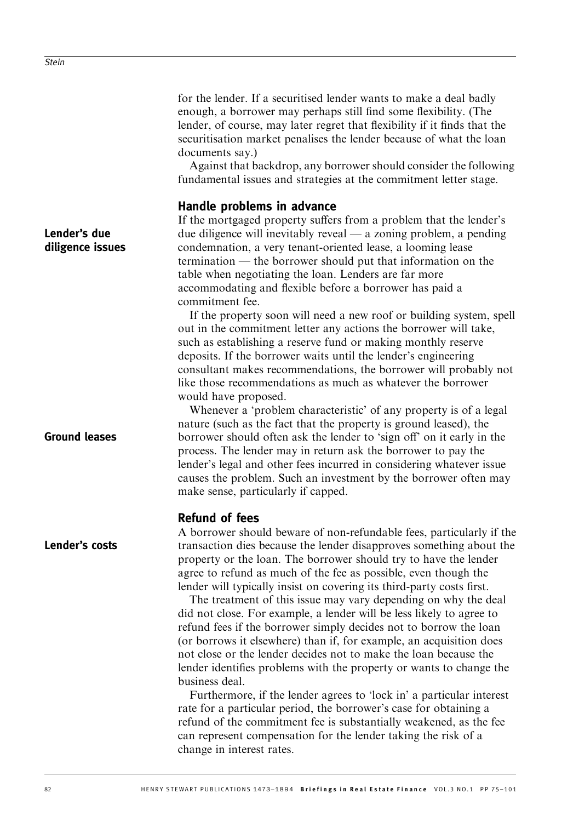|                                  | for the lender. If a securitised lender wants to make a deal badly<br>enough, a borrower may perhaps still find some flexibility. (The<br>lender, of course, may later regret that flexibility if it finds that the<br>securitisation market penalises the lender because of what the loan<br>documents say.)<br>Against that backdrop, any borrower should consider the following<br>fundamental issues and strategies at the commitment letter stage.                                                                                                                                                                                                                                                                                                                                                                                                                                                                                                                                                                                                                                                                          |
|----------------------------------|----------------------------------------------------------------------------------------------------------------------------------------------------------------------------------------------------------------------------------------------------------------------------------------------------------------------------------------------------------------------------------------------------------------------------------------------------------------------------------------------------------------------------------------------------------------------------------------------------------------------------------------------------------------------------------------------------------------------------------------------------------------------------------------------------------------------------------------------------------------------------------------------------------------------------------------------------------------------------------------------------------------------------------------------------------------------------------------------------------------------------------|
| Lender's due<br>diligence issues | Handle problems in advance<br>If the mortgaged property suffers from a problem that the lender's<br>due diligence will inevitably reveal $-$ a zoning problem, a pending<br>condemnation, a very tenant-oriented lease, a looming lease<br>termination — the borrower should put that information on the<br>table when negotiating the loan. Lenders are far more<br>accommodating and flexible before a borrower has paid a<br>commitment fee.                                                                                                                                                                                                                                                                                                                                                                                                                                                                                                                                                                                                                                                                                  |
| <b>Ground leases</b>             | If the property soon will need a new roof or building system, spell<br>out in the commitment letter any actions the borrower will take,<br>such as establishing a reserve fund or making monthly reserve<br>deposits. If the borrower waits until the lender's engineering<br>consultant makes recommendations, the borrower will probably not<br>like those recommendations as much as whatever the borrower<br>would have proposed.<br>Whenever a 'problem characteristic' of any property is of a legal<br>nature (such as the fact that the property is ground leased), the<br>borrower should often ask the lender to 'sign off' on it early in the<br>process. The lender may in return ask the borrower to pay the                                                                                                                                                                                                                                                                                                                                                                                                        |
|                                  | lender's legal and other fees incurred in considering whatever issue<br>causes the problem. Such an investment by the borrower often may<br>make sense, particularly if capped.<br><b>Refund of fees</b>                                                                                                                                                                                                                                                                                                                                                                                                                                                                                                                                                                                                                                                                                                                                                                                                                                                                                                                         |
| Lender's costs                   | A borrower should beware of non-refundable fees, particularly if the<br>transaction dies because the lender disapproves something about the<br>property or the loan. The borrower should try to have the lender<br>agree to refund as much of the fee as possible, even though the<br>lender will typically insist on covering its third-party costs first.<br>The treatment of this issue may vary depending on why the deal<br>did not close. For example, a lender will be less likely to agree to<br>refund fees if the borrower simply decides not to borrow the loan<br>(or borrows it elsewhere) than if, for example, an acquisition does<br>not close or the lender decides not to make the loan because the<br>lender identifies problems with the property or wants to change the<br>business deal.<br>Furthermore, if the lender agrees to 'lock in' a particular interest<br>rate for a particular period, the borrower's case for obtaining a<br>refund of the commitment fee is substantially weakened, as the fee<br>can represent compensation for the lender taking the risk of a<br>change in interest rates. |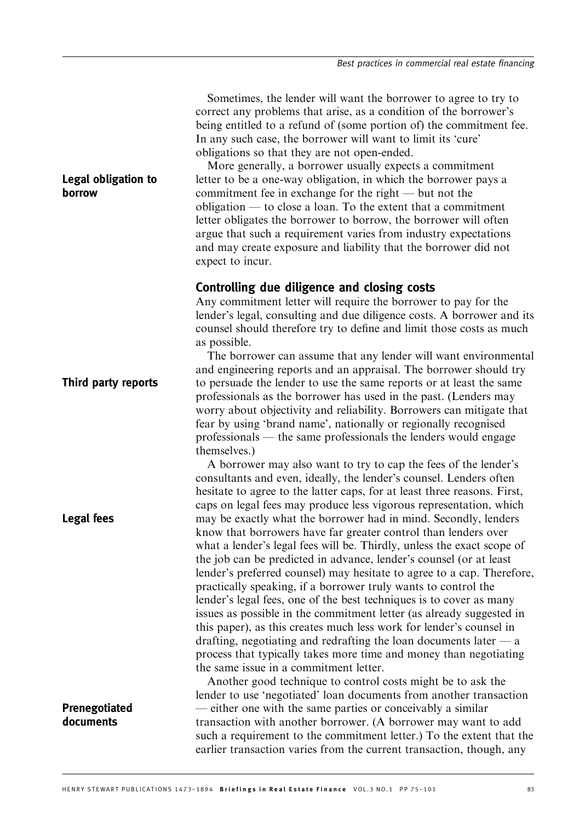| Legal obligation to<br>borrow | Sometimes, the lender will want the borrower to agree to try to<br>correct any problems that arise, as a condition of the borrower's<br>being entitled to a refund of (some portion of) the commitment fee.<br>In any such case, the borrower will want to limit its 'cure'<br>obligations so that they are not open-ended.<br>More generally, a borrower usually expects a commitment<br>letter to be a one-way obligation, in which the borrower pays a<br>commitment fee in exchange for the right $-$ but not the<br>$obligation$ — to close a loan. To the extent that a commitment<br>letter obligates the borrower to borrow, the borrower will often<br>argue that such a requirement varies from industry expectations<br>and may create exposure and liability that the borrower did not<br>expect to incur.                                                                                                                                                        |
|-------------------------------|-------------------------------------------------------------------------------------------------------------------------------------------------------------------------------------------------------------------------------------------------------------------------------------------------------------------------------------------------------------------------------------------------------------------------------------------------------------------------------------------------------------------------------------------------------------------------------------------------------------------------------------------------------------------------------------------------------------------------------------------------------------------------------------------------------------------------------------------------------------------------------------------------------------------------------------------------------------------------------|
|                               | Controlling due diligence and closing costs<br>Any commitment letter will require the borrower to pay for the<br>lender's legal, consulting and due diligence costs. A borrower and its<br>counsel should therefore try to define and limit those costs as much<br>as possible.                                                                                                                                                                                                                                                                                                                                                                                                                                                                                                                                                                                                                                                                                               |
| Third party reports           | The borrower can assume that any lender will want environmental<br>and engineering reports and an appraisal. The borrower should try<br>to persuade the lender to use the same reports or at least the same<br>professionals as the borrower has used in the past. (Lenders may<br>worry about objectivity and reliability. Borrowers can mitigate that<br>fear by using 'brand name', nationally or regionally recognised<br>professionals - the same professionals the lenders would engage<br>themselves.)                                                                                                                                                                                                                                                                                                                                                                                                                                                                 |
|                               | A borrower may also want to try to cap the fees of the lender's<br>consultants and even, ideally, the lender's counsel. Lenders often<br>hesitate to agree to the latter caps, for at least three reasons. First,<br>caps on legal fees may produce less vigorous representation, which                                                                                                                                                                                                                                                                                                                                                                                                                                                                                                                                                                                                                                                                                       |
| Legal fees                    | may be exactly what the borrower had in mind. Secondly, lenders<br>know that borrowers have far greater control than lenders over<br>what a lender's legal fees will be. Thirdly, unless the exact scope of<br>the job can be predicted in advance, lender's counsel (or at least<br>lender's preferred counsel) may hesitate to agree to a cap. Therefore,<br>practically speaking, if a borrower truly wants to control the<br>lender's legal fees, one of the best techniques is to cover as many<br>issues as possible in the commitment letter (as already suggested in<br>this paper), as this creates much less work for lender's counsel in<br>drafting, negotiating and redrafting the loan documents later $-a$<br>process that typically takes more time and money than negotiating<br>the same issue in a commitment letter.<br>Another good technique to control costs might be to ask the<br>lender to use 'negotiated' loan documents from another transaction |
| Prenegotiated<br>documents    | - either one with the same parties or conceivably a similar<br>transaction with another borrower. (A borrower may want to add<br>such a requirement to the commitment letter.) To the extent that the                                                                                                                                                                                                                                                                                                                                                                                                                                                                                                                                                                                                                                                                                                                                                                         |
|                               | earlier transaction varies from the current transaction, though, any                                                                                                                                                                                                                                                                                                                                                                                                                                                                                                                                                                                                                                                                                                                                                                                                                                                                                                          |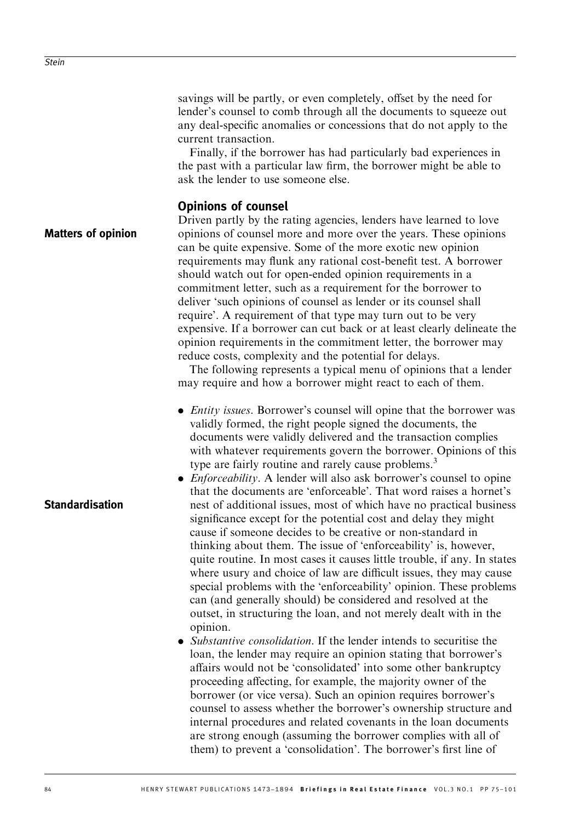savings will be partly, or even completely, offset by the need for lender's counsel to comb through all the documents to squeeze out any deal-specific anomalies or concessions that do not apply to the current transaction. Finally, if the borrower has had particularly bad experiences in the past with a particular law firm, the borrower might be able to ask the lender to use someone else. Opinions of counsel Driven partly by the rating agencies, lenders have learned to love opinions of counsel more and more over the years. These opinions can be quite expensive. Some of the more exotic new opinion requirements may flunk any rational cost-benefit test. A borrower should watch out for open-ended opinion requirements in a commitment letter, such as a requirement for the borrower to deliver 'such opinions of counsel as lender or its counsel shall require'. A requirement of that type may turn out to be very expensive. If a borrower can cut back or at least clearly delineate the opinion requirements in the commitment letter, the borrower may reduce costs, complexity and the potential for delays. The following represents a typical menu of opinions that a lender may require and how a borrower might react to each of them. • *Entity issues.* Borrower's counsel will opine that the borrower was validly formed, the right people signed the documents, the documents were validly delivered and the transaction complies with whatever requirements govern the borrower. Opinions of this type are fairly routine and rarely cause problems.<sup>3</sup> • *Enforceability*. A lender will also ask borrower's counsel to opine that the documents are 'enforceable'. That word raises a hornet's nest of additional issues, most of which have no practical business significance except for the potential cost and delay they might cause if someone decides to be creative or non-standard in thinking about them. The issue of 'enforceability' is, however, quite routine. In most cases it causes little trouble, if any. In states where usury and choice of law are difficult issues, they may cause special problems with the 'enforceability' opinion. These problems can (and generally should) be considered and resolved at the outset, in structuring the loan, and not merely dealt with in the opinion. • Substantive consolidation. If the lender intends to securitise the loan, the lender may require an opinion stating that borrower's affairs would not be 'consolidated' into some other bankruptcy proceeding affecting, for example, the majority owner of the borrower (or vice versa). Such an opinion requires borrower's counsel to assess whether the borrower's ownership structure and internal procedures and related covenants in the loan documents are strong enough (assuming the borrower complies with all of them) to prevent a 'consolidation'. The borrower's first line of Matters of opinion Standardisation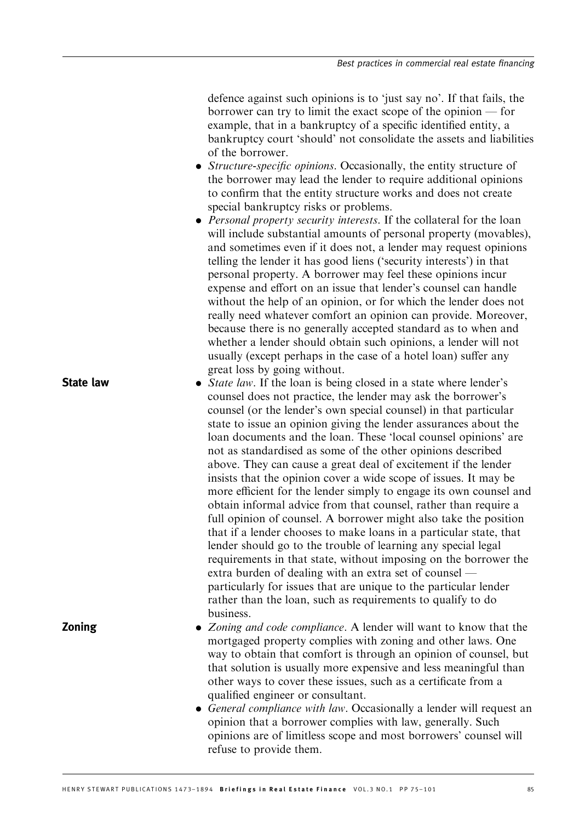defence against such opinions is to 'just say no'. If that fails, the borrower can try to limit the exact scope of the opinion — for example, that in a bankruptcy of a specific identified entity, a bankruptcy court 'should' not consolidate the assets and liabilities of the borrower.

- Structure-specific opinions. Occasionally, the entity structure of the borrower may lead the lender to require additional opinions to confirm that the entity structure works and does not create special bankruptcy risks or problems.
- . Personal property security interests. If the collateral for the loan will include substantial amounts of personal property (movables), and sometimes even if it does not, a lender may request opinions telling the lender it has good liens ('security interests') in that personal property. A borrower may feel these opinions incur expense and effort on an issue that lender's counsel can handle without the help of an opinion, or for which the lender does not really need whatever comfort an opinion can provide. Moreover, because there is no generally accepted standard as to when and whether a lender should obtain such opinions, a lender will not usually (except perhaps in the case of a hotel loan) suffer any great loss by going without.
- *State law*. If the loan is being closed in a state where lender's counsel does not practice, the lender may ask the borrower's counsel (or the lender's own special counsel) in that particular state to issue an opinion giving the lender assurances about the loan documents and the loan. These 'local counsel opinions' are not as standardised as some of the other opinions described above. They can cause a great deal of excitement if the lender insists that the opinion cover a wide scope of issues. It may be more efficient for the lender simply to engage its own counsel and obtain informal advice from that counsel, rather than require a full opinion of counsel. A borrower might also take the position that if a lender chooses to make loans in a particular state, that lender should go to the trouble of learning any special legal requirements in that state, without imposing on the borrower the extra burden of dealing with an extra set of counsel particularly for issues that are unique to the particular lender rather than the loan, such as requirements to qualify to do business.
	- Zoning and code compliance. A lender will want to know that the mortgaged property complies with zoning and other laws. One way to obtain that comfort is through an opinion of counsel, but that solution is usually more expensive and less meaningful than other ways to cover these issues, such as a certificate from a qualified engineer or consultant.
	- General compliance with law. Occasionally a lender will request an opinion that a borrower complies with law, generally. Such opinions are of limitless scope and most borrowers' counsel will refuse to provide them.

State law

Zoning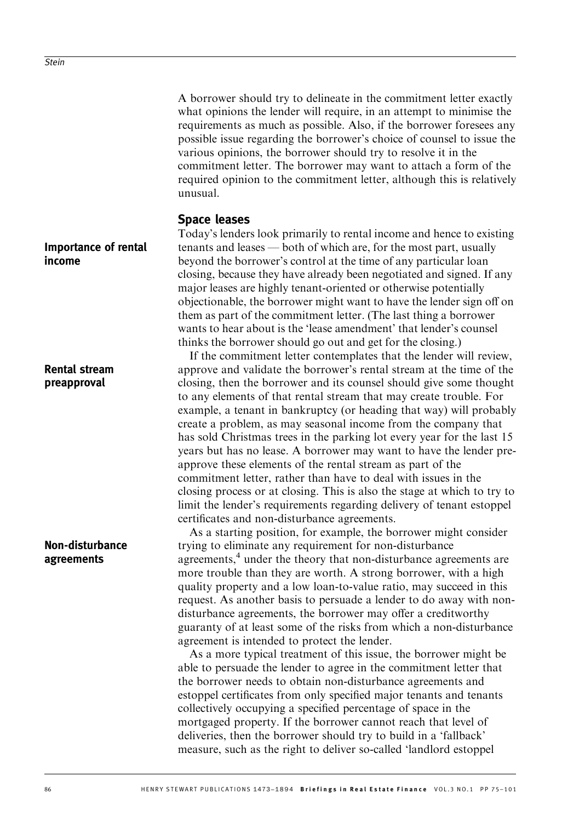A borrower should try to delineate in the commitment letter exactly what opinions the lender will require, in an attempt to minimise the requirements as much as possible. Also, if the borrower foresees any possible issue regarding the borrower's choice of counsel to issue the various opinions, the borrower should try to resolve it in the commitment letter. The borrower may want to attach a form of the required opinion to the commitment letter, although this is relatively unusual.

#### Space leases

Today's lenders look primarily to rental income and hence to existing tenants and leases — both of which are, for the most part, usually beyond the borrower's control at the time of any particular loan closing, because they have already been negotiated and signed. If any major leases are highly tenant-oriented or otherwise potentially objectionable, the borrower might want to have the lender sign off on them as part of the commitment letter. (The last thing a borrower wants to hear about is the 'lease amendment' that lender's counsel thinks the borrower should go out and get for the closing.)

If the commitment letter contemplates that the lender will review, approve and validate the borrower's rental stream at the time of the closing, then the borrower and its counsel should give some thought to any elements of that rental stream that may create trouble. For example, a tenant in bankruptcy (or heading that way) will probably create a problem, as may seasonal income from the company that has sold Christmas trees in the parking lot every year for the last 15 years but has no lease. A borrower may want to have the lender preapprove these elements of the rental stream as part of the commitment letter, rather than have to deal with issues in the closing process or at closing. This is also the stage at which to try to limit the lender's requirements regarding delivery of tenant estoppel certificates and non-disturbance agreements.

As a starting position, for example, the borrower might consider trying to eliminate any requirement for non-disturbance agreements,<sup>4</sup> under the theory that non-disturbance agreements are more trouble than they are worth. A strong borrower, with a high quality property and a low loan-to-value ratio, may succeed in this request. As another basis to persuade a lender to do away with nondisturbance agreements, the borrower may offer a creditworthy guaranty of at least some of the risks from which a non-disturbance agreement is intended to protect the lender.

As a more typical treatment of this issue, the borrower might be able to persuade the lender to agree in the commitment letter that the borrower needs to obtain non-disturbance agreements and estoppel certificates from only specified major tenants and tenants collectively occupying a specified percentage of space in the mortgaged property. If the borrower cannot reach that level of deliveries, then the borrower should try to build in a 'fallback' measure, such as the right to deliver so-called 'landlord estoppel

Importance of rental income

Rental stream preapproval

Non-disturbance agreements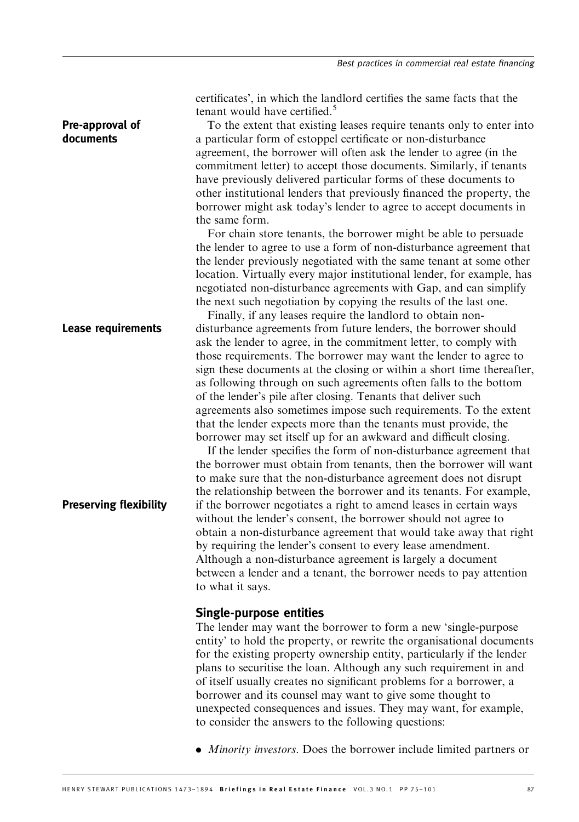certificates', in which the landlord certifies the same facts that the tenant would have certified. $5$ 

To the extent that existing leases require tenants only to enter into a particular form of estoppel certificate or non-disturbance agreement, the borrower will often ask the lender to agree (in the commitment letter) to accept those documents. Similarly, if tenants have previously delivered particular forms of these documents to other institutional lenders that previously financed the property, the borrower might ask today's lender to agree to accept documents in the same form.

For chain store tenants, the borrower might be able to persuade the lender to agree to use a form of non-disturbance agreement that the lender previously negotiated with the same tenant at some other location. Virtually every major institutional lender, for example, has negotiated non-disturbance agreements with Gap, and can simplify the next such negotiation by copying the results of the last one.

Finally, if any leases require the landlord to obtain nondisturbance agreements from future lenders, the borrower should ask the lender to agree, in the commitment letter, to comply with those requirements. The borrower may want the lender to agree to sign these documents at the closing or within a short time thereafter, as following through on such agreements often falls to the bottom of the lender's pile after closing. Tenants that deliver such agreements also sometimes impose such requirements. To the extent that the lender expects more than the tenants must provide, the borrower may set itself up for an awkward and difficult closing. Lease requirements

> If the lender specifies the form of non-disturbance agreement that the borrower must obtain from tenants, then the borrower will want to make sure that the non-disturbance agreement does not disrupt the relationship between the borrower and its tenants. For example, if the borrower negotiates a right to amend leases in certain ways without the lender's consent, the borrower should not agree to obtain a non-disturbance agreement that would take away that right by requiring the lender's consent to every lease amendment. Although a non-disturbance agreement is largely a document between a lender and a tenant, the borrower needs to pay attention to what it says.

#### Single-purpose entities

The lender may want the borrower to form a new 'single-purpose entity' to hold the property, or rewrite the organisational documents for the existing property ownership entity, particularly if the lender plans to securitise the loan. Although any such requirement in and of itself usually creates no significant problems for a borrower, a borrower and its counsel may want to give some thought to unexpected consequences and issues. They may want, for example, to consider the answers to the following questions:

. Minority investors. Does the borrower include limited partners or

Pre-approval of documents

Preserving flexibility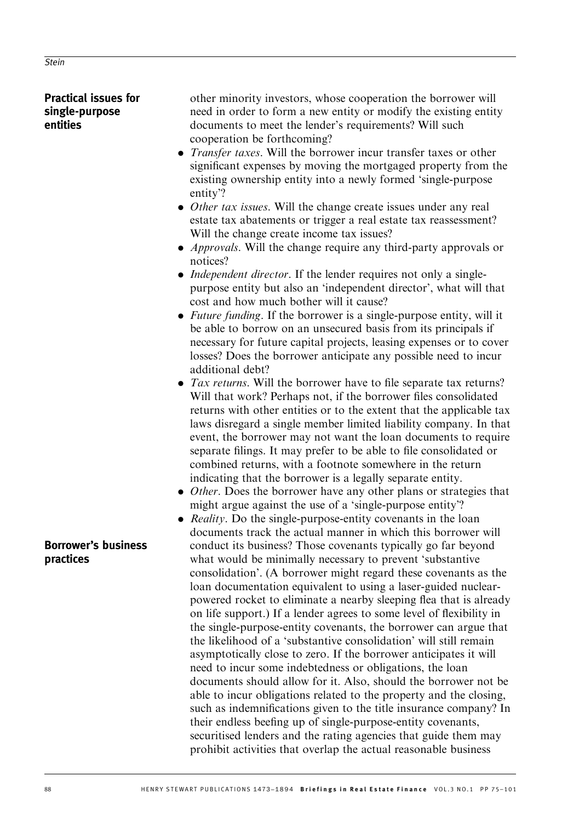# Practical issues for single-purpose entities

other minority investors, whose cooperation the borrower will need in order to form a new entity or modify the existing entity documents to meet the lender's requirements? Will such cooperation be forthcoming?

- *Transfer taxes*. Will the borrower incur transfer taxes or other significant expenses by moving the mortgaged property from the existing ownership entity into a newly formed 'single-purpose entity'?
- Other tax issues. Will the change create issues under any real estate tax abatements or trigger a real estate tax reassessment? Will the change create income tax issues?
- . Approvals. Will the change require any third-party approvals or notices?
- *Independent director*. If the lender requires not only a singlepurpose entity but also an 'independent director', what will that cost and how much bother will it cause?
- . Future funding. If the borrower is a single-purpose entity, will it be able to borrow on an unsecured basis from its principals if necessary for future capital projects, leasing expenses or to cover losses? Does the borrower anticipate any possible need to incur additional debt?
- Tax returns. Will the borrower have to file separate tax returns? Will that work? Perhaps not, if the borrower files consolidated returns with other entities or to the extent that the applicable tax laws disregard a single member limited liability company. In that event, the borrower may not want the loan documents to require separate filings. It may prefer to be able to file consolidated or combined returns, with a footnote somewhere in the return indicating that the borrower is a legally separate entity.
- Other. Does the borrower have any other plans or strategies that might argue against the use of a 'single-purpose entity'?
- Reality. Do the single-purpose-entity covenants in the loan documents track the actual manner in which this borrower will conduct its business? Those covenants typically go far beyond what would be minimally necessary to prevent 'substantive consolidation'. (A borrower might regard these covenants as the loan documentation equivalent to using a laser-guided nuclearpowered rocket to eliminate a nearby sleeping flea that is already on life support.) If a lender agrees to some level of flexibility in the single-purpose-entity covenants, the borrower can argue that the likelihood of a 'substantive consolidation' will still remain asymptotically close to zero. If the borrower anticipates it will need to incur some indebtedness or obligations, the loan documents should allow for it. Also, should the borrower not be able to incur obligations related to the property and the closing, such as indemnifications given to the title insurance company? In their endless beefing up of single-purpose-entity covenants, securitised lenders and the rating agencies that guide them may prohibit activities that overlap the actual reasonable business

#### Borrower's business practices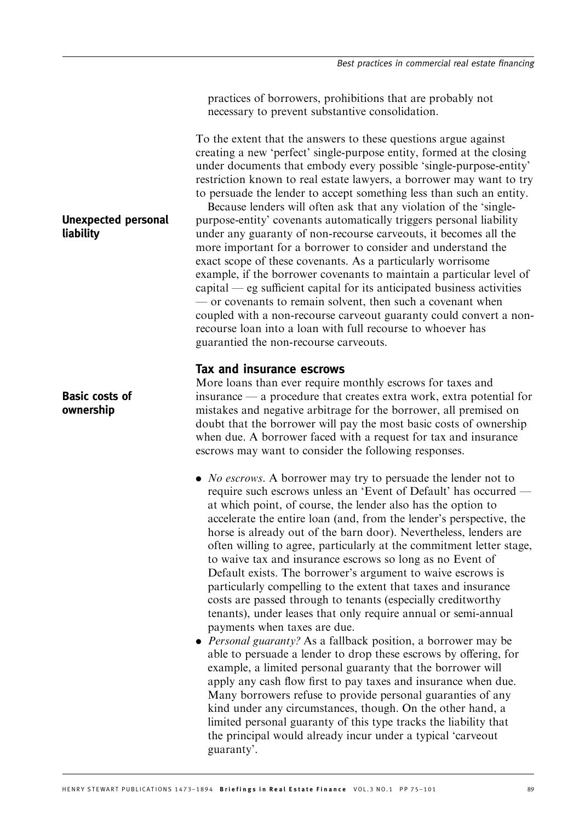practices of borrowers, prohibitions that are probably not necessary to prevent substantive consolidation.

To the extent that the answers to these questions argue against creating a new 'perfect' single-purpose entity, formed at the closing under documents that embody every possible 'single-purpose-entity' restriction known to real estate lawyers, a borrower may want to try to persuade the lender to accept something less than such an entity.

Because lenders will often ask that any violation of the 'singlepurpose-entity' covenants automatically triggers personal liability under any guaranty of non-recourse carveouts, it becomes all the more important for a borrower to consider and understand the exact scope of these covenants. As a particularly worrisome example, if the borrower covenants to maintain a particular level of capital — eg sufficient capital for its anticipated business activities — or covenants to remain solvent, then such a covenant when coupled with a non-recourse carveout guaranty could convert a nonrecourse loan into a loan with full recourse to whoever has guarantied the non-recourse carveouts.

# Tax and insurance escrows

More loans than ever require monthly escrows for taxes and insurance — a procedure that creates extra work, extra potential for mistakes and negative arbitrage for the borrower, all premised on doubt that the borrower will pay the most basic costs of ownership when due. A borrower faced with a request for tax and insurance escrows may want to consider the following responses.

- *No escrows*. A borrower may try to persuade the lender not to require such escrows unless an 'Event of Default' has occurred at which point, of course, the lender also has the option to accelerate the entire loan (and, from the lender's perspective, the horse is already out of the barn door). Nevertheless, lenders are often willing to agree, particularly at the commitment letter stage, to waive tax and insurance escrows so long as no Event of Default exists. The borrower's argument to waive escrows is particularly compelling to the extent that taxes and insurance costs are passed through to tenants (especially creditworthy tenants), under leases that only require annual or semi-annual payments when taxes are due.
- . Personal guaranty? As a fallback position, a borrower may be able to persuade a lender to drop these escrows by offering, for example, a limited personal guaranty that the borrower will apply any cash flow first to pay taxes and insurance when due. Many borrowers refuse to provide personal guaranties of any kind under any circumstances, though. On the other hand, a limited personal guaranty of this type tracks the liability that the principal would already incur under a typical 'carveout guaranty'.

# Unexpected personal liability

Basic costs of ownership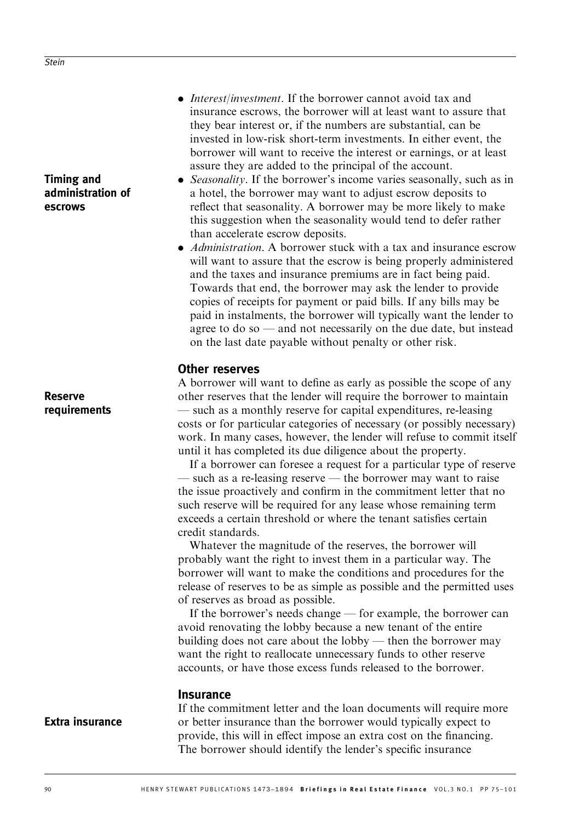Timing and administration of escrows

# Reserve requirements

- . Interest/investment. If the borrower cannot avoid tax and insurance escrows, the borrower will at least want to assure that they bear interest or, if the numbers are substantial, can be invested in low-risk short-term investments. In either event, the borrower will want to receive the interest or earnings, or at least assure they are added to the principal of the account.
- Seasonality. If the borrower's income varies seasonally, such as in a hotel, the borrower may want to adjust escrow deposits to reflect that seasonality. A borrower may be more likely to make this suggestion when the seasonality would tend to defer rather than accelerate escrow deposits.
- Administration. A borrower stuck with a tax and insurance escrow will want to assure that the escrow is being properly administered and the taxes and insurance premiums are in fact being paid. Towards that end, the borrower may ask the lender to provide copies of receipts for payment or paid bills. If any bills may be paid in instalments, the borrower will typically want the lender to agree to do so  $-$  and not necessarily on the due date, but instead on the last date payable without penalty or other risk.

# Other reserves

A borrower will want to define as early as possible the scope of any other reserves that the lender will require the borrower to maintain — such as a monthly reserve for capital expenditures, re-leasing costs or for particular categories of necessary (or possibly necessary) work. In many cases, however, the lender will refuse to commit itself until it has completed its due diligence about the property.

If a borrower can foresee a request for a particular type of reserve — such as a re-leasing reserve — the borrower may want to raise the issue proactively and confirm in the commitment letter that no such reserve will be required for any lease whose remaining term exceeds a certain threshold or where the tenant satisfies certain credit standards.

Whatever the magnitude of the reserves, the borrower will probably want the right to invest them in a particular way. The borrower will want to make the conditions and procedures for the release of reserves to be as simple as possible and the permitted uses of reserves as broad as possible.

If the borrower's needs change — for example, the borrower can avoid renovating the lobby because a new tenant of the entire building does not care about the lobby — then the borrower may want the right to reallocate unnecessary funds to other reserve accounts, or have those excess funds released to the borrower.

# Insurance

Extra insurance

If the commitment letter and the loan documents will require more or better insurance than the borrower would typically expect to provide, this will in effect impose an extra cost on the financing. The borrower should identify the lender's specific insurance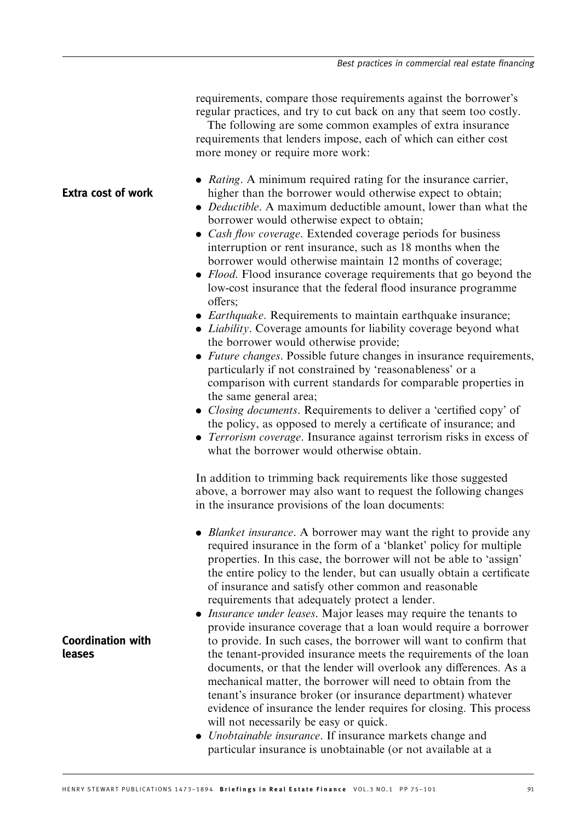requirements, compare those requirements against the borrower's regular practices, and try to cut back on any that seem too costly.

The following are some common examples of extra insurance requirements that lenders impose, each of which can either cost more money or require more work:

- *Rating.* A minimum required rating for the insurance carrier, higher than the borrower would otherwise expect to obtain;
- . Deductible. A maximum deductible amount, lower than what the borrower would otherwise expect to obtain;
- *Cash flow coverage*. Extended coverage periods for business interruption or rent insurance, such as 18 months when the borrower would otherwise maintain 12 months of coverage;
- Flood. Flood insurance coverage requirements that go beyond the low-cost insurance that the federal flood insurance programme offers;
- *Earthquake*. Requirements to maintain earthquake insurance;
- Liability. Coverage amounts for liability coverage beyond what the borrower would otherwise provide;
- . Future changes. Possible future changes in insurance requirements, particularly if not constrained by 'reasonableness' or a comparison with current standards for comparable properties in the same general area;
- *Closing documents*. Requirements to deliver a 'certified copy' of the policy, as opposed to merely a certificate of insurance; and
- *Terrorism coverage*. Insurance against terrorism risks in excess of what the borrower would otherwise obtain.

In addition to trimming back requirements like those suggested above, a borrower may also want to request the following changes in the insurance provisions of the loan documents:

- *Blanket insurance*. A borrower may want the right to provide any required insurance in the form of a 'blanket' policy for multiple properties. In this case, the borrower will not be able to 'assign' the entire policy to the lender, but can usually obtain a certificate of insurance and satisfy other common and reasonable requirements that adequately protect a lender.
- . Insurance under leases. Major leases may require the tenants to provide insurance coverage that a loan would require a borrower to provide. In such cases, the borrower will want to confirm that the tenant-provided insurance meets the requirements of the loan documents, or that the lender will overlook any differences. As a mechanical matter, the borrower will need to obtain from the tenant's insurance broker (or insurance department) whatever evidence of insurance the lender requires for closing. This process will not necessarily be easy or quick.
- Unobtainable insurance. If insurance markets change and particular insurance is unobtainable (or not available at a

# Extra cost of work

Coordination with leases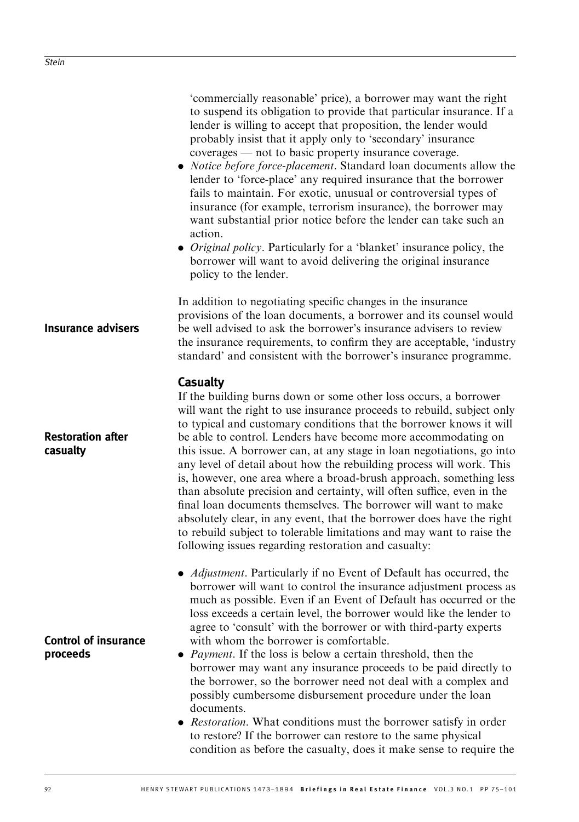|                                         | 'commercially reasonable' price), a borrower may want the right<br>to suspend its obligation to provide that particular insurance. If a<br>lender is willing to accept that proposition, the lender would<br>probably insist that it apply only to 'secondary' insurance<br>coverages — not to basic property insurance coverage.<br>• Notice before force-placement. Standard loan documents allow the<br>lender to 'force-place' any required insurance that the borrower<br>fails to maintain. For exotic, unusual or controversial types of<br>insurance (for example, terrorism insurance), the borrower may<br>want substantial prior notice before the lender can take such an<br>action.<br>• <i>Original policy</i> . Particularly for a 'blanket' insurance policy, the<br>borrower will want to avoid delivering the original insurance<br>policy to the lender.                             |
|-----------------------------------------|---------------------------------------------------------------------------------------------------------------------------------------------------------------------------------------------------------------------------------------------------------------------------------------------------------------------------------------------------------------------------------------------------------------------------------------------------------------------------------------------------------------------------------------------------------------------------------------------------------------------------------------------------------------------------------------------------------------------------------------------------------------------------------------------------------------------------------------------------------------------------------------------------------|
| <b>Insurance advisers</b>               | In addition to negotiating specific changes in the insurance<br>provisions of the loan documents, a borrower and its counsel would<br>be well advised to ask the borrower's insurance advisers to review<br>the insurance requirements, to confirm they are acceptable, 'industry<br>standard' and consistent with the borrower's insurance programme.                                                                                                                                                                                                                                                                                                                                                                                                                                                                                                                                                  |
| <b>Restoration after</b><br>casualty    | <b>Casualty</b><br>If the building burns down or some other loss occurs, a borrower<br>will want the right to use insurance proceeds to rebuild, subject only<br>to typical and customary conditions that the borrower knows it will<br>be able to control. Lenders have become more accommodating on<br>this issue. A borrower can, at any stage in loan negotiations, go into<br>any level of detail about how the rebuilding process will work. This<br>is, however, one area where a broad-brush approach, something less<br>than absolute precision and certainty, will often suffice, even in the<br>final loan documents themselves. The borrower will want to make<br>absolutely clear, in any event, that the borrower does have the right<br>to rebuild subject to tolerable limitations and may want to raise the<br>following issues regarding restoration and casualty:                    |
| <b>Control of insurance</b><br>proceeds | • Adjustment. Particularly if no Event of Default has occurred, the<br>borrower will want to control the insurance adjustment process as<br>much as possible. Even if an Event of Default has occurred or the<br>loss exceeds a certain level, the borrower would like the lender to<br>agree to 'consult' with the borrower or with third-party experts<br>with whom the borrower is comfortable.<br>• Payment. If the loss is below a certain threshold, then the<br>borrower may want any insurance proceeds to be paid directly to<br>the borrower, so the borrower need not deal with a complex and<br>possibly cumbersome disbursement procedure under the loan<br>documents.<br>• <i>Restoration</i> . What conditions must the borrower satisfy in order<br>to restore? If the borrower can restore to the same physical<br>condition as before the casualty, does it make sense to require the |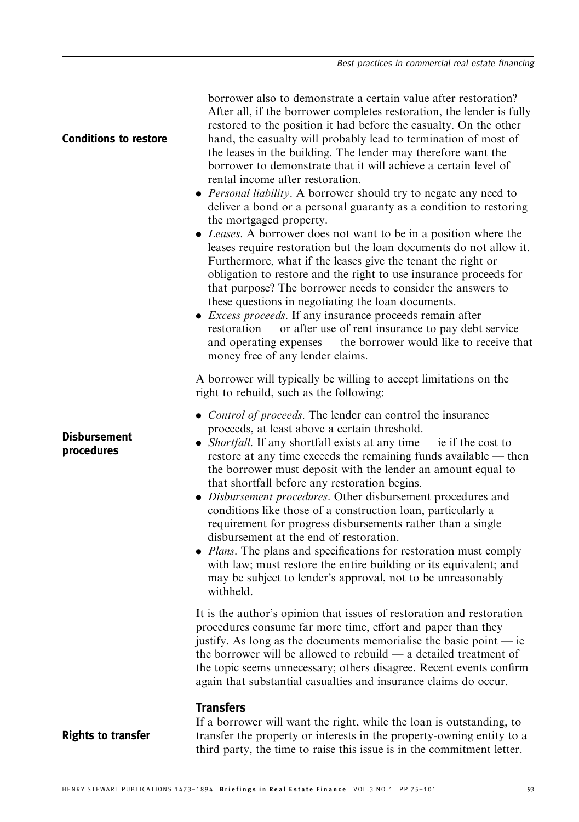| <b>Conditions to restore</b>      | borrower also to demonstrate a certain value after restoration?<br>After all, if the borrower completes restoration, the lender is fully<br>restored to the position it had before the casualty. On the other<br>hand, the casualty will probably lead to termination of most of<br>the leases in the building. The lender may therefore want the<br>borrower to demonstrate that it will achieve a certain level of<br>rental income after restoration.<br>• Personal liability. A borrower should try to negate any need to<br>deliver a bond or a personal guaranty as a condition to restoring<br>the mortgaged property.<br>• Leases. A borrower does not want to be in a position where the<br>leases require restoration but the loan documents do not allow it.<br>Furthermore, what if the leases give the tenant the right or<br>obligation to restore and the right to use insurance proceeds for<br>that purpose? The borrower needs to consider the answers to<br>these questions in negotiating the loan documents.<br>• <i>Excess proceeds</i> . If any insurance proceeds remain after<br>restoration — or after use of rent insurance to pay debt service<br>and operating expenses — the borrower would like to receive that<br>money free of any lender claims.<br>A borrower will typically be willing to accept limitations on the |
|-----------------------------------|---------------------------------------------------------------------------------------------------------------------------------------------------------------------------------------------------------------------------------------------------------------------------------------------------------------------------------------------------------------------------------------------------------------------------------------------------------------------------------------------------------------------------------------------------------------------------------------------------------------------------------------------------------------------------------------------------------------------------------------------------------------------------------------------------------------------------------------------------------------------------------------------------------------------------------------------------------------------------------------------------------------------------------------------------------------------------------------------------------------------------------------------------------------------------------------------------------------------------------------------------------------------------------------------------------------------------------------------------------|
| <b>Disbursement</b><br>procedures | right to rebuild, such as the following:<br>• <i>Control of proceeds</i> . The lender can control the insurance<br>proceeds, at least above a certain threshold.<br>• <i>Shortfall</i> . If any shortfall exists at any time $-$ ie if the cost to<br>restore at any time exceeds the remaining funds available — then<br>the borrower must deposit with the lender an amount equal to<br>that shortfall before any restoration begins.<br>• Disbursement procedures. Other disbursement procedures and<br>conditions like those of a construction loan, particularly a<br>requirement for progress disbursements rather than a single<br>disbursement at the end of restoration.<br>• Plans. The plans and specifications for restoration must comply<br>with law; must restore the entire building or its equivalent; and<br>may be subject to lender's approval, not to be unreasonably<br>withheld.                                                                                                                                                                                                                                                                                                                                                                                                                                                 |
|                                   | It is the author's opinion that issues of restoration and restoration<br>procedures consume far more time, effort and paper than they<br>justify. As long as the documents memorialise the basic point $-$ ie<br>the borrower will be allowed to rebuild $-$ a detailed treatment of<br>the topic seems unnecessary; others disagree. Recent events confirm<br>again that substantial casualties and insurance claims do occur.                                                                                                                                                                                                                                                                                                                                                                                                                                                                                                                                                                                                                                                                                                                                                                                                                                                                                                                         |
| <b>Rights to transfer</b>         | <b>Transfers</b><br>If a borrower will want the right, while the loan is outstanding, to<br>transfer the property or interests in the property-owning entity to a<br>third party, the time to raise this issue is in the commitment letter.                                                                                                                                                                                                                                                                                                                                                                                                                                                                                                                                                                                                                                                                                                                                                                                                                                                                                                                                                                                                                                                                                                             |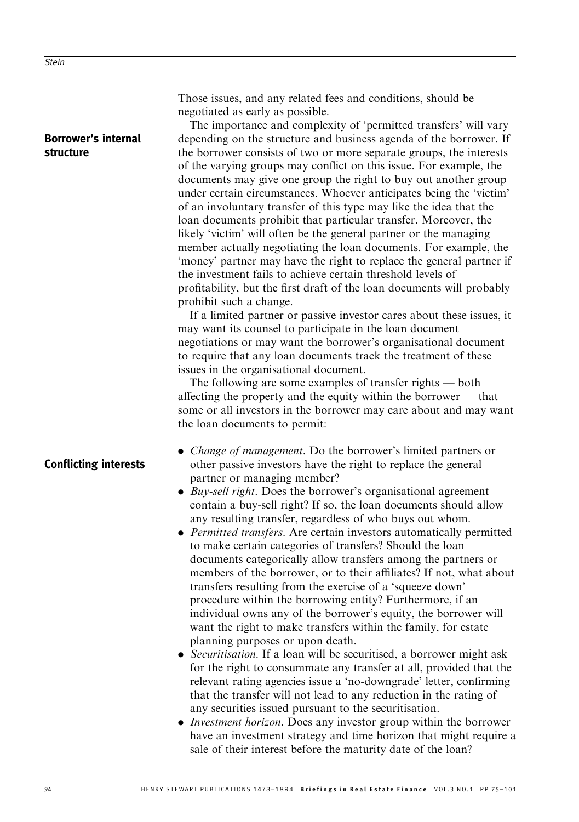Those issues, and any related fees and conditions, should be negotiated as early as possible. The importance and complexity of 'permitted transfers' will vary

depending on the structure and business agenda of the borrower. If the borrower consists of two or more separate groups, the interests of the varying groups may conflict on this issue. For example, the documents may give one group the right to buy out another group under certain circumstances. Whoever anticipates being the 'victim' of an involuntary transfer of this type may like the idea that the loan documents prohibit that particular transfer. Moreover, the likely 'victim' will often be the general partner or the managing member actually negotiating the loan documents. For example, the 'money' partner may have the right to replace the general partner if the investment fails to achieve certain threshold levels of profitability, but the first draft of the loan documents will probably prohibit such a change.

If a limited partner or passive investor cares about these issues, it may want its counsel to participate in the loan document negotiations or may want the borrower's organisational document to require that any loan documents track the treatment of these issues in the organisational document.

The following are some examples of transfer rights — both affecting the property and the equity within the borrower — that some or all investors in the borrower may care about and may want the loan documents to permit:

# Conflicting interests

Borrower's internal

structure

- *Change of management*. Do the borrower's limited partners or other passive investors have the right to replace the general partner or managing member?
- $\bullet$  Buy-sell right. Does the borrower's organisational agreement contain a buy-sell right? If so, the loan documents should allow any resulting transfer, regardless of who buys out whom.
- Permitted transfers. Are certain investors automatically permitted to make certain categories of transfers? Should the loan documents categorically allow transfers among the partners or members of the borrower, or to their affiliates? If not, what about transfers resulting from the exercise of a 'squeeze down' procedure within the borrowing entity? Furthermore, if an individual owns any of the borrower's equity, the borrower will want the right to make transfers within the family, for estate planning purposes or upon death.
- Securitisation. If a loan will be securitised, a borrower might ask for the right to consummate any transfer at all, provided that the relevant rating agencies issue a 'no-downgrade' letter, confirming that the transfer will not lead to any reduction in the rating of any securities issued pursuant to the securitisation.
- . Investment horizon. Does any investor group within the borrower have an investment strategy and time horizon that might require a sale of their interest before the maturity date of the loan?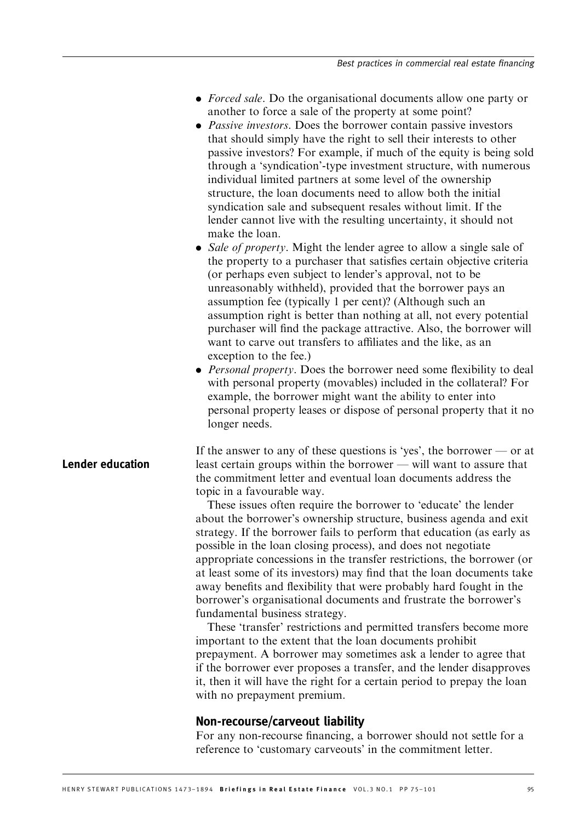- Forced sale. Do the organisational documents allow one party or another to force a sale of the property at some point?
- *Passive investors*. Does the borrower contain passive investors that should simply have the right to sell their interests to other passive investors? For example, if much of the equity is being sold through a 'syndication'-type investment structure, with numerous individual limited partners at some level of the ownership structure, the loan documents need to allow both the initial syndication sale and subsequent resales without limit. If the lender cannot live with the resulting uncertainty, it should not make the loan.
- Sale of property. Might the lender agree to allow a single sale of the property to a purchaser that satisfies certain objective criteria (or perhaps even subject to lender's approval, not to be unreasonably withheld), provided that the borrower pays an assumption fee (typically 1 per cent)? (Although such an assumption right is better than nothing at all, not every potential purchaser will find the package attractive. Also, the borrower will want to carve out transfers to affiliates and the like, as an exception to the fee.)
- Personal property. Does the borrower need some flexibility to deal with personal property (movables) included in the collateral? For example, the borrower might want the ability to enter into personal property leases or dispose of personal property that it no longer needs.

Lender education

If the answer to any of these questions is 'yes', the borrower — or at least certain groups within the borrower — will want to assure that the commitment letter and eventual loan documents address the topic in a favourable way.

These issues often require the borrower to 'educate' the lender about the borrower's ownership structure, business agenda and exit strategy. If the borrower fails to perform that education (as early as possible in the loan closing process), and does not negotiate appropriate concessions in the transfer restrictions, the borrower (or at least some of its investors) may find that the loan documents take away benefits and flexibility that were probably hard fought in the borrower's organisational documents and frustrate the borrower's fundamental business strategy.

These 'transfer' restrictions and permitted transfers become more important to the extent that the loan documents prohibit prepayment. A borrower may sometimes ask a lender to agree that if the borrower ever proposes a transfer, and the lender disapproves it, then it will have the right for a certain period to prepay the loan with no prepayment premium.

# Non-recourse/carveout liability

For any non-recourse financing, a borrower should not settle for a reference to 'customary carveouts' in the commitment letter.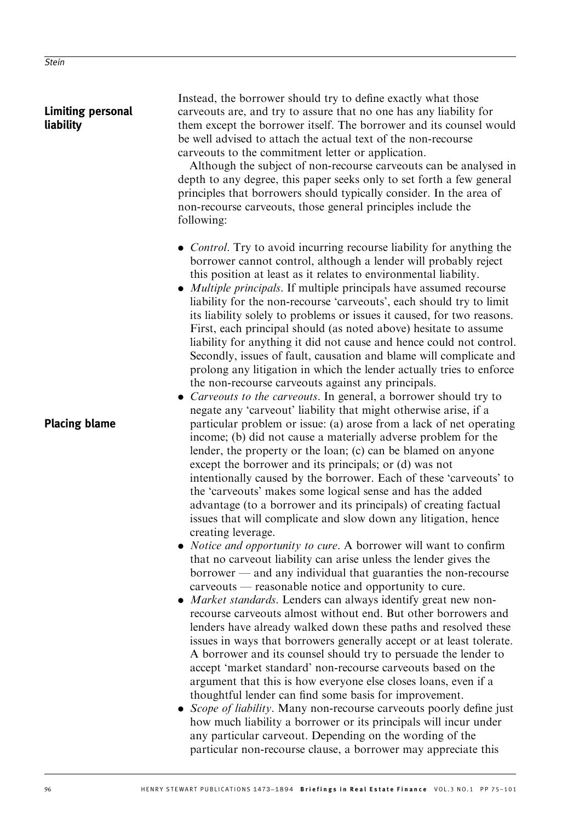# Limiting personal liability

Instead, the borrower should try to define exactly what those carveouts are, and try to assure that no one has any liability for them except the borrower itself. The borrower and its counsel would be well advised to attach the actual text of the non-recourse carveouts to the commitment letter or application.

Although the subject of non-recourse carveouts can be analysed in depth to any degree, this paper seeks only to set forth a few general principles that borrowers should typically consider. In the area of non-recourse carveouts, those general principles include the following:

- *Control*. Try to avoid incurring recourse liability for anything the borrower cannot control, although a lender will probably reject this position at least as it relates to environmental liability.
- *Multiple principals*. If multiple principals have assumed recourse liability for the non-recourse 'carveouts', each should try to limit its liability solely to problems or issues it caused, for two reasons. First, each principal should (as noted above) hesitate to assume liability for anything it did not cause and hence could not control. Secondly, issues of fault, causation and blame will complicate and prolong any litigation in which the lender actually tries to enforce the non-recourse carveouts against any principals.
- Carveouts to the carveouts. In general, a borrower should try to negate any 'carveout' liability that might otherwise arise, if a particular problem or issue: (a) arose from a lack of net operating income; (b) did not cause a materially adverse problem for the lender, the property or the loan; (c) can be blamed on anyone except the borrower and its principals; or (d) was not intentionally caused by the borrower. Each of these 'carveouts' to the 'carveouts' makes some logical sense and has the added advantage (to a borrower and its principals) of creating factual issues that will complicate and slow down any litigation, hence creating leverage.
- . Notice and opportunity to cure. A borrower will want to confirm that no carveout liability can arise unless the lender gives the borrower — and any individual that guaranties the non-recourse carveouts — reasonable notice and opportunity to cure.
- . Market standards. Lenders can always identify great new nonrecourse carveouts almost without end. But other borrowers and lenders have already walked down these paths and resolved these issues in ways that borrowers generally accept or at least tolerate. A borrower and its counsel should try to persuade the lender to accept 'market standard' non-recourse carveouts based on the argument that this is how everyone else closes loans, even if a thoughtful lender can find some basis for improvement.
- Scope of liability. Many non-recourse carveouts poorly define just how much liability a borrower or its principals will incur under any particular carveout. Depending on the wording of the particular non-recourse clause, a borrower may appreciate this

# Placing blame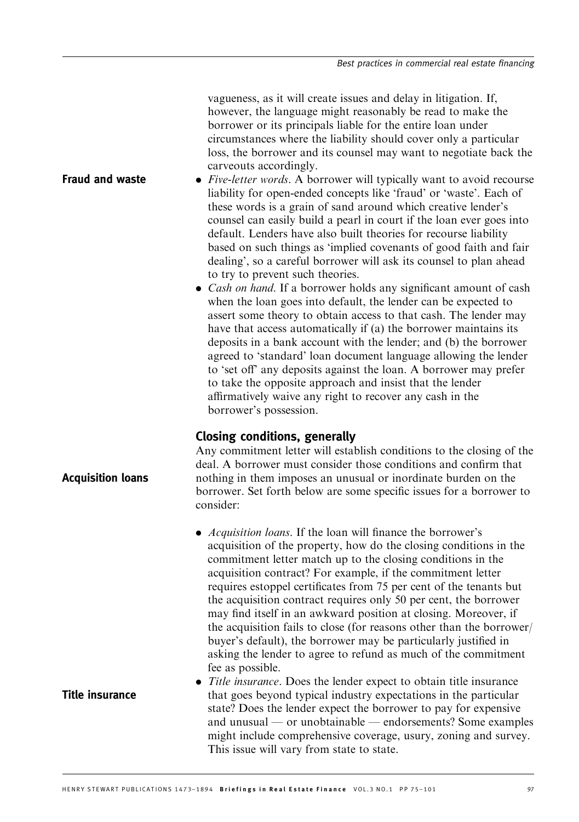vagueness, as it will create issues and delay in litigation. If, however, the language might reasonably be read to make the borrower or its principals liable for the entire loan under circumstances where the liability should cover only a particular loss, the borrower and its counsel may want to negotiate back the carveouts accordingly.

• Five-letter words. A borrower will typically want to avoid recourse liability for open-ended concepts like 'fraud' or 'waste'. Each of these words is a grain of sand around which creative lender's counsel can easily build a pearl in court if the loan ever goes into default. Lenders have also built theories for recourse liability based on such things as 'implied covenants of good faith and fair dealing', so a careful borrower will ask its counsel to plan ahead to try to prevent such theories. Fraud and waste

> • *Cash on hand*. If a borrower holds any significant amount of cash when the loan goes into default, the lender can be expected to assert some theory to obtain access to that cash. The lender may have that access automatically if (a) the borrower maintains its deposits in a bank account with the lender; and (b) the borrower agreed to 'standard' loan document language allowing the lender to 'set off' any deposits against the loan. A borrower may prefer to take the opposite approach and insist that the lender affirmatively waive any right to recover any cash in the borrower's possession.

# Closing conditions, generally

Any commitment letter will establish conditions to the closing of the deal. A borrower must consider those conditions and confirm that nothing in them imposes an unusual or inordinate burden on the borrower. Set forth below are some specific issues for a borrower to consider:

- *Acquisition loans*. If the loan will finance the borrower's acquisition of the property, how do the closing conditions in the commitment letter match up to the closing conditions in the acquisition contract? For example, if the commitment letter requires estoppel certificates from 75 per cent of the tenants but the acquisition contract requires only 50 per cent, the borrower may find itself in an awkward position at closing. Moreover, if the acquisition fails to close (for reasons other than the borrower/ buyer's default), the borrower may be particularly justified in asking the lender to agree to refund as much of the commitment fee as possible.
- Title insurance. Does the lender expect to obtain title insurance that goes beyond typical industry expectations in the particular state? Does the lender expect the borrower to pay for expensive and unusual — or unobtainable — endorsements? Some examples might include comprehensive coverage, usury, zoning and survey. This issue will vary from state to state.

Acquisition loans

Title insurance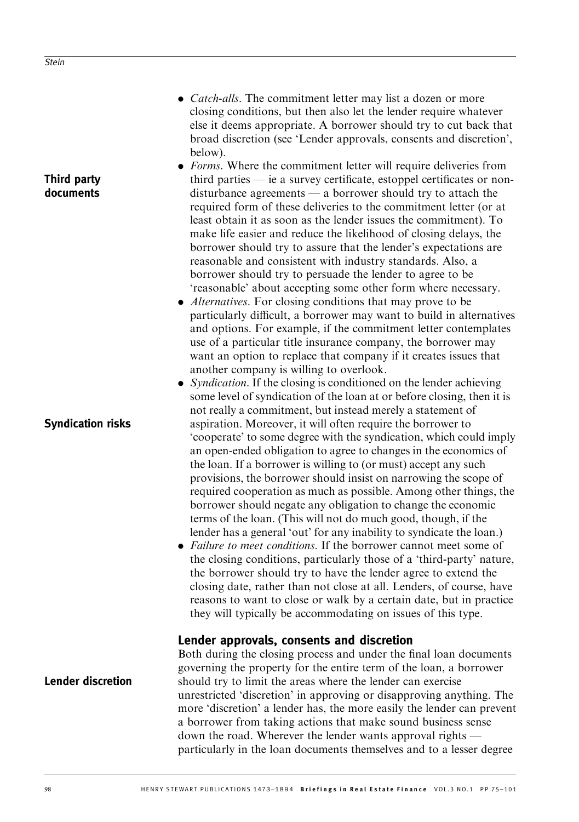# Third party documents

Syndication risks

- *Catch-alls*. The commitment letter may list a dozen or more closing conditions, but then also let the lender require whatever else it deems appropriate. A borrower should try to cut back that broad discretion (see 'Lender approvals, consents and discretion', below).
- Forms. Where the commitment letter will require deliveries from third parties — ie a survey certificate, estoppel certificates or nondisturbance agreements — a borrower should try to attach the required form of these deliveries to the commitment letter (or at least obtain it as soon as the lender issues the commitment). To make life easier and reduce the likelihood of closing delays, the borrower should try to assure that the lender's expectations are reasonable and consistent with industry standards. Also, a borrower should try to persuade the lender to agree to be 'reasonable' about accepting some other form where necessary.
- *Alternatives*. For closing conditions that may prove to be particularly difficult, a borrower may want to build in alternatives and options. For example, if the commitment letter contemplates use of a particular title insurance company, the borrower may want an option to replace that company if it creates issues that another company is willing to overlook.
- *Syndication*. If the closing is conditioned on the lender achieving some level of syndication of the loan at or before closing, then it is not really a commitment, but instead merely a statement of aspiration. Moreover, it will often require the borrower to 'cooperate' to some degree with the syndication, which could imply an open-ended obligation to agree to changes in the economics of the loan. If a borrower is willing to (or must) accept any such provisions, the borrower should insist on narrowing the scope of required cooperation as much as possible. Among other things, the borrower should negate any obligation to change the economic terms of the loan. (This will not do much good, though, if the lender has a general 'out' for any inability to syndicate the loan.)
- . Failure to meet conditions. If the borrower cannot meet some of the closing conditions, particularly those of a 'third-party' nature, the borrower should try to have the lender agree to extend the closing date, rather than not close at all. Lenders, of course, have reasons to want to close or walk by a certain date, but in practice they will typically be accommodating on issues of this type.

# Lender approvals, consents and discretion

Both during the closing process and under the final loan documents governing the property for the entire term of the loan, a borrower should try to limit the areas where the lender can exercise unrestricted 'discretion' in approving or disapproving anything. The more 'discretion' a lender has, the more easily the lender can prevent a borrower from taking actions that make sound business sense down the road. Wherever the lender wants approval rights particularly in the loan documents themselves and to a lesser degree Lender discretion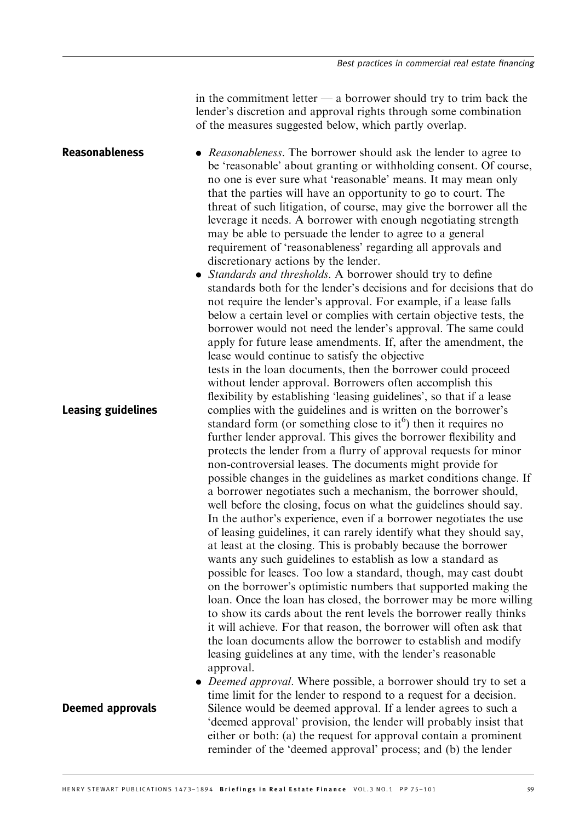in the commitment letter  $\frac{1}{x}$  a borrower should try to trim back the lender's discretion and approval rights through some combination of the measures suggested below, which partly overlap.

• Reasonableness. The borrower should ask the lender to agree to be 'reasonable' about granting or withholding consent. Of course, no one is ever sure what 'reasonable' means. It may mean only that the parties will have an opportunity to go to court. The threat of such litigation, of course, may give the borrower all the leverage it needs. A borrower with enough negotiating strength may be able to persuade the lender to agree to a general requirement of 'reasonableness' regarding all approvals and discretionary actions by the lender. Reasonableness

• Standards and thresholds. A borrower should try to define standards both for the lender's decisions and for decisions that do not require the lender's approval. For example, if a lease falls below a certain level or complies with certain objective tests, the borrower would not need the lender's approval. The same could apply for future lease amendments. If, after the amendment, the lease would continue to satisfy the objective tests in the loan documents, then the borrower could proceed without lender approval. Borrowers often accomplish this flexibility by establishing 'leasing guidelines', so that if a lease complies with the guidelines and is written on the borrower's standard form (or something close to it<sup>6</sup>) then it requires no further lender approval. This gives the borrower flexibility and protects the lender from a flurry of approval requests for minor non-controversial leases. The documents might provide for possible changes in the guidelines as market conditions change. If a borrower negotiates such a mechanism, the borrower should, well before the closing, focus on what the guidelines should say. In the author's experience, even if a borrower negotiates the use of leasing guidelines, it can rarely identify what they should say, at least at the closing. This is probably because the borrower wants any such guidelines to establish as low a standard as possible for leases. Too low a standard, though, may cast doubt on the borrower's optimistic numbers that supported making the loan. Once the loan has closed, the borrower may be more willing to show its cards about the rent levels the borrower really thinks it will achieve. For that reason, the borrower will often ask that the loan documents allow the borrower to establish and modify leasing guidelines at any time, with the lender's reasonable approval.

• Deemed approval. Where possible, a borrower should try to set a time limit for the lender to respond to a request for a decision. Silence would be deemed approval. If a lender agrees to such a 'deemed approval' provision, the lender will probably insist that either or both: (a) the request for approval contain a prominent reminder of the 'deemed approval' process; and (b) the lender

Leasing guidelines

Deemed approvals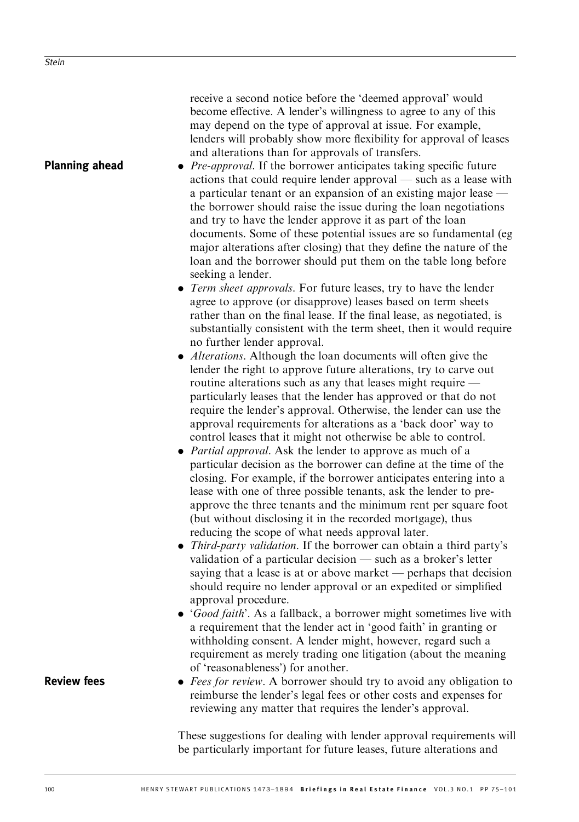|                       | become effective. A lender's willingness to agree to any of this<br>may depend on the type of approval at issue. For example,<br>lenders will probably show more flexibility for approval of leases<br>and alterations than for approvals of transfers.                                                                                                                                                                                                                                                                                                                                                                                                                                                                                                                                                                                                                                                                                                  |
|-----------------------|----------------------------------------------------------------------------------------------------------------------------------------------------------------------------------------------------------------------------------------------------------------------------------------------------------------------------------------------------------------------------------------------------------------------------------------------------------------------------------------------------------------------------------------------------------------------------------------------------------------------------------------------------------------------------------------------------------------------------------------------------------------------------------------------------------------------------------------------------------------------------------------------------------------------------------------------------------|
| <b>Planning ahead</b> | • <i>Pre-approval</i> . If the borrower anticipates taking specific future<br>actions that could require lender approval — such as a lease with<br>a particular tenant or an expansion of an existing major lease —<br>the borrower should raise the issue during the loan negotiations<br>and try to have the lender approve it as part of the loan<br>documents. Some of these potential issues are so fundamental (eg<br>major alterations after closing) that they define the nature of the<br>loan and the borrower should put them on the table long before<br>seeking a lender.                                                                                                                                                                                                                                                                                                                                                                   |
|                       | <i>Term sheet approvals.</i> For future leases, try to have the lender<br>$\bullet$<br>agree to approve (or disapprove) leases based on term sheets<br>rather than on the final lease. If the final lease, as negotiated, is<br>substantially consistent with the term sheet, then it would require<br>no further lender approval.                                                                                                                                                                                                                                                                                                                                                                                                                                                                                                                                                                                                                       |
|                       | • <i>Alterations</i> . Although the loan documents will often give the<br>lender the right to approve future alterations, try to carve out<br>routine alterations such as any that leases might require —<br>particularly leases that the lender has approved or that do not<br>require the lender's approval. Otherwise, the lender can use the<br>approval requirements for alterations as a 'back door' way to<br>control leases that it might not otherwise be able to control.<br><i>Partial approval.</i> Ask the lender to approve as much of a<br>particular decision as the borrower can define at the time of the<br>closing. For example, if the borrower anticipates entering into a<br>lease with one of three possible tenants, ask the lender to pre-<br>approve the three tenants and the minimum rent per square foot<br>(but without disclosing it in the recorded mortgage), thus<br>reducing the scope of what needs approval later. |
|                       | <i>Third-party validation.</i> If the borrower can obtain a third party's<br>validation of a particular decision — such as a broker's letter<br>saying that a lease is at or above market $-$ perhaps that decision<br>should require no lender approval or an expedited or simplified<br>approval procedure.<br><i>'Good faith'</i> . As a fallback, a borrower might sometimes live with                                                                                                                                                                                                                                                                                                                                                                                                                                                                                                                                                               |
|                       | a requirement that the lender act in 'good faith' in granting or<br>withholding consent. A lender might, however, regard such a<br>requirement as merely trading one litigation (about the meaning<br>of 'reasonableness') for another.                                                                                                                                                                                                                                                                                                                                                                                                                                                                                                                                                                                                                                                                                                                  |
| <b>Review fees</b>    | • Fees for review. A borrower should try to avoid any obligation to<br>reimburse the lender's legal fees or other costs and expenses for<br>reviewing any matter that requires the lender's approval.                                                                                                                                                                                                                                                                                                                                                                                                                                                                                                                                                                                                                                                                                                                                                    |
|                       | These suggestions for dealing with lender approval requirements will                                                                                                                                                                                                                                                                                                                                                                                                                                                                                                                                                                                                                                                                                                                                                                                                                                                                                     |

receive a second notice before the 'deemed approval' would

be particularly important for future leases, future alterations and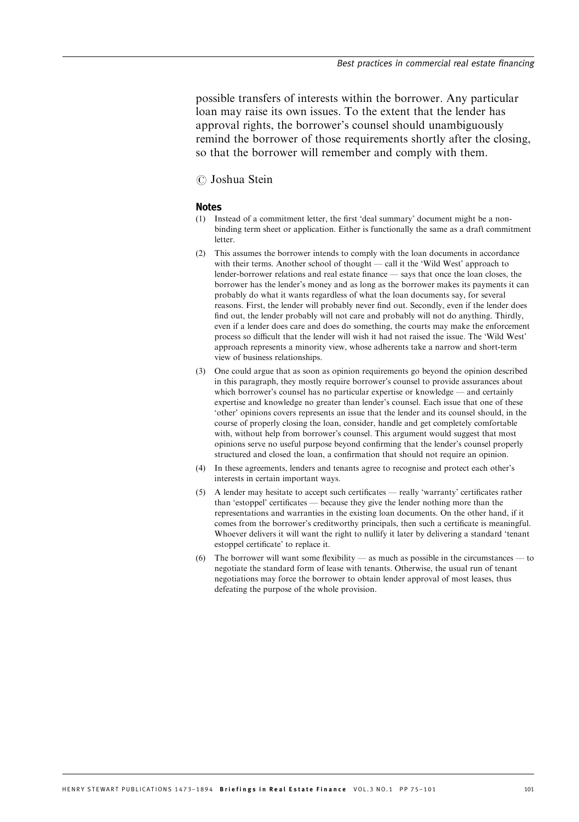possible transfers of interests within the borrower. Any particular loan may raise its own issues. To the extent that the lender has approval rights, the borrower's counsel should unambiguously remind the borrower of those requirements shortly after the closing, so that the borrower will remember and comply with them.

# $\oslash$  Joshua Stein

#### Notes

- (1) Instead of a commitment letter, the first 'deal summary' document might be a nonbinding term sheet or application. Either is functionally the same as a draft commitment letter.
- (2) This assumes the borrower intends to comply with the loan documents in accordance with their terms. Another school of thought — call it the 'Wild West' approach to lender-borrower relations and real estate finance — says that once the loan closes, the borrower has the lender's money and as long as the borrower makes its payments it can probably do what it wants regardless of what the loan documents say, for several reasons. First, the lender will probably never find out. Secondly, even if the lender does find out, the lender probably will not care and probably will not do anything. Thirdly, even if a lender does care and does do something, the courts may make the enforcement process so difficult that the lender will wish it had not raised the issue. The 'Wild West' approach represents a minority view, whose adherents take a narrow and short-term view of business relationships.
- (3) One could argue that as soon as opinion requirements go beyond the opinion described in this paragraph, they mostly require borrower's counsel to provide assurances about which borrower's counsel has no particular expertise or knowledge — and certainly expertise and knowledge no greater than lender's counsel. Each issue that one of these 'other' opinions covers represents an issue that the lender and its counsel should, in the course of properly closing the loan, consider, handle and get completely comfortable with, without help from borrower's counsel. This argument would suggest that most opinions serve no useful purpose beyond confirming that the lender's counsel properly structured and closed the loan, a confirmation that should not require an opinion.
- (4) In these agreements, lenders and tenants agree to recognise and protect each other's interests in certain important ways.
- (5) A lender may hesitate to accept such certificates really 'warranty' certificates rather than 'estoppel' certificates — because they give the lender nothing more than the representations and warranties in the existing loan documents. On the other hand, if it comes from the borrower's creditworthy principals, then such a certificate is meaningful. Whoever delivers it will want the right to nullify it later by delivering a standard 'tenant estoppel certificate' to replace it.
- (6) The borrower will want some flexibility as much as possible in the circumstances to negotiate the standard form of lease with tenants. Otherwise, the usual run of tenant negotiations may force the borrower to obtain lender approval of most leases, thus defeating the purpose of the whole provision.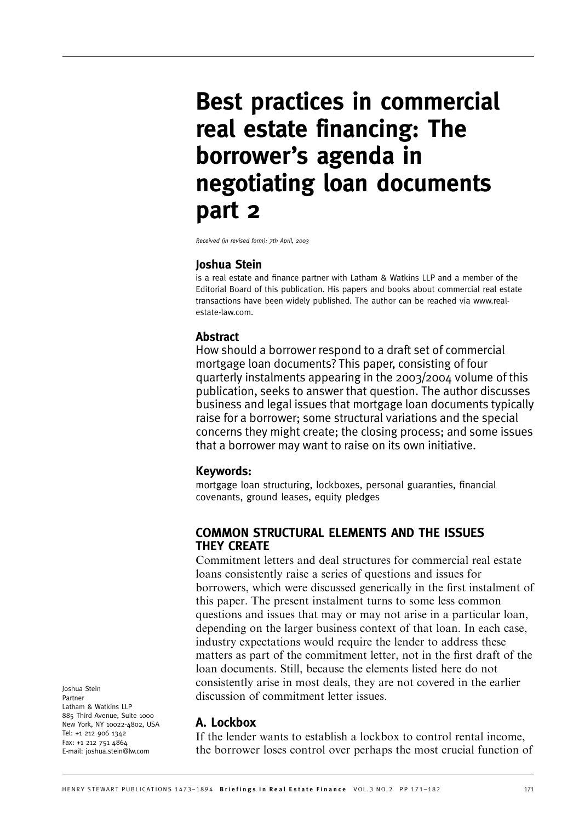# Best practices in commercial real estate financing: The borrower's agenda in negotiating loan documents part 2

Received (in revised form): 7th April, 2003

# Joshua Stein

is a real estate and finance partner with Latham & Watkins LLP and a member of the Editorial Board of this publication. His papers and books about commercial real estate transactions have been widely published. The author can be reached via www.realestate-law.com.

# Abstract

How should a borrower respond to a draft set of commercial mortgage loan documents? This paper, consisting of four quarterly instalments appearing in the 2003/2004 volume of this publication, seeks to answer that question. The author discusses business and legal issues that mortgage loan documents typically raise for a borrower; some structural variations and the special concerns they might create; the closing process; and some issues that a borrower may want to raise on its own initiative.

# Keywords:

mortgage loan structuring, lockboxes, personal guaranties, financial covenants, ground leases, equity pledges

# COMMON STRUCTURAL ELEMENTS AND THE ISSUES THEY CREATE

Commitment letters and deal structures for commercial real estate loans consistently raise a series of questions and issues for borrowers, which were discussed generically in the first instalment of this paper. The present instalment turns to some less common questions and issues that may or may not arise in a particular loan, depending on the larger business context of that loan. In each case, industry expectations would require the lender to address these matters as part of the commitment letter, not in the first draft of the loan documents. Still, because the elements listed here do not consistently arise in most deals, they are not covered in the earlier discussion of commitment letter issues.

# A. Lockbox

If the lender wants to establish a lockbox to control rental income, the borrower loses control over perhaps the most crucial function of

Joshua Stein Partner Latham & Watkins LLP 885 Third Avenue, Suite 1000 New York, NY 10022-4802, USA Tel: +1 212 906 1342 Fax: +1 212 751 4864 E-mail: joshua.stein@lw.com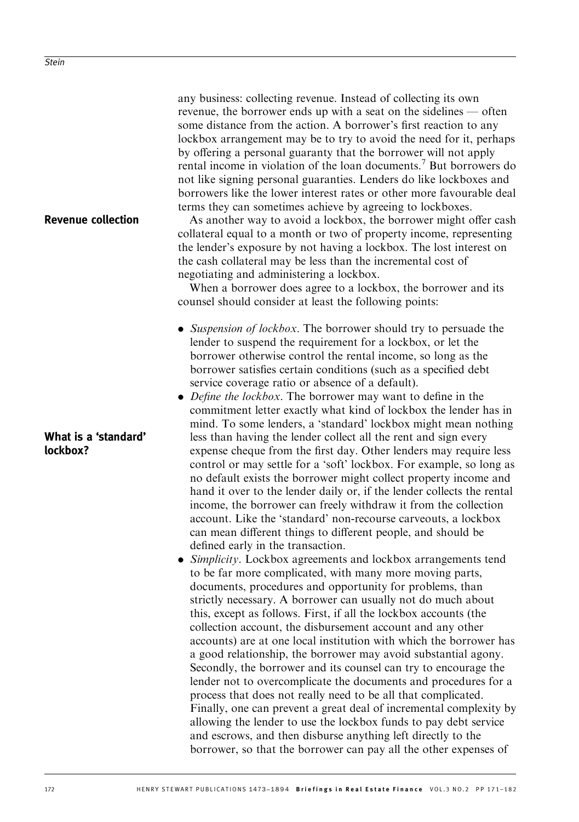revenue, the borrower ends up with a seat on the sidelines — often some distance from the action. A borrower's first reaction to any lockbox arrangement may be to try to avoid the need for it, perhaps by offering a personal guaranty that the borrower will not apply rental income in violation of the loan documents.7 But borrowers do not like signing personal guaranties. Lenders do like lockboxes and borrowers like the lower interest rates or other more favourable deal terms they can sometimes achieve by agreeing to lockboxes. As another way to avoid a lockbox, the borrower might offer cash collateral equal to a month or two of property income, representing the lender's exposure by not having a lockbox. The lost interest on the cash collateral may be less than the incremental cost of negotiating and administering a lockbox. When a borrower does agree to a lockbox, the borrower and its counsel should consider at least the following points: • Suspension of lockbox. The borrower should try to persuade the lender to suspend the requirement for a lockbox, or let the borrower otherwise control the rental income, so long as the borrower satisfies certain conditions (such as a specified debt service coverage ratio or absence of a default). • Define the lockbox. The borrower may want to define in the commitment letter exactly what kind of lockbox the lender has in mind. To some lenders, a 'standard' lockbox might mean nothing less than having the lender collect all the rent and sign every expense cheque from the first day. Other lenders may require less control or may settle for a 'soft' lockbox. For example, so long as no default exists the borrower might collect property income and hand it over to the lender daily or, if the lender collects the rental income, the borrower can freely withdraw it from the collection account. Like the 'standard' non-recourse carveouts, a lockbox can mean different things to different people, and should be defined early in the transaction. • Simplicity. Lockbox agreements and lockbox arrangements tend to be far more complicated, with many more moving parts, documents, procedures and opportunity for problems, than strictly necessary. A borrower can usually not do much about this, except as follows. First, if all the lockbox accounts (the collection account, the disbursement account and any other accounts) are at one local institution with which the borrower has a good relationship, the borrower may avoid substantial agony. Secondly, the borrower and its counsel can try to encourage the lender not to overcomplicate the documents and procedures for a process that does not really need to be all that complicated. Finally, one can prevent a great deal of incremental complexity by allowing the lender to use the lockbox funds to pay debt service and escrows, and then disburse anything left directly to the Revenue collection What is a 'standard' lockbox?

any business: collecting revenue. Instead of collecting its own

borrower, so that the borrower can pay all the other expenses of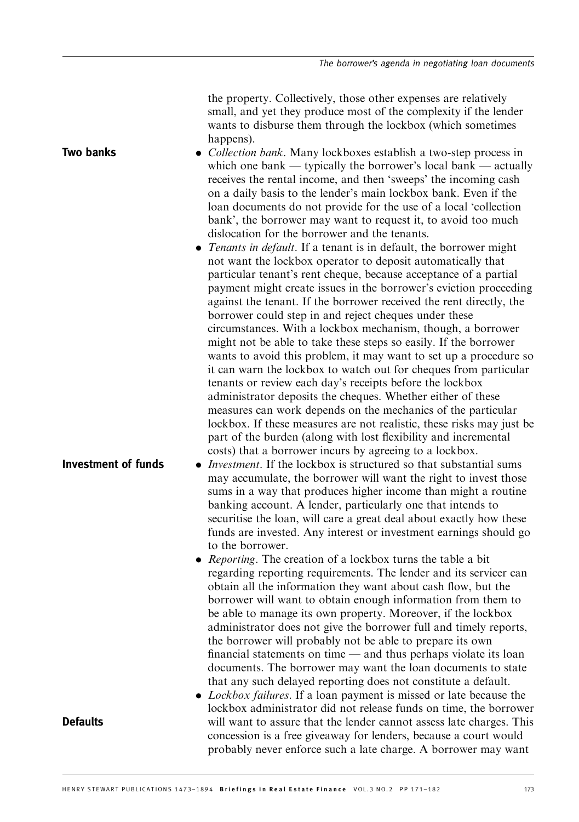the property. Collectively, those other expenses are relatively small, and yet they produce most of the complexity if the lender wants to disburse them through the lockbox (which sometimes happens).

• *Collection bank*. Many lockboxes establish a two-step process in which one bank — typically the borrower's local bank — actually receives the rental income, and then 'sweeps' the incoming cash on a daily basis to the lender's main lockbox bank. Even if the loan documents do not provide for the use of a local 'collection bank', the borrower may want to request it, to avoid too much dislocation for the borrower and the tenants.

• Tenants in default. If a tenant is in default, the borrower might not want the lockbox operator to deposit automatically that particular tenant's rent cheque, because acceptance of a partial payment might create issues in the borrower's eviction proceeding against the tenant. If the borrower received the rent directly, the borrower could step in and reject cheques under these circumstances. With a lockbox mechanism, though, a borrower might not be able to take these steps so easily. If the borrower wants to avoid this problem, it may want to set up a procedure so it can warn the lockbox to watch out for cheques from particular tenants or review each day's receipts before the lockbox administrator deposits the cheques. Whether either of these measures can work depends on the mechanics of the particular lockbox. If these measures are not realistic, these risks may just be part of the burden (along with lost flexibility and incremental costs) that a borrower incurs by agreeing to a lockbox.

- *Investment*. If the lockbox is structured so that substantial sums may accumulate, the borrower will want the right to invest those sums in a way that produces higher income than might a routine banking account. A lender, particularly one that intends to securitise the loan, will care a great deal about exactly how these funds are invested. Any interest or investment earnings should go to the borrower.
	- . Reporting. The creation of a lockbox turns the table a bit regarding reporting requirements. The lender and its servicer can obtain all the information they want about cash flow, but the borrower will want to obtain enough information from them to be able to manage its own property. Moreover, if the lockbox administrator does not give the borrower full and timely reports, the borrower will probably not be able to prepare its own financial statements on time — and thus perhaps violate its loan documents. The borrower may want the loan documents to state that any such delayed reporting does not constitute a default.
	- *Lockbox failures*. If a loan payment is missed or late because the lockbox administrator did not release funds on time, the borrower will want to assure that the lender cannot assess late charges. This concession is a free giveaway for lenders, because a court would probably never enforce such a late charge. A borrower may want

# **Defaults**

Investment of funds

Two banks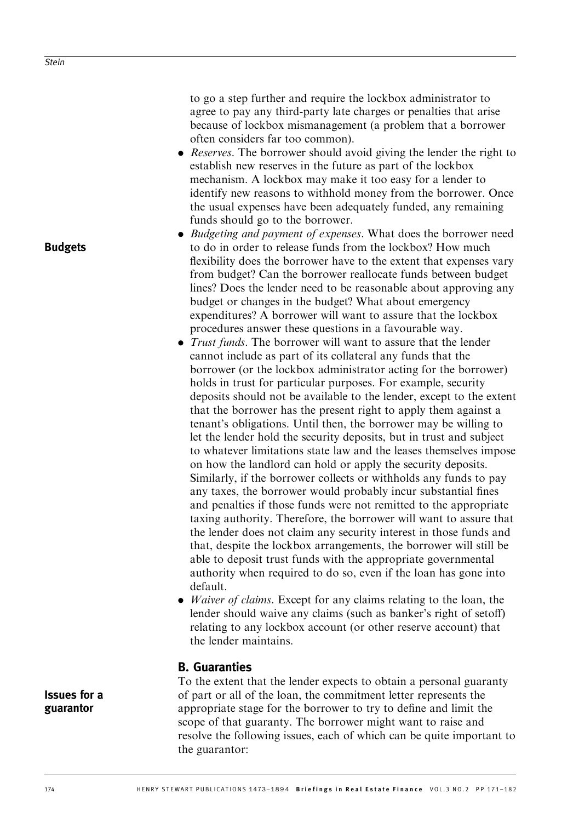Budgets

to go a step further and require the lockbox administrator to agree to pay any third-party late charges or penalties that arise because of lockbox mismanagement (a problem that a borrower often considers far too common).

- *Reserves*. The borrower should avoid giving the lender the right to establish new reserves in the future as part of the lockbox mechanism. A lockbox may make it too easy for a lender to identify new reasons to withhold money from the borrower. Once the usual expenses have been adequately funded, any remaining funds should go to the borrower.
- *Budgeting and payment of expenses*. What does the borrower need to do in order to release funds from the lockbox? How much flexibility does the borrower have to the extent that expenses vary from budget? Can the borrower reallocate funds between budget lines? Does the lender need to be reasonable about approving any budget or changes in the budget? What about emergency expenditures? A borrower will want to assure that the lockbox procedures answer these questions in a favourable way.
- *Trust funds*. The borrower will want to assure that the lender cannot include as part of its collateral any funds that the borrower (or the lockbox administrator acting for the borrower) holds in trust for particular purposes. For example, security deposits should not be available to the lender, except to the extent that the borrower has the present right to apply them against a tenant's obligations. Until then, the borrower may be willing to let the lender hold the security deposits, but in trust and subject to whatever limitations state law and the leases themselves impose on how the landlord can hold or apply the security deposits. Similarly, if the borrower collects or withholds any funds to pay any taxes, the borrower would probably incur substantial fines and penalties if those funds were not remitted to the appropriate taxing authority. Therefore, the borrower will want to assure that the lender does not claim any security interest in those funds and that, despite the lockbox arrangements, the borrower will still be able to deposit trust funds with the appropriate governmental authority when required to do so, even if the loan has gone into default.
- *Waiver of claims*. Except for any claims relating to the loan, the lender should waive any claims (such as banker's right of setoff) relating to any lockbox account (or other reserve account) that the lender maintains.

# B. Guaranties

To the extent that the lender expects to obtain a personal guaranty of part or all of the loan, the commitment letter represents the appropriate stage for the borrower to try to define and limit the scope of that guaranty. The borrower might want to raise and resolve the following issues, each of which can be quite important to the guarantor:

Issues for a guarantor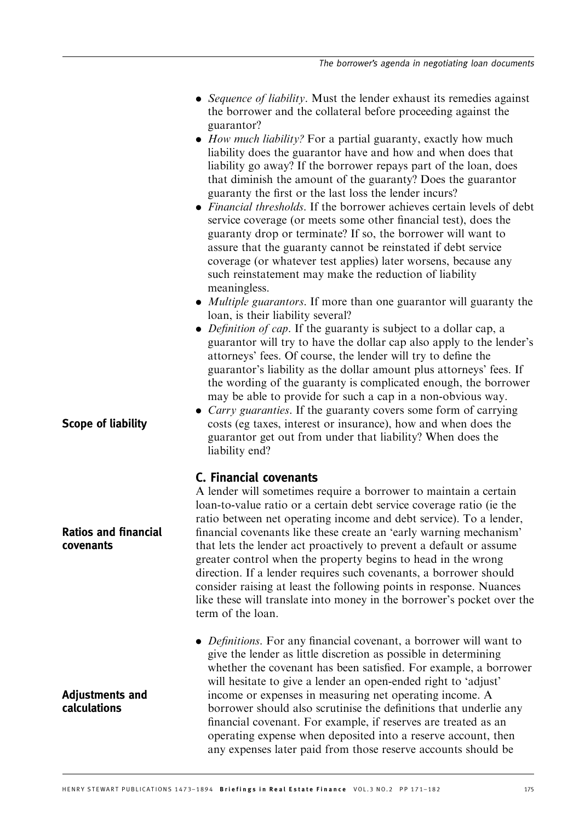- Sequence of liability. Must the lender exhaust its remedies against the borrower and the collateral before proceeding against the guarantor?
- How much liability? For a partial guaranty, exactly how much liability does the guarantor have and how and when does that liability go away? If the borrower repays part of the loan, does that diminish the amount of the guaranty? Does the guarantor guaranty the first or the last loss the lender incurs?
- . Financial thresholds. If the borrower achieves certain levels of debt service coverage (or meets some other financial test), does the guaranty drop or terminate? If so, the borrower will want to assure that the guaranty cannot be reinstated if debt service coverage (or whatever test applies) later worsens, because any such reinstatement may make the reduction of liability meaningless.
- *Multiple guarantors*. If more than one guarantor will guaranty the loan, is their liability several?
- Definition of cap. If the guaranty is subject to a dollar cap, a guarantor will try to have the dollar cap also apply to the lender's attorneys' fees. Of course, the lender will try to define the guarantor's liability as the dollar amount plus attorneys' fees. If the wording of the guaranty is complicated enough, the borrower may be able to provide for such a cap in a non-obvious way.
- *Carry guaranties*. If the guaranty covers some form of carrying costs (eg taxes, interest or insurance), how and when does the guarantor get out from under that liability? When does the liability end?

# C. Financial covenants

A lender will sometimes require a borrower to maintain a certain loan-to-value ratio or a certain debt service coverage ratio (ie the ratio between net operating income and debt service). To a lender, financial covenants like these create an 'early warning mechanism' that lets the lender act proactively to prevent a default or assume greater control when the property begins to head in the wrong direction. If a lender requires such covenants, a borrower should consider raising at least the following points in response. Nuances like these will translate into money in the borrower's pocket over the term of the loan.

• *Definitions*. For any financial covenant, a borrower will want to give the lender as little discretion as possible in determining whether the covenant has been satisfied. For example, a borrower will hesitate to give a lender an open-ended right to 'adjust' income or expenses in measuring net operating income. A borrower should also scrutinise the definitions that underlie any financial covenant. For example, if reserves are treated as an operating expense when deposited into a reserve account, then any expenses later paid from those reserve accounts should be

Scope of liability

# Ratios and financial covenants

# Adjustments and calculations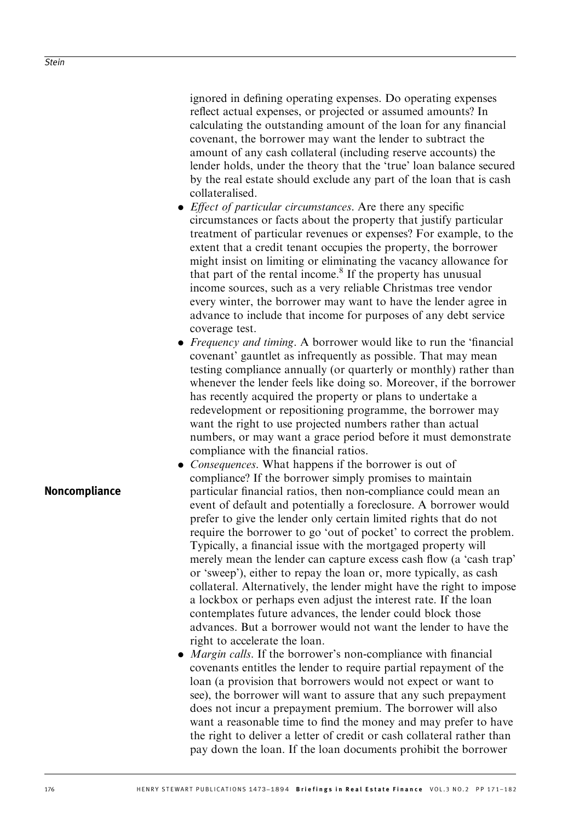ignored in defining operating expenses. Do operating expenses reflect actual expenses, or projected or assumed amounts? In calculating the outstanding amount of the loan for any financial covenant, the borrower may want the lender to subtract the amount of any cash collateral (including reserve accounts) the lender holds, under the theory that the 'true' loan balance secured by the real estate should exclude any part of the loan that is cash collateralised.

- *Effect of particular circumstances*. Are there any specific circumstances or facts about the property that justify particular treatment of particular revenues or expenses? For example, to the extent that a credit tenant occupies the property, the borrower might insist on limiting or eliminating the vacancy allowance for that part of the rental income.<sup>8</sup> If the property has unusual income sources, such as a very reliable Christmas tree vendor every winter, the borrower may want to have the lender agree in advance to include that income for purposes of any debt service coverage test.
- *Frequency and timing.* A borrower would like to run the 'financial' covenant' gauntlet as infrequently as possible. That may mean testing compliance annually (or quarterly or monthly) rather than whenever the lender feels like doing so. Moreover, if the borrower has recently acquired the property or plans to undertake a redevelopment or repositioning programme, the borrower may want the right to use projected numbers rather than actual numbers, or may want a grace period before it must demonstrate compliance with the financial ratios.
- *Consequences*. What happens if the borrower is out of compliance? If the borrower simply promises to maintain particular financial ratios, then non-compliance could mean an event of default and potentially a foreclosure. A borrower would prefer to give the lender only certain limited rights that do not require the borrower to go 'out of pocket' to correct the problem. Typically, a financial issue with the mortgaged property will merely mean the lender can capture excess cash flow (a 'cash trap' or 'sweep'), either to repay the loan or, more typically, as cash collateral. Alternatively, the lender might have the right to impose a lockbox or perhaps even adjust the interest rate. If the loan contemplates future advances, the lender could block those advances. But a borrower would not want the lender to have the right to accelerate the loan.
- *Margin calls*. If the borrower's non-compliance with financial covenants entitles the lender to require partial repayment of the loan (a provision that borrowers would not expect or want to see), the borrower will want to assure that any such prepayment does not incur a prepayment premium. The borrower will also want a reasonable time to find the money and may prefer to have the right to deliver a letter of credit or cash collateral rather than pay down the loan. If the loan documents prohibit the borrower

# Noncompliance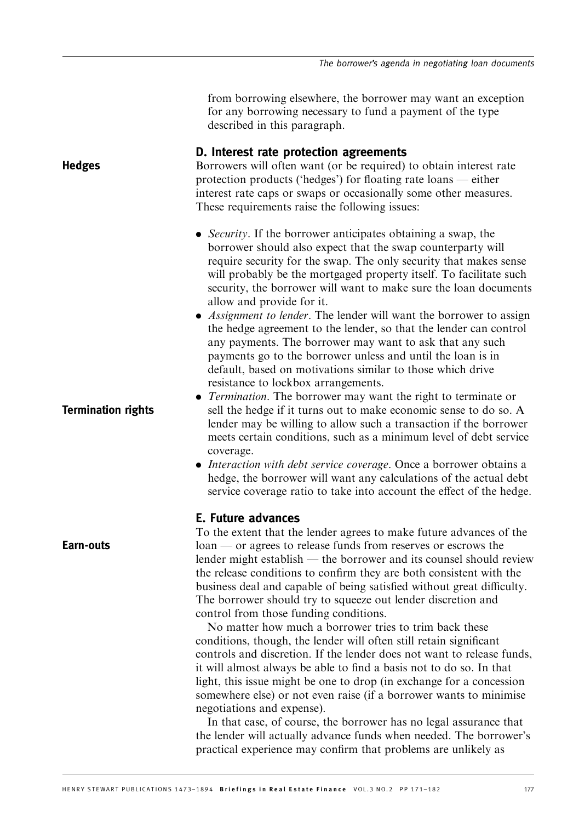from borrowing elsewhere, the borrower may want an exception for any borrowing necessary to fund a payment of the type described in this paragraph.

#### D. Interest rate protection agreements

Borrowers will often want (or be required) to obtain interest rate protection products ('hedges') for floating rate loans — either interest rate caps or swaps or occasionally some other measures. These requirements raise the following issues:

- . Security. If the borrower anticipates obtaining a swap, the borrower should also expect that the swap counterparty will require security for the swap. The only security that makes sense will probably be the mortgaged property itself. To facilitate such security, the borrower will want to make sure the loan documents allow and provide for it.
- . Assignment to lender. The lender will want the borrower to assign the hedge agreement to the lender, so that the lender can control any payments. The borrower may want to ask that any such payments go to the borrower unless and until the loan is in default, based on motivations similar to those which drive resistance to lockbox arrangements.
- *Termination*. The borrower may want the right to terminate or sell the hedge if it turns out to make economic sense to do so. A lender may be willing to allow such a transaction if the borrower meets certain conditions, such as a minimum level of debt service coverage.
- . Interaction with debt service coverage. Once a borrower obtains a hedge, the borrower will want any calculations of the actual debt service coverage ratio to take into account the effect of the hedge.

#### E. Future advances

To the extent that the lender agrees to make future advances of the loan — or agrees to release funds from reserves or escrows the lender might establish — the borrower and its counsel should review the release conditions to confirm they are both consistent with the business deal and capable of being satisfied without great difficulty. The borrower should try to squeeze out lender discretion and control from those funding conditions.

No matter how much a borrower tries to trim back these conditions, though, the lender will often still retain significant controls and discretion. If the lender does not want to release funds, it will almost always be able to find a basis not to do so. In that light, this issue might be one to drop (in exchange for a concession somewhere else) or not even raise (if a borrower wants to minimise negotiations and expense).

In that case, of course, the borrower has no legal assurance that the lender will actually advance funds when needed. The borrower's practical experience may confirm that problems are unlikely as

Earn-outs

Termination rights

**Hedges**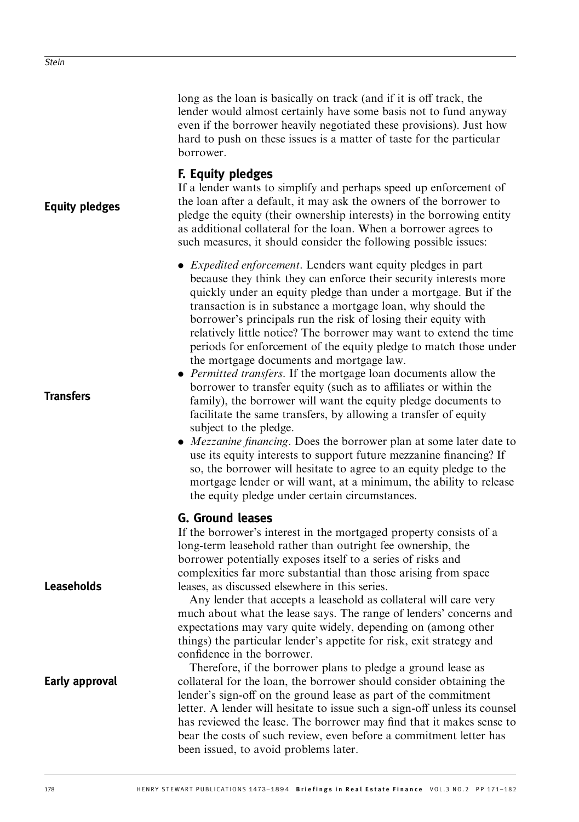Equity pledges

**Transfers** 

Leaseholds

long as the loan is basically on track (and if it is off track, the lender would almost certainly have some basis not to fund anyway even if the borrower heavily negotiated these provisions). Just how hard to push on these issues is a matter of taste for the particular borrower.

# F. Equity pledges

If a lender wants to simplify and perhaps speed up enforcement of the loan after a default, it may ask the owners of the borrower to pledge the equity (their ownership interests) in the borrowing entity as additional collateral for the loan. When a borrower agrees to such measures, it should consider the following possible issues:

- *Expedited enforcement*. Lenders want equity pledges in part because they think they can enforce their security interests more quickly under an equity pledge than under a mortgage. But if the transaction is in substance a mortgage loan, why should the borrower's principals run the risk of losing their equity with relatively little notice? The borrower may want to extend the time periods for enforcement of the equity pledge to match those under the mortgage documents and mortgage law.
- Permitted transfers. If the mortgage loan documents allow the borrower to transfer equity (such as to affiliates or within the family), the borrower will want the equity pledge documents to facilitate the same transfers, by allowing a transfer of equity subject to the pledge.
- Mezzanine financing. Does the borrower plan at some later date to use its equity interests to support future mezzanine financing? If so, the borrower will hesitate to agree to an equity pledge to the mortgage lender or will want, at a minimum, the ability to release the equity pledge under certain circumstances.

# G. Ground leases

If the borrower's interest in the mortgaged property consists of a long-term leasehold rather than outright fee ownership, the borrower potentially exposes itself to a series of risks and complexities far more substantial than those arising from space leases, as discussed elsewhere in this series.

Any lender that accepts a leasehold as collateral will care very much about what the lease says. The range of lenders' concerns and expectations may vary quite widely, depending on (among other things) the particular lender's appetite for risk, exit strategy and confidence in the borrower.

Therefore, if the borrower plans to pledge a ground lease as collateral for the loan, the borrower should consider obtaining the lender's sign-off on the ground lease as part of the commitment letter. A lender will hesitate to issue such a sign-off unless its counsel has reviewed the lease. The borrower may find that it makes sense to bear the costs of such review, even before a commitment letter has been issued, to avoid problems later. Early approval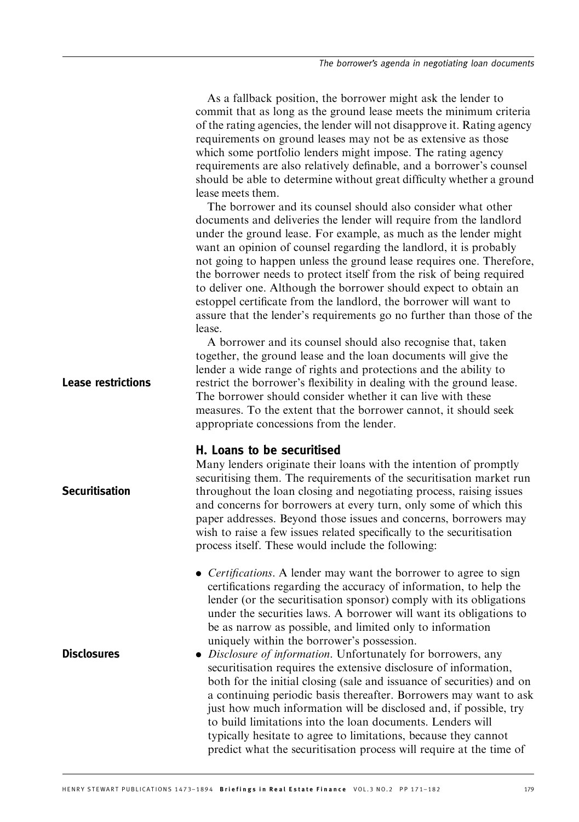As a fallback position, the borrower might ask the lender to commit that as long as the ground lease meets the minimum criteria of the rating agencies, the lender will not disapprove it. Rating agency requirements on ground leases may not be as extensive as those which some portfolio lenders might impose. The rating agency requirements are also relatively definable, and a borrower's counsel should be able to determine without great difficulty whether a ground lease meets them.

The borrower and its counsel should also consider what other documents and deliveries the lender will require from the landlord under the ground lease. For example, as much as the lender might want an opinion of counsel regarding the landlord, it is probably not going to happen unless the ground lease requires one. Therefore, the borrower needs to protect itself from the risk of being required to deliver one. Although the borrower should expect to obtain an estoppel certificate from the landlord, the borrower will want to assure that the lender's requirements go no further than those of the lease.

A borrower and its counsel should also recognise that, taken together, the ground lease and the loan documents will give the lender a wide range of rights and protections and the ability to restrict the borrower's flexibility in dealing with the ground lease. The borrower should consider whether it can live with these measures. To the extent that the borrower cannot, it should seek appropriate concessions from the lender. Lease restrictions

# H. Loans to be securitised

Securitisation

**Disclosures** 

Many lenders originate their loans with the intention of promptly securitising them. The requirements of the securitisation market run throughout the loan closing and negotiating process, raising issues and concerns for borrowers at every turn, only some of which this paper addresses. Beyond those issues and concerns, borrowers may wish to raise a few issues related specifically to the securitisation process itself. These would include the following:

- Certifications. A lender may want the borrower to agree to sign certifications regarding the accuracy of information, to help the lender (or the securitisation sponsor) comply with its obligations under the securities laws. A borrower will want its obligations to be as narrow as possible, and limited only to information uniquely within the borrower's possession.
- Disclosure of information. Unfortunately for borrowers, any securitisation requires the extensive disclosure of information, both for the initial closing (sale and issuance of securities) and on a continuing periodic basis thereafter. Borrowers may want to ask just how much information will be disclosed and, if possible, try to build limitations into the loan documents. Lenders will typically hesitate to agree to limitations, because they cannot predict what the securitisation process will require at the time of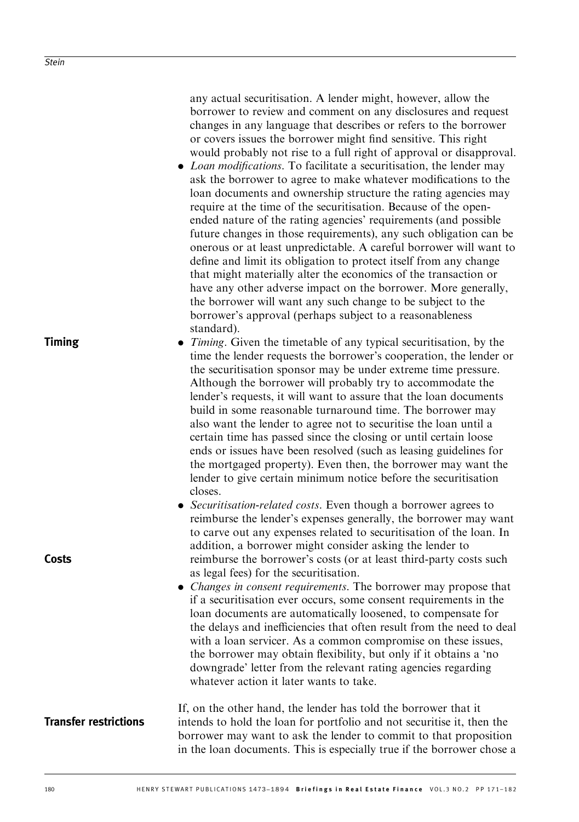Timing

**Costs** 

any actual securitisation. A lender might, however, allow the borrower to review and comment on any disclosures and request changes in any language that describes or refers to the borrower or covers issues the borrower might find sensitive. This right would probably not rise to a full right of approval or disapproval.

- Loan modifications. To facilitate a securitisation, the lender may ask the borrower to agree to make whatever modifications to the loan documents and ownership structure the rating agencies may require at the time of the securitisation. Because of the openended nature of the rating agencies' requirements (and possible future changes in those requirements), any such obligation can be onerous or at least unpredictable. A careful borrower will want to define and limit its obligation to protect itself from any change that might materially alter the economics of the transaction or have any other adverse impact on the borrower. More generally, the borrower will want any such change to be subject to the borrower's approval (perhaps subject to a reasonableness standard).
- *Timing*. Given the timetable of any typical securitisation, by the time the lender requests the borrower's cooperation, the lender or the securitisation sponsor may be under extreme time pressure. Although the borrower will probably try to accommodate the lender's requests, it will want to assure that the loan documents build in some reasonable turnaround time. The borrower may also want the lender to agree not to securitise the loan until a certain time has passed since the closing or until certain loose ends or issues have been resolved (such as leasing guidelines for the mortgaged property). Even then, the borrower may want the lender to give certain minimum notice before the securitisation closes.
	- . Securitisation-related costs. Even though a borrower agrees to reimburse the lender's expenses generally, the borrower may want to carve out any expenses related to securitisation of the loan. In addition, a borrower might consider asking the lender to reimburse the borrower's costs (or at least third-party costs such as legal fees) for the securitisation.
	- *Changes in consent requirements*. The borrower may propose that if a securitisation ever occurs, some consent requirements in the loan documents are automatically loosened, to compensate for the delays and inefficiencies that often result from the need to deal with a loan servicer. As a common compromise on these issues, the borrower may obtain flexibility, but only if it obtains a 'no downgrade' letter from the relevant rating agencies regarding whatever action it later wants to take.

#### If, on the other hand, the lender has told the borrower that it intends to hold the loan for portfolio and not securitise it, then the borrower may want to ask the lender to commit to that proposition in the loan documents. This is especially true if the borrower chose a Transfer restrictions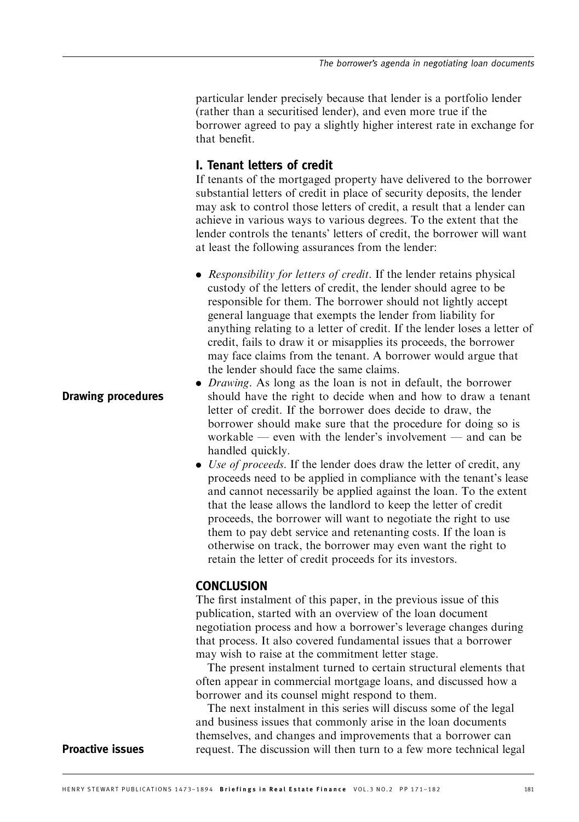particular lender precisely because that lender is a portfolio lender (rather than a securitised lender), and even more true if the borrower agreed to pay a slightly higher interest rate in exchange for that benefit.

# I. Tenant letters of credit

If tenants of the mortgaged property have delivered to the borrower substantial letters of credit in place of security deposits, the lender may ask to control those letters of credit, a result that a lender can achieve in various ways to various degrees. To the extent that the lender controls the tenants' letters of credit, the borrower will want at least the following assurances from the lender:

- Responsibility for letters of credit. If the lender retains physical custody of the letters of credit, the lender should agree to be responsible for them. The borrower should not lightly accept general language that exempts the lender from liability for anything relating to a letter of credit. If the lender loses a letter of credit, fails to draw it or misapplies its proceeds, the borrower may face claims from the tenant. A borrower would argue that the lender should face the same claims.
- *Drawing*. As long as the loan is not in default, the borrower should have the right to decide when and how to draw a tenant letter of credit. If the borrower does decide to draw, the borrower should make sure that the procedure for doing so is workable — even with the lender's involvement — and can be handled quickly.
- Use of proceeds. If the lender does draw the letter of credit, any proceeds need to be applied in compliance with the tenant's lease and cannot necessarily be applied against the loan. To the extent that the lease allows the landlord to keep the letter of credit proceeds, the borrower will want to negotiate the right to use them to pay debt service and retenanting costs. If the loan is otherwise on track, the borrower may even want the right to retain the letter of credit proceeds for its investors.

# **CONCLUSION**

The first instalment of this paper, in the previous issue of this publication, started with an overview of the loan document negotiation process and how a borrower's leverage changes during that process. It also covered fundamental issues that a borrower may wish to raise at the commitment letter stage.

The present instalment turned to certain structural elements that often appear in commercial mortgage loans, and discussed how a borrower and its counsel might respond to them.

The next instalment in this series will discuss some of the legal and business issues that commonly arise in the loan documents themselves, and changes and improvements that a borrower can request. The discussion will then turn to a few more technical legal

# Drawing procedures

Proactive issues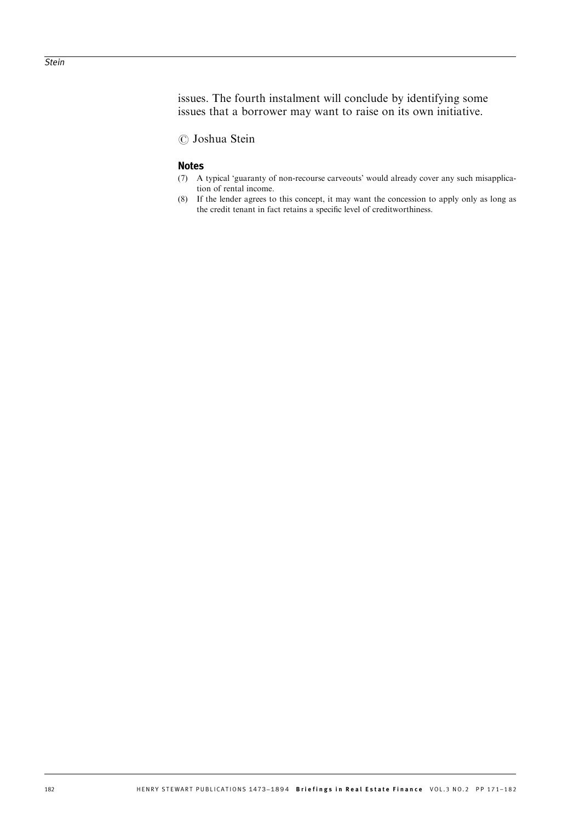issues. The fourth instalment will conclude by identifying some issues that a borrower may want to raise on its own initiative.

 $\oslash$  Joshua Stein

#### Notes

- (7) A typical 'guaranty of non-recourse carveouts' would already cover any such misapplication of rental income.
- (8) If the lender agrees to this concept, it may want the concession to apply only as long as the credit tenant in fact retains a specific level of creditworthiness.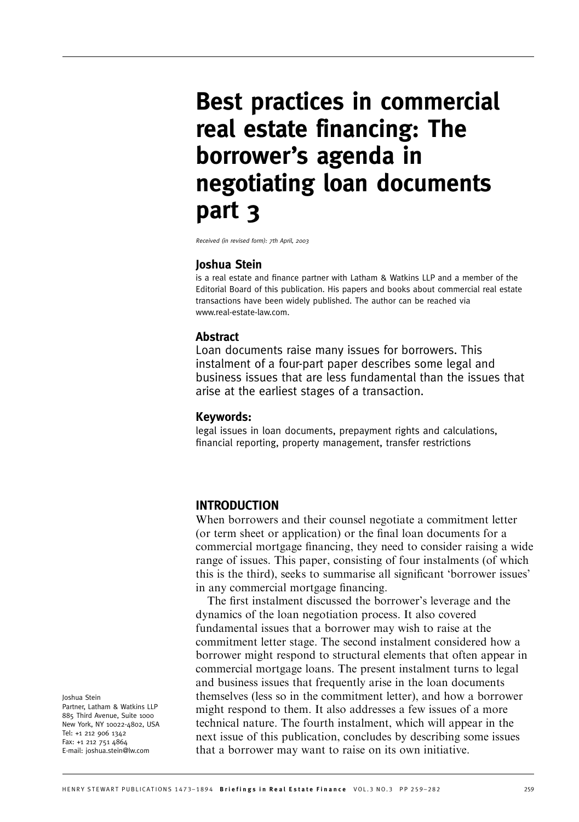# Best practices in commercial real estate financing: The borrower's agenda in negotiating loan documents part 3

Received (in revised form): 7th April, 2003

# Joshua Stein

is a real estate and finance partner with Latham & Watkins LLP and a member of the Editorial Board of this publication. His papers and books about commercial real estate transactions have been widely published. The author can be reached via www.real-estate-law.com.

# Abstract

Loan documents raise many issues for borrowers. This instalment of a four-part paper describes some legal and business issues that are less fundamental than the issues that arise at the earliest stages of a transaction.

### Keywords:

legal issues in loan documents, prepayment rights and calculations, financial reporting, property management, transfer restrictions

# INTRODUCTION

When borrowers and their counsel negotiate a commitment letter (or term sheet or application) or the final loan documents for a commercial mortgage financing, they need to consider raising a wide range of issues. This paper, consisting of four instalments (of which this is the third), seeks to summarise all significant 'borrower issues' in any commercial mortgage financing.

The first instalment discussed the borrower's leverage and the dynamics of the loan negotiation process. It also covered fundamental issues that a borrower may wish to raise at the commitment letter stage. The second instalment considered how a borrower might respond to structural elements that often appear in commercial mortgage loans. The present instalment turns to legal and business issues that frequently arise in the loan documents themselves (less so in the commitment letter), and how a borrower might respond to them. It also addresses a few issues of a more technical nature. The fourth instalment, which will appear in the next issue of this publication, concludes by describing some issues that a borrower may want to raise on its own initiative.

Joshua Stein Partner, Latham & Watkins LLP 885 Third Avenue, Suite 1000 New York, NY 10022-4802, USA Tel: +1 212 906 1342 Fax: +1 212 751 4864 E-mail: joshua.stein@lw.com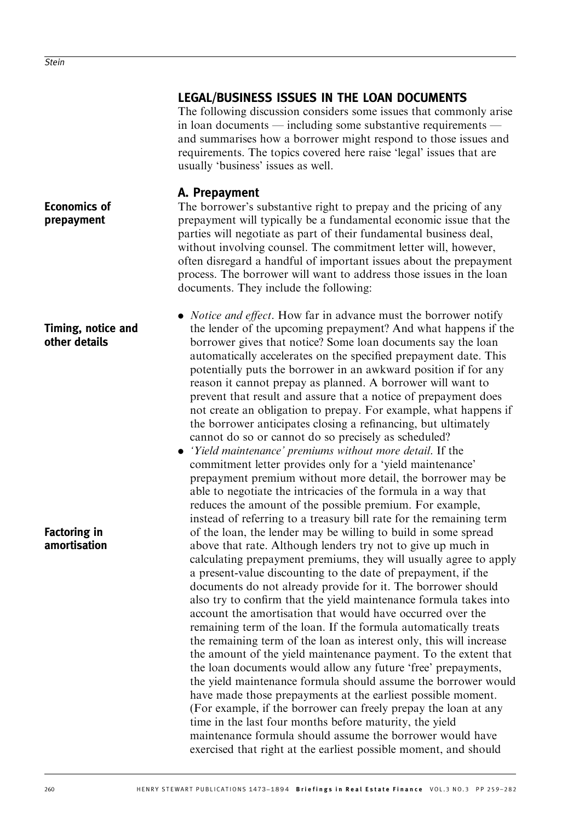# LEGAL/BUSINESS ISSUES IN THE LOAN DOCUMENTS

The following discussion considers some issues that commonly arise in loan documents — including some substantive requirements and summarises how a borrower might respond to those issues and requirements. The topics covered here raise 'legal' issues that are usually 'business' issues as well.

# A. Prepayment

The borrower's substantive right to prepay and the pricing of any prepayment will typically be a fundamental economic issue that the parties will negotiate as part of their fundamental business deal, without involving counsel. The commitment letter will, however, often disregard a handful of important issues about the prepayment process. The borrower will want to address those issues in the loan documents. They include the following:

- *Notice and effect*. How far in advance must the borrower notify the lender of the upcoming prepayment? And what happens if the borrower gives that notice? Some loan documents say the loan automatically accelerates on the specified prepayment date. This potentially puts the borrower in an awkward position if for any reason it cannot prepay as planned. A borrower will want to prevent that result and assure that a notice of prepayment does not create an obligation to prepay. For example, what happens if the borrower anticipates closing a refinancing, but ultimately cannot do so or cannot do so precisely as scheduled?
- . 'Yield maintenance' premiums without more detail. If the commitment letter provides only for a 'yield maintenance' prepayment premium without more detail, the borrower may be able to negotiate the intricacies of the formula in a way that reduces the amount of the possible premium. For example, instead of referring to a treasury bill rate for the remaining term of the loan, the lender may be willing to build in some spread above that rate. Although lenders try not to give up much in calculating prepayment premiums, they will usually agree to apply a present-value discounting to the date of prepayment, if the documents do not already provide for it. The borrower should also try to confirm that the yield maintenance formula takes into account the amortisation that would have occurred over the remaining term of the loan. If the formula automatically treats the remaining term of the loan as interest only, this will increase the amount of the yield maintenance payment. To the extent that the loan documents would allow any future 'free' prepayments, the yield maintenance formula should assume the borrower would have made those prepayments at the earliest possible moment. (For example, if the borrower can freely prepay the loan at any time in the last four months before maturity, the yield maintenance formula should assume the borrower would have exercised that right at the earliest possible moment, and should

# Economics of prepayment

# Timing, notice and other details

Factoring in amortisation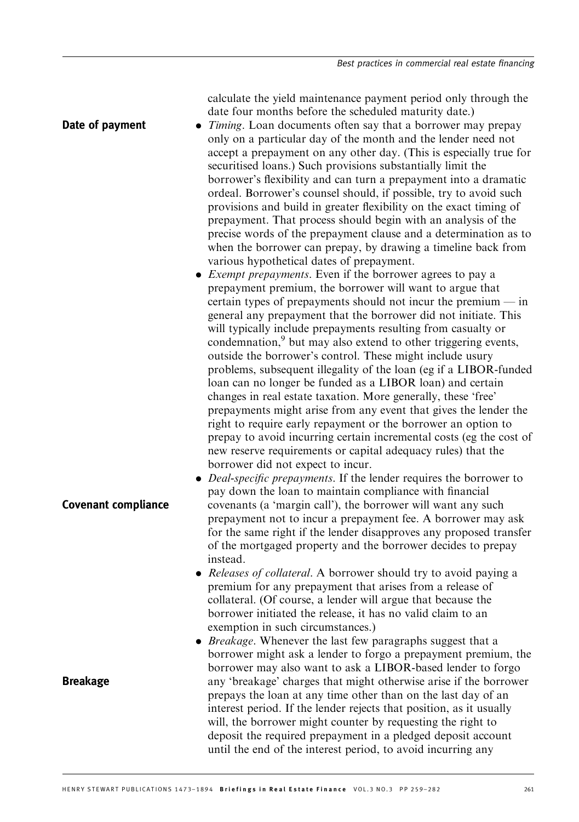calculate the yield maintenance payment period only through the date four months before the scheduled maturity date.)

- *Timing*. Loan documents often say that a borrower may prepay only on a particular day of the month and the lender need not accept a prepayment on any other day. (This is especially true for securitised loans.) Such provisions substantially limit the borrower's flexibility and can turn a prepayment into a dramatic ordeal. Borrower's counsel should, if possible, try to avoid such provisions and build in greater flexibility on the exact timing of prepayment. That process should begin with an analysis of the precise words of the prepayment clause and a determination as to when the borrower can prepay, by drawing a timeline back from various hypothetical dates of prepayment.
	- *Exempt prepayments*. Even if the borrower agrees to pay a prepayment premium, the borrower will want to argue that certain types of prepayments should not incur the premium — in general any prepayment that the borrower did not initiate. This will typically include prepayments resulting from casualty or condemnation,<sup>9</sup> but may also extend to other triggering events, outside the borrower's control. These might include usury problems, subsequent illegality of the loan (eg if a LIBOR-funded loan can no longer be funded as a LIBOR loan) and certain changes in real estate taxation. More generally, these 'free' prepayments might arise from any event that gives the lender the right to require early repayment or the borrower an option to prepay to avoid incurring certain incremental costs (eg the cost of new reserve requirements or capital adequacy rules) that the borrower did not expect to incur.
	- Deal-specific prepayments. If the lender requires the borrower to pay down the loan to maintain compliance with financial covenants (a 'margin call'), the borrower will want any such prepayment not to incur a prepayment fee. A borrower may ask for the same right if the lender disapproves any proposed transfer of the mortgaged property and the borrower decides to prepay instead.
	- Releases of collateral. A borrower should try to avoid paying a premium for any prepayment that arises from a release of collateral. (Of course, a lender will argue that because the borrower initiated the release, it has no valid claim to an exemption in such circumstances.)
	- *Breakage*. Whenever the last few paragraphs suggest that a borrower might ask a lender to forgo a prepayment premium, the borrower may also want to ask a LIBOR-based lender to forgo any 'breakage' charges that might otherwise arise if the borrower prepays the loan at any time other than on the last day of an interest period. If the lender rejects that position, as it usually will, the borrower might counter by requesting the right to deposit the required prepayment in a pledged deposit account until the end of the interest period, to avoid incurring any

Covenant compliance

Date of payment

#### Breakage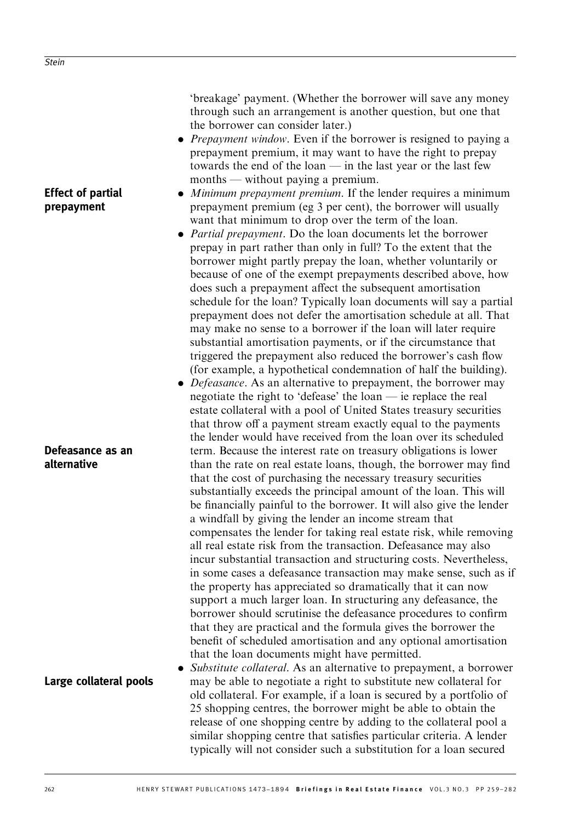# Effect of partial prepayment

Defeasance as an alternative

# Large collateral pools

'breakage' payment. (Whether the borrower will save any money through such an arrangement is another question, but one that the borrower can consider later.)

- *Prepayment window*. Even if the borrower is resigned to paying a prepayment premium, it may want to have the right to prepay towards the end of the loan — in the last year or the last few months — without paying a premium.
- . Minimum prepayment premium. If the lender requires a minimum prepayment premium (eg 3 per cent), the borrower will usually want that minimum to drop over the term of the loan.
- *Partial prepayment*. Do the loan documents let the borrower prepay in part rather than only in full? To the extent that the borrower might partly prepay the loan, whether voluntarily or because of one of the exempt prepayments described above, how does such a prepayment affect the subsequent amortisation schedule for the loan? Typically loan documents will say a partial prepayment does not defer the amortisation schedule at all. That may make no sense to a borrower if the loan will later require substantial amortisation payments, or if the circumstance that triggered the prepayment also reduced the borrower's cash flow (for example, a hypothetical condemnation of half the building).
- *Defeasance*. As an alternative to prepayment, the borrower may negotiate the right to 'defease' the loan — ie replace the real estate collateral with a pool of United States treasury securities that throw off a payment stream exactly equal to the payments the lender would have received from the loan over its scheduled term. Because the interest rate on treasury obligations is lower than the rate on real estate loans, though, the borrower may find that the cost of purchasing the necessary treasury securities substantially exceeds the principal amount of the loan. This will be financially painful to the borrower. It will also give the lender a windfall by giving the lender an income stream that compensates the lender for taking real estate risk, while removing all real estate risk from the transaction. Defeasance may also incur substantial transaction and structuring costs. Nevertheless, in some cases a defeasance transaction may make sense, such as if the property has appreciated so dramatically that it can now support a much larger loan. In structuring any defeasance, the borrower should scrutinise the defeasance procedures to confirm that they are practical and the formula gives the borrower the benefit of scheduled amortisation and any optional amortisation that the loan documents might have permitted.

. Substitute collateral. As an alternative to prepayment, a borrower may be able to negotiate a right to substitute new collateral for old collateral. For example, if a loan is secured by a portfolio of 25 shopping centres, the borrower might be able to obtain the release of one shopping centre by adding to the collateral pool a similar shopping centre that satisfies particular criteria. A lender typically will not consider such a substitution for a loan secured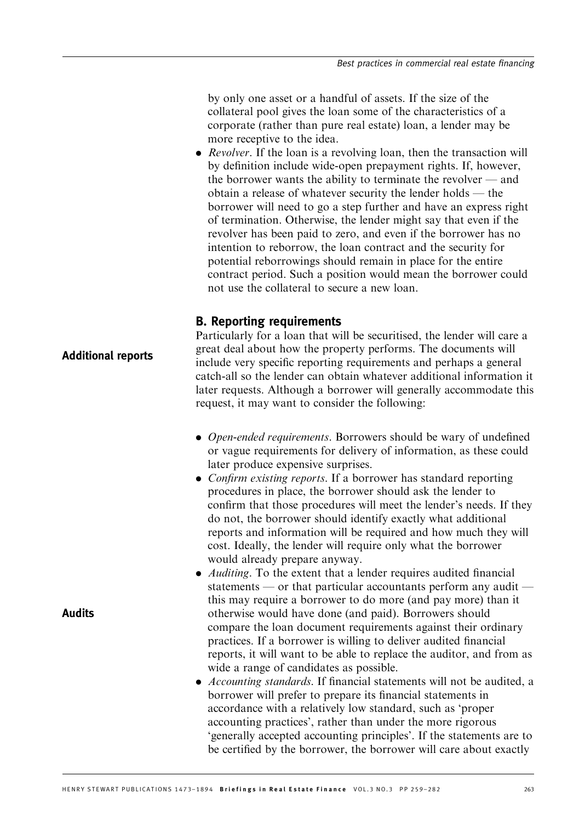by only one asset or a handful of assets. If the size of the collateral pool gives the loan some of the characteristics of a corporate (rather than pure real estate) loan, a lender may be more receptive to the idea.

• *Revolver*. If the loan is a revolving loan, then the transaction will by definition include wide-open prepayment rights. If, however, the borrower wants the ability to terminate the revolver — and obtain a release of whatever security the lender holds — the borrower will need to go a step further and have an express right of termination. Otherwise, the lender might say that even if the revolver has been paid to zero, and even if the borrower has no intention to reborrow, the loan contract and the security for potential reborrowings should remain in place for the entire contract period. Such a position would mean the borrower could not use the collateral to secure a new loan.

# B. Reporting requirements

Particularly for a loan that will be securitised, the lender will care a great deal about how the property performs. The documents will include very specific reporting requirements and perhaps a general catch-all so the lender can obtain whatever additional information it later requests. Although a borrower will generally accommodate this request, it may want to consider the following:

- Open-ended requirements. Borrowers should be wary of undefined or vague requirements for delivery of information, as these could later produce expensive surprises.
- Confirm existing reports. If a borrower has standard reporting procedures in place, the borrower should ask the lender to confirm that those procedures will meet the lender's needs. If they do not, the borrower should identify exactly what additional reports and information will be required and how much they will cost. Ideally, the lender will require only what the borrower would already prepare anyway.
- *Auditing*. To the extent that a lender requires audited financial statements — or that particular accountants perform any audit this may require a borrower to do more (and pay more) than it otherwise would have done (and paid). Borrowers should compare the loan document requirements against their ordinary practices. If a borrower is willing to deliver audited financial reports, it will want to be able to replace the auditor, and from as wide a range of candidates as possible.
- *Accounting standards*. If financial statements will not be audited, a borrower will prefer to prepare its financial statements in accordance with a relatively low standard, such as 'proper accounting practices', rather than under the more rigorous 'generally accepted accounting principles'. If the statements are to be certified by the borrower, the borrower will care about exactly

Additional reports

Audits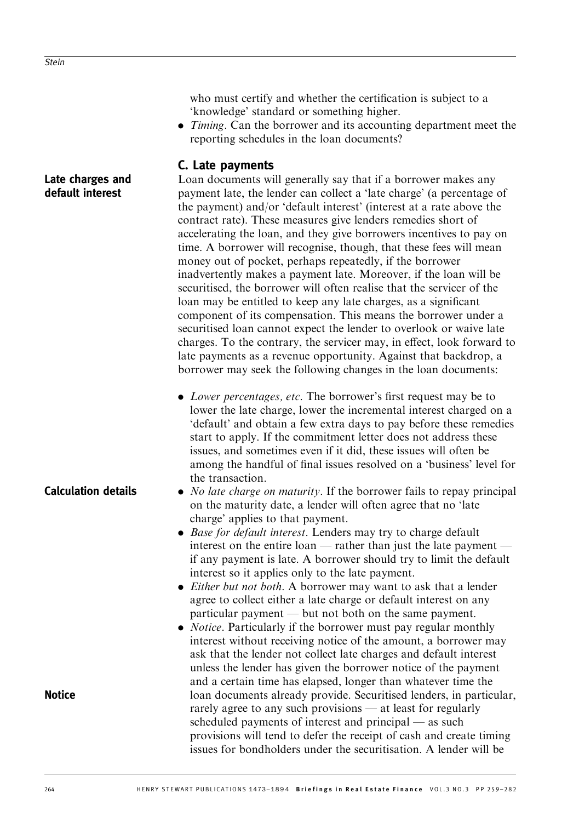who must certify and whether the certification is subject to a 'knowledge' standard or something higher.

• *Timing*. Can the borrower and its accounting department meet the reporting schedules in the loan documents?

### C. Late payments

Loan documents will generally say that if a borrower makes any payment late, the lender can collect a 'late charge' (a percentage of the payment) and/or 'default interest' (interest at a rate above the contract rate). These measures give lenders remedies short of accelerating the loan, and they give borrowers incentives to pay on time. A borrower will recognise, though, that these fees will mean money out of pocket, perhaps repeatedly, if the borrower inadvertently makes a payment late. Moreover, if the loan will be securitised, the borrower will often realise that the servicer of the loan may be entitled to keep any late charges, as a significant component of its compensation. This means the borrower under a securitised loan cannot expect the lender to overlook or waive late charges. To the contrary, the servicer may, in effect, look forward to late payments as a revenue opportunity. Against that backdrop, a borrower may seek the following changes in the loan documents:

- Lower percentages, etc. The borrower's first request may be to lower the late charge, lower the incremental interest charged on a 'default' and obtain a few extra days to pay before these remedies start to apply. If the commitment letter does not address these issues, and sometimes even if it did, these issues will often be among the handful of final issues resolved on a 'business' level for the transaction.
- *No late charge on maturity*. If the borrower fails to repay principal on the maturity date, a lender will often agree that no 'late charge' applies to that payment.
- Base for default interest. Lenders may try to charge default interest on the entire loan — rather than just the late payment if any payment is late. A borrower should try to limit the default interest so it applies only to the late payment.
- . Either but not both. A borrower may want to ask that a lender agree to collect either a late charge or default interest on any particular payment — but not both on the same payment.
- *Notice*. Particularly if the borrower must pay regular monthly interest without receiving notice of the amount, a borrower may ask that the lender not collect late charges and default interest unless the lender has given the borrower notice of the payment and a certain time has elapsed, longer than whatever time the loan documents already provide. Securitised lenders, in particular, rarely agree to any such provisions — at least for regularly scheduled payments of interest and principal — as such provisions will tend to defer the receipt of cash and create timing issues for bondholders under the securitisation. A lender will be

# Late charges and default interest

Calculation details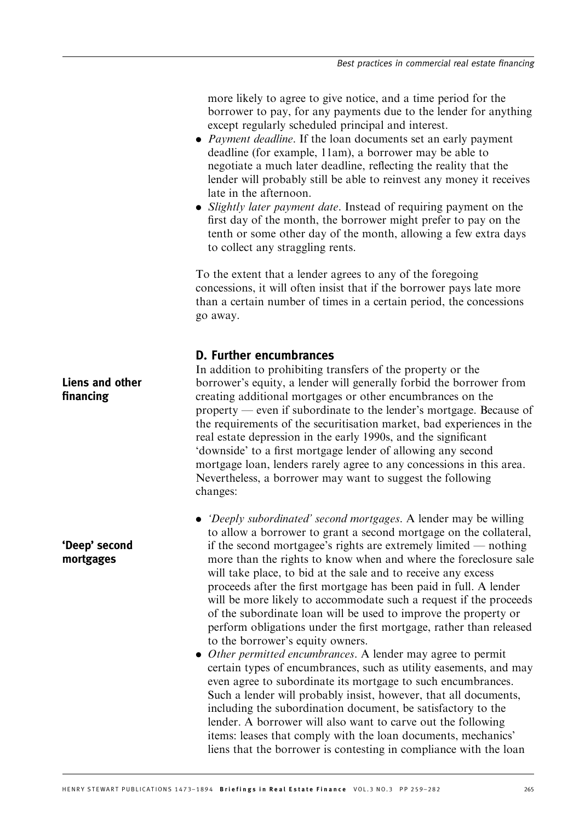more likely to agree to give notice, and a time period for the borrower to pay, for any payments due to the lender for anything except regularly scheduled principal and interest.

- *Payment deadline*. If the loan documents set an early payment deadline (for example, 11am), a borrower may be able to negotiate a much later deadline, reflecting the reality that the lender will probably still be able to reinvest any money it receives late in the afternoon.
- *Slightly later payment date*. Instead of requiring payment on the first day of the month, the borrower might prefer to pay on the tenth or some other day of the month, allowing a few extra days to collect any straggling rents.

To the extent that a lender agrees to any of the foregoing concessions, it will often insist that if the borrower pays late more than a certain number of times in a certain period, the concessions go away.

# D. Further encumbrances

In addition to prohibiting transfers of the property or the borrower's equity, a lender will generally forbid the borrower from creating additional mortgages or other encumbrances on the property — even if subordinate to the lender's mortgage. Because of the requirements of the securitisation market, bad experiences in the real estate depression in the early 1990s, and the significant 'downside' to a first mortgage lender of allowing any second mortgage loan, lenders rarely agree to any concessions in this area. Nevertheless, a borrower may want to suggest the following changes:

- . 'Deeply subordinated' second mortgages. A lender may be willing to allow a borrower to grant a second mortgage on the collateral, if the second mortgagee's rights are extremely limited — nothing more than the rights to know when and where the foreclosure sale will take place, to bid at the sale and to receive any excess proceeds after the first mortgage has been paid in full. A lender will be more likely to accommodate such a request if the proceeds of the subordinate loan will be used to improve the property or perform obligations under the first mortgage, rather than released to the borrower's equity owners.
- Other permitted encumbrances. A lender may agree to permit certain types of encumbrances, such as utility easements, and may even agree to subordinate its mortgage to such encumbrances. Such a lender will probably insist, however, that all documents, including the subordination document, be satisfactory to the lender. A borrower will also want to carve out the following items: leases that comply with the loan documents, mechanics' liens that the borrower is contesting in compliance with the loan

# Liens and other financing

'Deep' second mortgages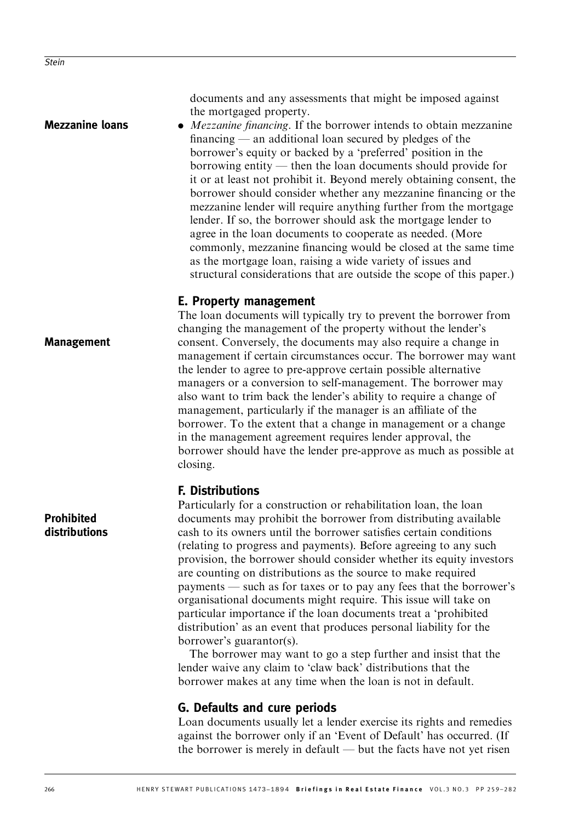documents and any assessments that might be imposed against the mortgaged property.

. Mezzanine financing. If the borrower intends to obtain mezzanine financing — an additional loan secured by pledges of the borrower's equity or backed by a 'preferred' position in the borrowing entity — then the loan documents should provide for it or at least not prohibit it. Beyond merely obtaining consent, the borrower should consider whether any mezzanine financing or the mezzanine lender will require anything further from the mortgage lender. If so, the borrower should ask the mortgage lender to agree in the loan documents to cooperate as needed. (More commonly, mezzanine financing would be closed at the same time as the mortgage loan, raising a wide variety of issues and structural considerations that are outside the scope of this paper.) Mezzanine loans

#### E. Property management

The loan documents will typically try to prevent the borrower from changing the management of the property without the lender's consent. Conversely, the documents may also require a change in management if certain circumstances occur. The borrower may want the lender to agree to pre-approve certain possible alternative managers or a conversion to self-management. The borrower may also want to trim back the lender's ability to require a change of management, particularly if the manager is an affiliate of the borrower. To the extent that a change in management or a change in the management agreement requires lender approval, the borrower should have the lender pre-approve as much as possible at closing.

# F. Distributions

Particularly for a construction or rehabilitation loan, the loan documents may prohibit the borrower from distributing available cash to its owners until the borrower satisfies certain conditions (relating to progress and payments). Before agreeing to any such provision, the borrower should consider whether its equity investors are counting on distributions as the source to make required payments — such as for taxes or to pay any fees that the borrower's organisational documents might require. This issue will take on particular importance if the loan documents treat a 'prohibited distribution' as an event that produces personal liability for the borrower's guarantor(s).

The borrower may want to go a step further and insist that the lender waive any claim to 'claw back' distributions that the borrower makes at any time when the loan is not in default.

# G. Defaults and cure periods

Loan documents usually let a lender exercise its rights and remedies against the borrower only if an 'Event of Default' has occurred. (If the borrower is merely in default — but the facts have not yet risen

Prohibited distributions

Management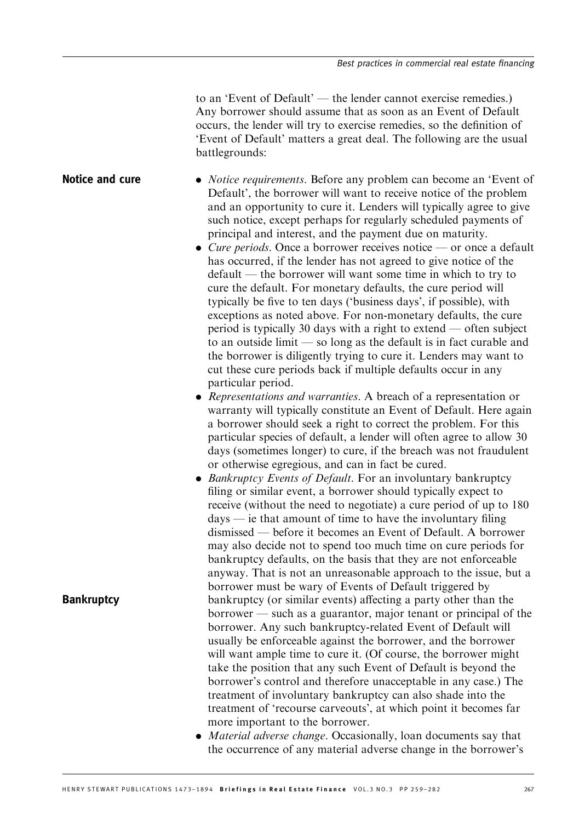to an 'Event of Default' — the lender cannot exercise remedies.) Any borrower should assume that as soon as an Event of Default occurs, the lender will try to exercise remedies, so the definition of 'Event of Default' matters a great deal. The following are the usual battlegrounds:

• *Notice requirements*. Before any problem can become an 'Event of Default', the borrower will want to receive notice of the problem and an opportunity to cure it. Lenders will typically agree to give such notice, except perhaps for regularly scheduled payments of principal and interest, and the payment due on maturity. Notice and cure

- $\bullet$  *Cure periods.* Once a borrower receives notice or once a default has occurred, if the lender has not agreed to give notice of the default — the borrower will want some time in which to try to cure the default. For monetary defaults, the cure period will typically be five to ten days ('business days', if possible), with exceptions as noted above. For non-monetary defaults, the cure period is typically 30 days with a right to extend — often subject to an outside limit — so long as the default is in fact curable and the borrower is diligently trying to cure it. Lenders may want to cut these cure periods back if multiple defaults occur in any particular period.
- Representations and warranties. A breach of a representation or warranty will typically constitute an Event of Default. Here again a borrower should seek a right to correct the problem. For this particular species of default, a lender will often agree to allow 30 days (sometimes longer) to cure, if the breach was not fraudulent or otherwise egregious, and can in fact be cured.
- Bankruptcy Events of Default. For an involuntary bankruptcy filing or similar event, a borrower should typically expect to receive (without the need to negotiate) a cure period of up to 180 days — ie that amount of time to have the involuntary filing dismissed — before it becomes an Event of Default. A borrower may also decide not to spend too much time on cure periods for bankruptcy defaults, on the basis that they are not enforceable anyway. That is not an unreasonable approach to the issue, but a borrower must be wary of Events of Default triggered by bankruptcy (or similar events) affecting a party other than the borrower — such as a guarantor, major tenant or principal of the borrower. Any such bankruptcy-related Event of Default will usually be enforceable against the borrower, and the borrower will want ample time to cure it. (Of course, the borrower might take the position that any such Event of Default is beyond the borrower's control and therefore unacceptable in any case.) The treatment of involuntary bankruptcy can also shade into the treatment of 'recourse carveouts', at which point it becomes far more important to the borrower.
- Material adverse change. Occasionally, loan documents say that the occurrence of any material adverse change in the borrower's

#### **Bankruptcy**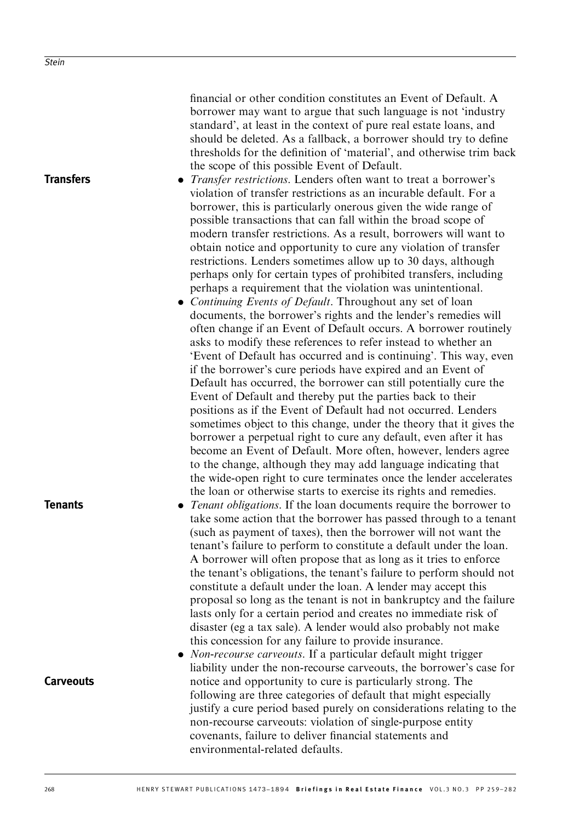**Transfers** 

financial or other condition constitutes an Event of Default. A borrower may want to argue that such language is not 'industry standard', at least in the context of pure real estate loans, and should be deleted. As a fallback, a borrower should try to define thresholds for the definition of 'material', and otherwise trim back the scope of this possible Event of Default.

- . Transfer restrictions. Lenders often want to treat a borrower's violation of transfer restrictions as an incurable default. For a borrower, this is particularly onerous given the wide range of possible transactions that can fall within the broad scope of modern transfer restrictions. As a result, borrowers will want to obtain notice and opportunity to cure any violation of transfer restrictions. Lenders sometimes allow up to 30 days, although perhaps only for certain types of prohibited transfers, including perhaps a requirement that the violation was unintentional.
- *Continuing Events of Default*. Throughout any set of loan documents, the borrower's rights and the lender's remedies will often change if an Event of Default occurs. A borrower routinely asks to modify these references to refer instead to whether an 'Event of Default has occurred and is continuing'. This way, even if the borrower's cure periods have expired and an Event of Default has occurred, the borrower can still potentially cure the Event of Default and thereby put the parties back to their positions as if the Event of Default had not occurred. Lenders sometimes object to this change, under the theory that it gives the borrower a perpetual right to cure any default, even after it has become an Event of Default. More often, however, lenders agree to the change, although they may add language indicating that the wide-open right to cure terminates once the lender accelerates the loan or otherwise starts to exercise its rights and remedies.
- Tenant obligations. If the loan documents require the borrower to take some action that the borrower has passed through to a tenant (such as payment of taxes), then the borrower will not want the tenant's failure to perform to constitute a default under the loan. A borrower will often propose that as long as it tries to enforce the tenant's obligations, the tenant's failure to perform should not constitute a default under the loan. A lender may accept this proposal so long as the tenant is not in bankruptcy and the failure lasts only for a certain period and creates no immediate risk of disaster (eg a tax sale). A lender would also probably not make this concession for any failure to provide insurance.

• *Non-recourse carveouts*. If a particular default might trigger liability under the non-recourse carveouts, the borrower's case for notice and opportunity to cure is particularly strong. The following are three categories of default that might especially justify a cure period based purely on considerations relating to the non-recourse carveouts: violation of single-purpose entity covenants, failure to deliver financial statements and environmental-related defaults.

**Carveouts** 

**Tenants**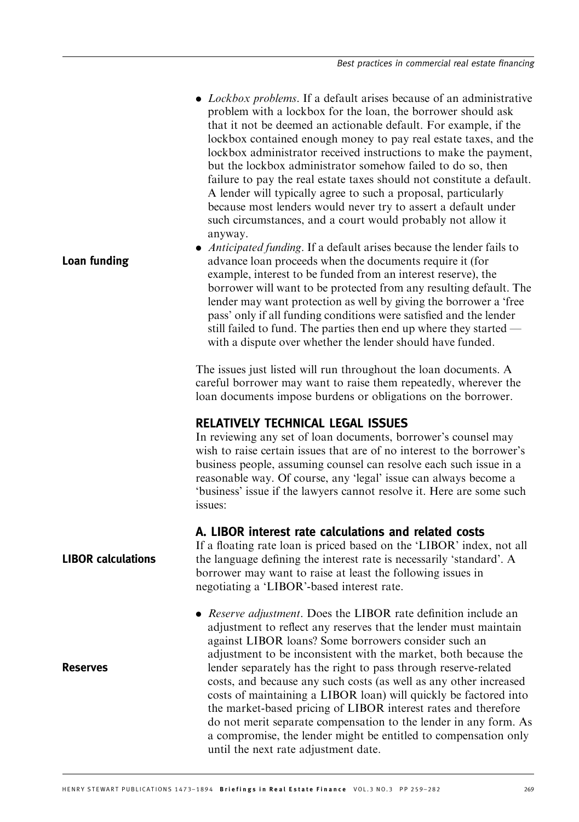| $\bullet$ <i>Lockbox problems</i> . If a default arises because of an administrative |
|--------------------------------------------------------------------------------------|
| problem with a lockbox for the loan, the borrower should ask                         |
| that it not be deemed an actionable default. For example, if the                     |
| lockbox contained enough money to pay real estate taxes, and the                     |
| lockbox administrator received instructions to make the payment,                     |
| but the lockbox administrator somehow failed to do so, then                          |
| failure to pay the real estate taxes should not constitute a default.                |
| A lender will typically agree to such a proposal, particularly                       |
| because most lenders would never try to assert a default under                       |
| such circumstances, and a court would probably not allow it                          |
| anyway.                                                                              |

• *Anticipated funding.* If a default arises because the lender fails to advance loan proceeds when the documents require it (for example, interest to be funded from an interest reserve), the borrower will want to be protected from any resulting default. The lender may want protection as well by giving the borrower a 'free pass' only if all funding conditions were satisfied and the lender still failed to fund. The parties then end up where they started with a dispute over whether the lender should have funded.

The issues just listed will run throughout the loan documents. A careful borrower may want to raise them repeatedly, wherever the loan documents impose burdens or obligations on the borrower.

# RELATIVELY TECHNICAL LEGAL ISSUES

In reviewing any set of loan documents, borrower's counsel may wish to raise certain issues that are of no interest to the borrower's business people, assuming counsel can resolve each such issue in a reasonable way. Of course, any 'legal' issue can always become a 'business' issue if the lawyers cannot resolve it. Here are some such issues:

# A. LIBOR interest rate calculations and related costs

If a floating rate loan is priced based on the 'LIBOR' index, not all the language defining the interest rate is necessarily 'standard'. A borrower may want to raise at least the following issues in negotiating a 'LIBOR'-based interest rate.

. Reserve adjustment. Does the LIBOR rate definition include an adjustment to reflect any reserves that the lender must maintain against LIBOR loans? Some borrowers consider such an adjustment to be inconsistent with the market, both because the lender separately has the right to pass through reserve-related costs, and because any such costs (as well as any other increased costs of maintaining a LIBOR loan) will quickly be factored into the market-based pricing of LIBOR interest rates and therefore do not merit separate compensation to the lender in any form. As a compromise, the lender might be entitled to compensation only until the next rate adjustment date.

Loan funding

LIBOR calculations

Reserves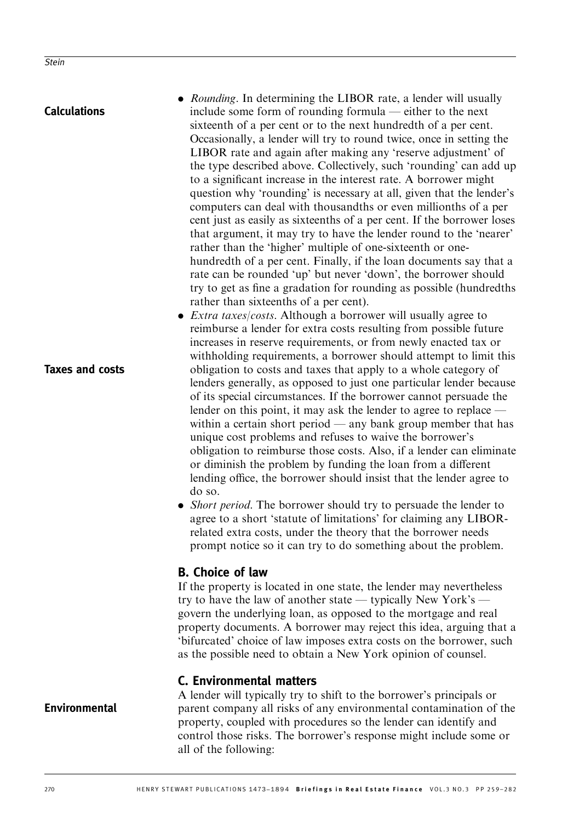**Calculations** 

Taxes and costs

- *Rounding*. In determining the LIBOR rate, a lender will usually include some form of rounding formula — either to the next sixteenth of a per cent or to the next hundredth of a per cent. Occasionally, a lender will try to round twice, once in setting the LIBOR rate and again after making any 'reserve adjustment' of the type described above. Collectively, such 'rounding' can add up to a significant increase in the interest rate. A borrower might question why 'rounding' is necessary at all, given that the lender's computers can deal with thousandths or even millionths of a per cent just as easily as sixteenths of a per cent. If the borrower loses that argument, it may try to have the lender round to the 'nearer' rather than the 'higher' multiple of one-sixteenth or onehundredth of a per cent. Finally, if the loan documents say that a rate can be rounded 'up' but never 'down', the borrower should try to get as fine a gradation for rounding as possible (hundredths rather than sixteenths of a per cent).
- $\bullet$  *Extra taxes/costs.* Although a borrower will usually agree to reimburse a lender for extra costs resulting from possible future increases in reserve requirements, or from newly enacted tax or withholding requirements, a borrower should attempt to limit this obligation to costs and taxes that apply to a whole category of lenders generally, as opposed to just one particular lender because of its special circumstances. If the borrower cannot persuade the lender on this point, it may ask the lender to agree to replace within a certain short period — any bank group member that has unique cost problems and refuses to waive the borrower's obligation to reimburse those costs. Also, if a lender can eliminate or diminish the problem by funding the loan from a different lending office, the borrower should insist that the lender agree to do so.
- Short period. The borrower should try to persuade the lender to agree to a short 'statute of limitations' for claiming any LIBORrelated extra costs, under the theory that the borrower needs prompt notice so it can try to do something about the problem.

# B. Choice of law

If the property is located in one state, the lender may nevertheless try to have the law of another state — typically New York's govern the underlying loan, as opposed to the mortgage and real property documents. A borrower may reject this idea, arguing that a 'bifurcated' choice of law imposes extra costs on the borrower, such as the possible need to obtain a New York opinion of counsel.

# C. Environmental matters

Environmental

A lender will typically try to shift to the borrower's principals or parent company all risks of any environmental contamination of the property, coupled with procedures so the lender can identify and control those risks. The borrower's response might include some or all of the following: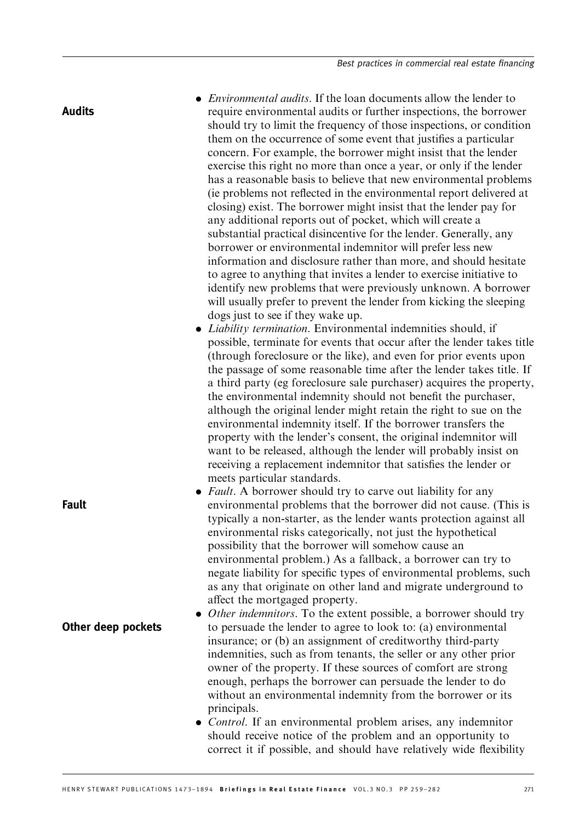. Environmental audits. If the loan documents allow the lender to

require environmental audits or further inspections, the borrower should try to limit the frequency of those inspections, or condition them on the occurrence of some event that justifies a particular concern. For example, the borrower might insist that the lender exercise this right no more than once a year, or only if the lender has a reasonable basis to believe that new environmental problems (ie problems not reflected in the environmental report delivered at closing) exist. The borrower might insist that the lender pay for any additional reports out of pocket, which will create a substantial practical disincentive for the lender. Generally, any borrower or environmental indemnitor will prefer less new information and disclosure rather than more, and should hesitate to agree to anything that invites a lender to exercise initiative to identify new problems that were previously unknown. A borrower will usually prefer to prevent the lender from kicking the sleeping dogs just to see if they wake up. . Liability termination. Environmental indemnities should, if possible, terminate for events that occur after the lender takes title (through foreclosure or the like), and even for prior events upon the passage of some reasonable time after the lender takes title. If a third party (eg foreclosure sale purchaser) acquires the property, the environmental indemnity should not benefit the purchaser, although the original lender might retain the right to sue on the environmental indemnity itself. If the borrower transfers the property with the lender's consent, the original indemnitor will want to be released, although the lender will probably insist on receiving a replacement indemnitor that satisfies the lender or meets particular standards. • Fault. A borrower should try to carve out liability for any environmental problems that the borrower did not cause. (This is typically a non-starter, as the lender wants protection against all environmental risks categorically, not just the hypothetical possibility that the borrower will somehow cause an environmental problem.) As a fallback, a borrower can try to negate liability for specific types of environmental problems, such as any that originate on other land and migrate underground to Audits

Fault

Other deep pockets

affect the mortgaged property.

- $\bullet$  *Other indemnitors*. To the extent possible, a borrower should try to persuade the lender to agree to look to: (a) environmental insurance; or (b) an assignment of creditworthy third-party indemnities, such as from tenants, the seller or any other prior owner of the property. If these sources of comfort are strong enough, perhaps the borrower can persuade the lender to do without an environmental indemnity from the borrower or its principals.
	- *Control*. If an environmental problem arises, any indemnitor should receive notice of the problem and an opportunity to correct it if possible, and should have relatively wide flexibility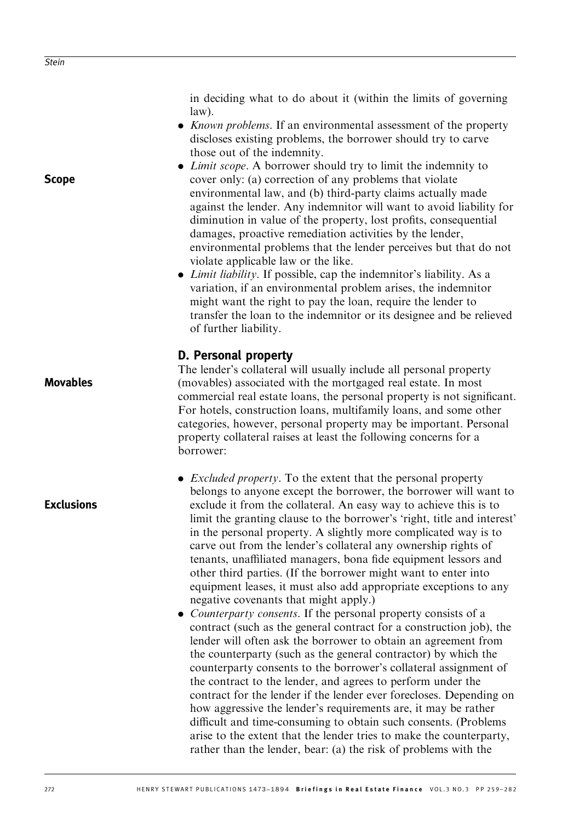Scope

in deciding what to do about it (within the limits of governing law).

- *Known problems*. If an environmental assessment of the property discloses existing problems, the borrower should try to carve those out of the indemnity.
- Limit scope. A borrower should try to limit the indemnity to cover only: (a) correction of any problems that violate environmental law, and (b) third-party claims actually made against the lender. Any indemnitor will want to avoid liability for diminution in value of the property, lost profits, consequential damages, proactive remediation activities by the lender, environmental problems that the lender perceives but that do not violate applicable law or the like.
- . Limit liability. If possible, cap the indemnitor's liability. As a variation, if an environmental problem arises, the indemnitor might want the right to pay the loan, require the lender to transfer the loan to the indemnitor or its designee and be relieved of further liability.

# D. Personal property

The lender's collateral will usually include all personal property (movables) associated with the mortgaged real estate. In most commercial real estate loans, the personal property is not significant. For hotels, construction loans, multifamily loans, and some other categories, however, personal property may be important. Personal property collateral raises at least the following concerns for a borrower:

**Exclusions** 

Movables

- *Excluded property*. To the extent that the personal property belongs to anyone except the borrower, the borrower will want to exclude it from the collateral. An easy way to achieve this is to limit the granting clause to the borrower's 'right, title and interest' in the personal property. A slightly more complicated way is to carve out from the lender's collateral any ownership rights of tenants, unaffiliated managers, bona fide equipment lessors and other third parties. (If the borrower might want to enter into equipment leases, it must also add appropriate exceptions to any negative covenants that might apply.)
- *Counterparty consents*. If the personal property consists of a contract (such as the general contract for a construction job), the lender will often ask the borrower to obtain an agreement from the counterparty (such as the general contractor) by which the counterparty consents to the borrower's collateral assignment of the contract to the lender, and agrees to perform under the contract for the lender if the lender ever forecloses. Depending on how aggressive the lender's requirements are, it may be rather difficult and time-consuming to obtain such consents. (Problems arise to the extent that the lender tries to make the counterparty, rather than the lender, bear: (a) the risk of problems with the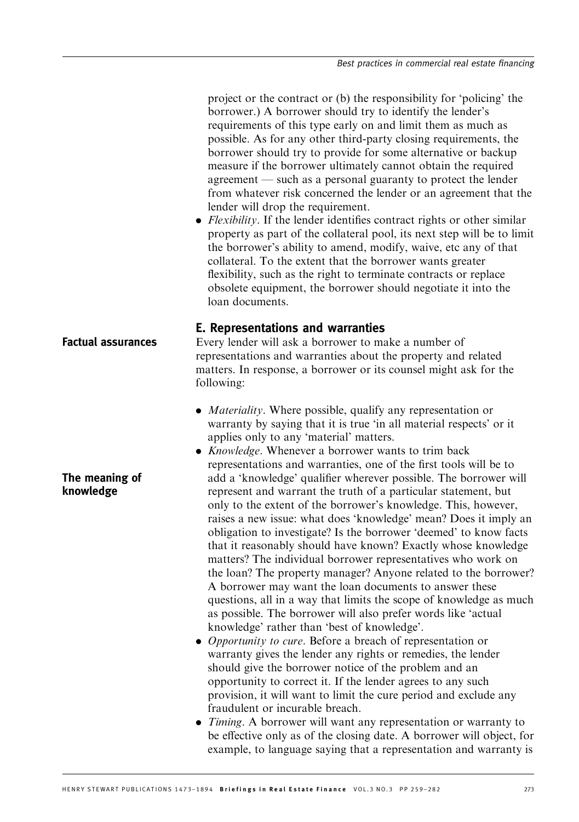project or the contract or (b) the responsibility for 'policing' the borrower.) A borrower should try to identify the lender's requirements of this type early on and limit them as much as possible. As for any other third-party closing requirements, the borrower should try to provide for some alternative or backup measure if the borrower ultimately cannot obtain the required agreement — such as a personal guaranty to protect the lender from whatever risk concerned the lender or an agreement that the lender will drop the requirement.

 $\bullet$  *Flexibility*. If the lender identifies contract rights or other similar property as part of the collateral pool, its next step will be to limit the borrower's ability to amend, modify, waive, etc any of that collateral. To the extent that the borrower wants greater flexibility, such as the right to terminate contracts or replace obsolete equipment, the borrower should negotiate it into the loan documents.

# E. Representations and warranties

Every lender will ask a borrower to make a number of representations and warranties about the property and related matters. In response, a borrower or its counsel might ask for the following:

- *Materiality*. Where possible, qualify any representation or warranty by saying that it is true 'in all material respects' or it applies only to any 'material' matters.
- *Knowledge*. Whenever a borrower wants to trim back representations and warranties, one of the first tools will be to add a 'knowledge' qualifier wherever possible. The borrower will represent and warrant the truth of a particular statement, but only to the extent of the borrower's knowledge. This, however, raises a new issue: what does 'knowledge' mean? Does it imply an obligation to investigate? Is the borrower 'deemed' to know facts that it reasonably should have known? Exactly whose knowledge matters? The individual borrower representatives who work on the loan? The property manager? Anyone related to the borrower? A borrower may want the loan documents to answer these questions, all in a way that limits the scope of knowledge as much as possible. The borrower will also prefer words like 'actual knowledge' rather than 'best of knowledge'.
- *Opportunity to cure*. Before a breach of representation or warranty gives the lender any rights or remedies, the lender should give the borrower notice of the problem and an opportunity to correct it. If the lender agrees to any such provision, it will want to limit the cure period and exclude any fraudulent or incurable breach.
- Timing. A borrower will want any representation or warranty to be effective only as of the closing date. A borrower will object, for example, to language saying that a representation and warranty is

Factual assurances

# The meaning of knowledge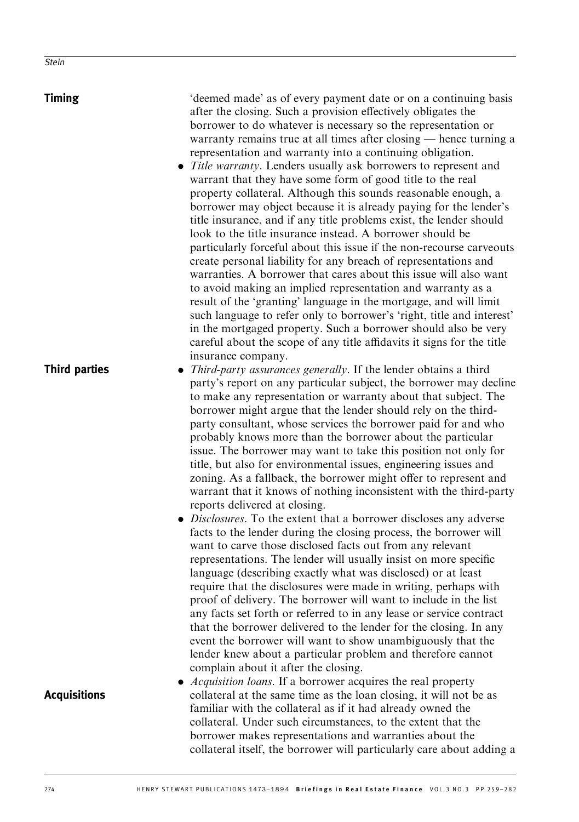| <b>Timing</b><br><b>Third parties</b> | 'deemed made' as of every payment date or on a continuing basis<br>after the closing. Such a provision effectively obligates the<br>borrower to do whatever is necessary so the representation or<br>warranty remains true at all times after closing - hence turning a<br>representation and warranty into a continuing obligation.<br>• Title warranty. Lenders usually ask borrowers to represent and<br>warrant that they have some form of good title to the real<br>property collateral. Although this sounds reasonable enough, a<br>borrower may object because it is already paying for the lender's<br>title insurance, and if any title problems exist, the lender should<br>look to the title insurance instead. A borrower should be<br>particularly forceful about this issue if the non-recourse carveouts<br>create personal liability for any breach of representations and<br>warranties. A borrower that cares about this issue will also want<br>to avoid making an implied representation and warranty as a<br>result of the 'granting' language in the mortgage, and will limit<br>such language to refer only to borrower's 'right, title and interest'<br>in the mortgaged property. Such a borrower should also be very<br>careful about the scope of any title affidavits it signs for the title<br>insurance company.<br>• <i>Third-party assurances generally</i> . If the lender obtains a third<br>party's report on any particular subject, the borrower may decline<br>to make any representation or warranty about that subject. The<br>borrower might argue that the lender should rely on the third-<br>party consultant, whose services the borrower paid for and who<br>probably knows more than the borrower about the particular<br>issue. The borrower may want to take this position not only for<br>title, but also for environmental issues, engineering issues and<br>zoning. As a fallback, the borrower might offer to represent and<br>warrant that it knows of nothing inconsistent with the third-party<br>reports delivered at closing. |
|---------------------------------------|-------------------------------------------------------------------------------------------------------------------------------------------------------------------------------------------------------------------------------------------------------------------------------------------------------------------------------------------------------------------------------------------------------------------------------------------------------------------------------------------------------------------------------------------------------------------------------------------------------------------------------------------------------------------------------------------------------------------------------------------------------------------------------------------------------------------------------------------------------------------------------------------------------------------------------------------------------------------------------------------------------------------------------------------------------------------------------------------------------------------------------------------------------------------------------------------------------------------------------------------------------------------------------------------------------------------------------------------------------------------------------------------------------------------------------------------------------------------------------------------------------------------------------------------------------------------------------------------------------------------------------------------------------------------------------------------------------------------------------------------------------------------------------------------------------------------------------------------------------------------------------------------------------------------------------------------------------------------------------------------------------------------------------------------------------------------------------------------|
|                                       | • Disclosures. To the extent that a borrower discloses any adverse<br>facts to the lender during the closing process, the borrower will<br>want to carve those disclosed facts out from any relevant<br>representations. The lender will usually insist on more specific<br>language (describing exactly what was disclosed) or at least<br>require that the disclosures were made in writing, perhaps with<br>proof of delivery. The borrower will want to include in the list<br>any facts set forth or referred to in any lease or service contract<br>that the borrower delivered to the lender for the closing. In any<br>event the borrower will want to show unambiguously that the<br>lender knew about a particular problem and therefore cannot<br>complain about it after the closing.                                                                                                                                                                                                                                                                                                                                                                                                                                                                                                                                                                                                                                                                                                                                                                                                                                                                                                                                                                                                                                                                                                                                                                                                                                                                                         |
| <b>Acquisitions</b>                   | • Acquisition loans. If a borrower acquires the real property<br>collateral at the same time as the loan closing, it will not be as<br>familiar with the collateral as if it had already owned the<br>collateral. Under such circumstances, to the extent that the<br>borrower makes representations and warranties about the<br>collateral itself, the borrower will particularly care about adding a                                                                                                                                                                                                                                                                                                                                                                                                                                                                                                                                                                                                                                                                                                                                                                                                                                                                                                                                                                                                                                                                                                                                                                                                                                                                                                                                                                                                                                                                                                                                                                                                                                                                                    |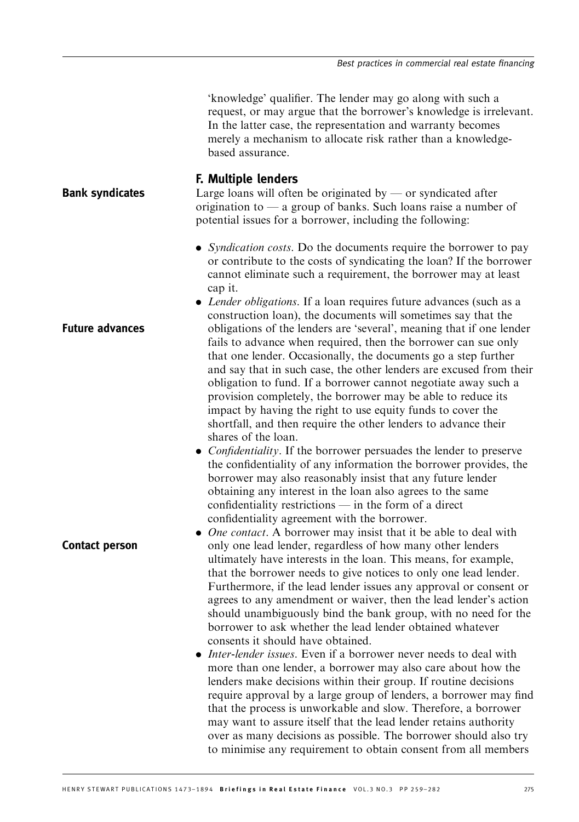'knowledge' qualifier. The lender may go along with such a request, or may argue that the borrower's knowledge is irrelevant. In the latter case, the representation and warranty becomes merely a mechanism to allocate risk rather than a knowledgebased assurance.

#### F. Multiple lenders

Large loans will often be originated by  $-$  or syndicated after origination to — a group of banks. Such loans raise a number of potential issues for a borrower, including the following:

- *Syndication costs*. Do the documents require the borrower to pay or contribute to the costs of syndicating the loan? If the borrower cannot eliminate such a requirement, the borrower may at least cap it.
- Lender obligations. If a loan requires future advances (such as a construction loan), the documents will sometimes say that the obligations of the lenders are 'several', meaning that if one lender fails to advance when required, then the borrower can sue only that one lender. Occasionally, the documents go a step further and say that in such case, the other lenders are excused from their obligation to fund. If a borrower cannot negotiate away such a provision completely, the borrower may be able to reduce its impact by having the right to use equity funds to cover the shortfall, and then require the other lenders to advance their shares of the loan.
- Confidentiality. If the borrower persuades the lender to preserve the confidentiality of any information the borrower provides, the borrower may also reasonably insist that any future lender obtaining any interest in the loan also agrees to the same confidentiality restrictions — in the form of a direct confidentiality agreement with the borrower.
- One contact. A borrower may insist that it be able to deal with only one lead lender, regardless of how many other lenders ultimately have interests in the loan. This means, for example, that the borrower needs to give notices to only one lead lender. Furthermore, if the lead lender issues any approval or consent or agrees to any amendment or waiver, then the lead lender's action should unambiguously bind the bank group, with no need for the borrower to ask whether the lead lender obtained whatever consents it should have obtained.
- *Inter-lender issues*. Even if a borrower never needs to deal with more than one lender, a borrower may also care about how the lenders make decisions within their group. If routine decisions require approval by a large group of lenders, a borrower may find that the process is unworkable and slow. Therefore, a borrower may want to assure itself that the lead lender retains authority over as many decisions as possible. The borrower should also try to minimise any requirement to obtain consent from all members

Contact person

Bank syndicates

Future advances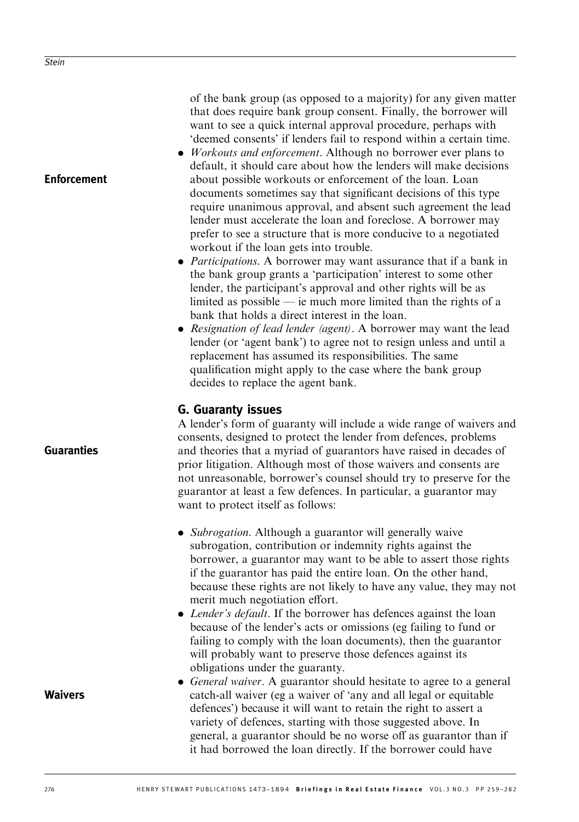# Enforcement

of the bank group (as opposed to a majority) for any given matter that does require bank group consent. Finally, the borrower will want to see a quick internal approval procedure, perhaps with 'deemed consents' if lenders fail to respond within a certain time.

- . Workouts and enforcement. Although no borrower ever plans to default, it should care about how the lenders will make decisions about possible workouts or enforcement of the loan. Loan documents sometimes say that significant decisions of this type require unanimous approval, and absent such agreement the lead lender must accelerate the loan and foreclose. A borrower may prefer to see a structure that is more conducive to a negotiated workout if the loan gets into trouble.
- *Participations*. A borrower may want assurance that if a bank in the bank group grants a 'participation' interest to some other lender, the participant's approval and other rights will be as limited as possible — ie much more limited than the rights of a bank that holds a direct interest in the loan.
- Resignation of lead lender (agent). A borrower may want the lead lender (or 'agent bank') to agree not to resign unless and until a replacement has assumed its responsibilities. The same qualification might apply to the case where the bank group decides to replace the agent bank.

# G. Guaranty issues

A lender's form of guaranty will include a wide range of waivers and consents, designed to protect the lender from defences, problems and theories that a myriad of guarantors have raised in decades of prior litigation. Although most of those waivers and consents are not unreasonable, borrower's counsel should try to preserve for the guarantor at least a few defences. In particular, a guarantor may want to protect itself as follows:

- Subrogation. Although a guarantor will generally waive subrogation, contribution or indemnity rights against the borrower, a guarantor may want to be able to assert those rights if the guarantor has paid the entire loan. On the other hand, because these rights are not likely to have any value, they may not merit much negotiation effort.
- . Lender's default. If the borrower has defences against the loan because of the lender's acts or omissions (eg failing to fund or failing to comply with the loan documents), then the guarantor will probably want to preserve those defences against its obligations under the guaranty.
- General waiver. A guarantor should hesitate to agree to a general catch-all waiver (eg a waiver of 'any and all legal or equitable defences') because it will want to retain the right to assert a variety of defences, starting with those suggested above. In general, a guarantor should be no worse off as guarantor than if it had borrowed the loan directly. If the borrower could have

Guaranties

Waivers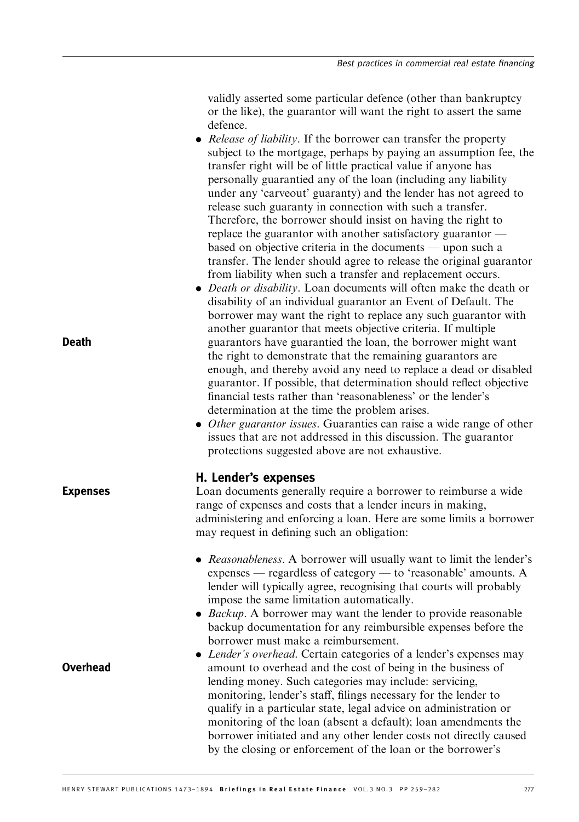validly asserted some particular defence (other than bankruptcy or the like), the guarantor will want the right to assert the same defence.

- Release of liability. If the borrower can transfer the property subject to the mortgage, perhaps by paying an assumption fee, the transfer right will be of little practical value if anyone has personally guarantied any of the loan (including any liability under any 'carveout' guaranty) and the lender has not agreed to release such guaranty in connection with such a transfer. Therefore, the borrower should insist on having the right to replace the guarantor with another satisfactory guarantor based on objective criteria in the documents — upon such a transfer. The lender should agree to release the original guarantor from liability when such a transfer and replacement occurs.
- Death or disability. Loan documents will often make the death or disability of an individual guarantor an Event of Default. The borrower may want the right to replace any such guarantor with another guarantor that meets objective criteria. If multiple guarantors have guarantied the loan, the borrower might want the right to demonstrate that the remaining guarantors are enough, and thereby avoid any need to replace a dead or disabled guarantor. If possible, that determination should reflect objective financial tests rather than 'reasonableness' or the lender's determination at the time the problem arises.
- Other guarantor issues. Guaranties can raise a wide range of other issues that are not addressed in this discussion. The guarantor protections suggested above are not exhaustive.

### H. Lender's expenses

Loan documents generally require a borrower to reimburse a wide range of expenses and costs that a lender incurs in making, administering and enforcing a loan. Here are some limits a borrower may request in defining such an obligation:

- Reasonableness. A borrower will usually want to limit the lender's expenses — regardless of category — to 'reasonable' amounts. A lender will typically agree, recognising that courts will probably impose the same limitation automatically.
- Backup. A borrower may want the lender to provide reasonable backup documentation for any reimbursible expenses before the borrower must make a reimbursement.
- Lender's overhead. Certain categories of a lender's expenses may amount to overhead and the cost of being in the business of lending money. Such categories may include: servicing, monitoring, lender's staff, filings necessary for the lender to qualify in a particular state, legal advice on administration or monitoring of the loan (absent a default); loan amendments the borrower initiated and any other lender costs not directly caused by the closing or enforcement of the loan or the borrower's

Death

Expenses

Overhead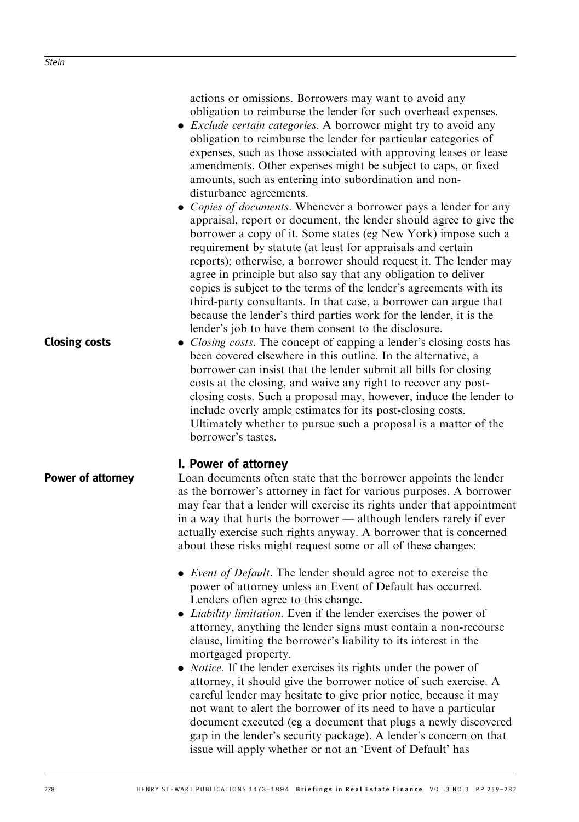actions or omissions. Borrowers may want to avoid any obligation to reimburse the lender for such overhead expenses.

- *Exclude certain categories*. A borrower might try to avoid any obligation to reimburse the lender for particular categories of expenses, such as those associated with approving leases or lease amendments. Other expenses might be subject to caps, or fixed amounts, such as entering into subordination and nondisturbance agreements.
- Copies of documents. Whenever a borrower pays a lender for any appraisal, report or document, the lender should agree to give the borrower a copy of it. Some states (eg New York) impose such a requirement by statute (at least for appraisals and certain reports); otherwise, a borrower should request it. The lender may agree in principle but also say that any obligation to deliver copies is subject to the terms of the lender's agreements with its third-party consultants. In that case, a borrower can argue that because the lender's third parties work for the lender, it is the lender's job to have them consent to the disclosure.
- *Closing costs*. The concept of capping a lender's closing costs has been covered elsewhere in this outline. In the alternative, a borrower can insist that the lender submit all bills for closing costs at the closing, and waive any right to recover any postclosing costs. Such a proposal may, however, induce the lender to include overly ample estimates for its post-closing costs. Ultimately whether to pursue such a proposal is a matter of the borrower's tastes. Closing costs

### I. Power of attorney

Loan documents often state that the borrower appoints the lender as the borrower's attorney in fact for various purposes. A borrower may fear that a lender will exercise its rights under that appointment in a way that hurts the borrower — although lenders rarely if ever actually exercise such rights anyway. A borrower that is concerned about these risks might request some or all of these changes:

- *Event of Default*. The lender should agree not to exercise the power of attorney unless an Event of Default has occurred. Lenders often agree to this change.
- . Liability limitation. Even if the lender exercises the power of attorney, anything the lender signs must contain a non-recourse clause, limiting the borrower's liability to its interest in the mortgaged property.
- . Notice. If the lender exercises its rights under the power of attorney, it should give the borrower notice of such exercise. A careful lender may hesitate to give prior notice, because it may not want to alert the borrower of its need to have a particular document executed (eg a document that plugs a newly discovered gap in the lender's security package). A lender's concern on that issue will apply whether or not an 'Event of Default' has

Power of attorney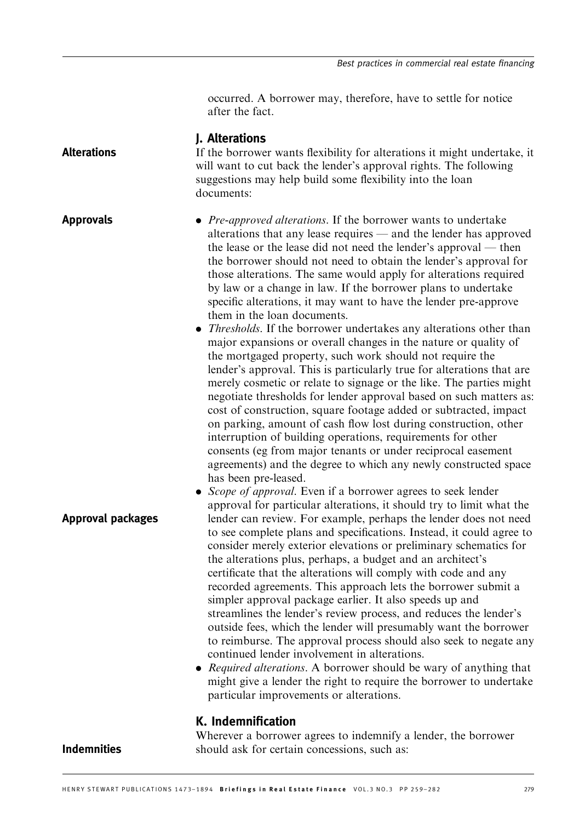occurred. A borrower may, therefore, have to settle for notice after the fact.

| <b>Alterations</b>                    | J. Alterations<br>If the borrower wants flexibility for alterations it might undertake, it<br>will want to cut back the lender's approval rights. The following<br>suggestions may help build some flexibility into the loan<br>documents:                                                                                                                                                                                                                                                                                                                                                                                                                                                                                                                                                                                                                                                                                                                                                                                                                                                                                                                                                                                                                                                                                                                                                                                                                                                                                                                                                                                                                                                                                                                                                                                                                                                                                                                                                                                                                                                                                                                                                                                                                                                                                                                                                                                |
|---------------------------------------|---------------------------------------------------------------------------------------------------------------------------------------------------------------------------------------------------------------------------------------------------------------------------------------------------------------------------------------------------------------------------------------------------------------------------------------------------------------------------------------------------------------------------------------------------------------------------------------------------------------------------------------------------------------------------------------------------------------------------------------------------------------------------------------------------------------------------------------------------------------------------------------------------------------------------------------------------------------------------------------------------------------------------------------------------------------------------------------------------------------------------------------------------------------------------------------------------------------------------------------------------------------------------------------------------------------------------------------------------------------------------------------------------------------------------------------------------------------------------------------------------------------------------------------------------------------------------------------------------------------------------------------------------------------------------------------------------------------------------------------------------------------------------------------------------------------------------------------------------------------------------------------------------------------------------------------------------------------------------------------------------------------------------------------------------------------------------------------------------------------------------------------------------------------------------------------------------------------------------------------------------------------------------------------------------------------------------------------------------------------------------------------------------------------------------|
| <b>Approvals</b><br>Approval packages | • Pre-approved alterations. If the borrower wants to undertake<br>alterations that any lease requires — and the lender has approved<br>the lease or the lease did not need the lender's approval — then<br>the borrower should not need to obtain the lender's approval for<br>those alterations. The same would apply for alterations required<br>by law or a change in law. If the borrower plans to undertake<br>specific alterations, it may want to have the lender pre-approve<br>them in the loan documents.<br>• <i>Thresholds</i> . If the borrower undertakes any alterations other than<br>major expansions or overall changes in the nature or quality of<br>the mortgaged property, such work should not require the<br>lender's approval. This is particularly true for alterations that are<br>merely cosmetic or relate to signage or the like. The parties might<br>negotiate thresholds for lender approval based on such matters as:<br>cost of construction, square footage added or subtracted, impact<br>on parking, amount of cash flow lost during construction, other<br>interruption of building operations, requirements for other<br>consents (eg from major tenants or under reciprocal easement<br>agreements) and the degree to which any newly constructed space<br>has been pre-leased.<br>• Scope of approval. Even if a borrower agrees to seek lender<br>approval for particular alterations, it should try to limit what the<br>lender can review. For example, perhaps the lender does not need<br>to see complete plans and specifications. Instead, it could agree to<br>consider merely exterior elevations or preliminary schematics for<br>the alterations plus, perhaps, a budget and an architect's<br>certificate that the alterations will comply with code and any<br>recorded agreements. This approach lets the borrower submit a<br>simpler approval package earlier. It also speeds up and<br>streamlines the lender's review process, and reduces the lender's<br>outside fees, which the lender will presumably want the borrower<br>to reimburse. The approval process should also seek to negate any<br>continued lender involvement in alterations.<br>• Required alterations. A borrower should be wary of anything that<br>might give a lender the right to require the borrower to undertake<br>particular improvements or alterations.<br>K. Indemnification |
|                                       | Wherever a borrower agrees to indemnify a lender, the borrower                                                                                                                                                                                                                                                                                                                                                                                                                                                                                                                                                                                                                                                                                                                                                                                                                                                                                                                                                                                                                                                                                                                                                                                                                                                                                                                                                                                                                                                                                                                                                                                                                                                                                                                                                                                                                                                                                                                                                                                                                                                                                                                                                                                                                                                                                                                                                            |

# Indemnities

Wherever a borrower agrees to indemnify a lender, the borrower should ask for certain concessions, such as: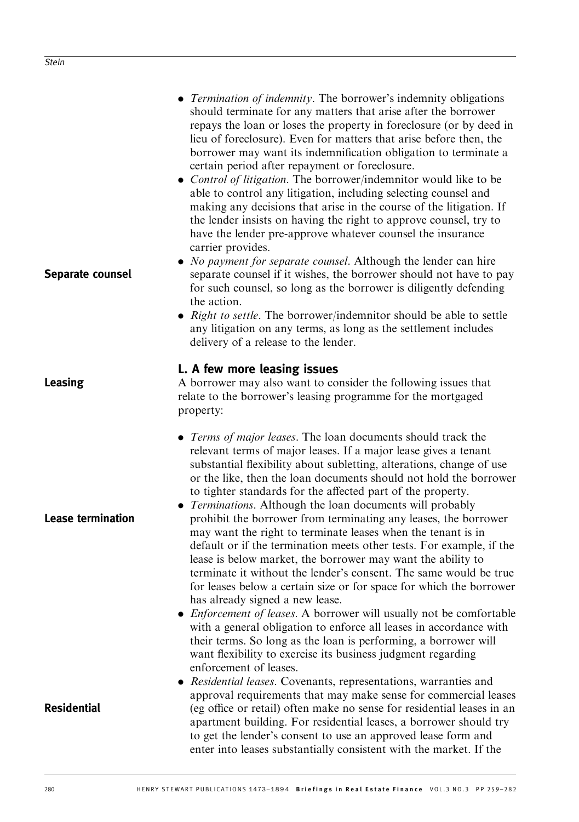| Separate counsel         | • <i>Termination of indemnity</i> . The borrower's indemnity obligations<br>should terminate for any matters that arise after the borrower<br>repays the loan or loses the property in foreclosure (or by deed in<br>lieu of foreclosure). Even for matters that arise before then, the<br>borrower may want its indemnification obligation to terminate a<br>certain period after repayment or foreclosure.<br>• <i>Control of litigation</i> . The borrower/indemnitor would like to be<br>able to control any litigation, including selecting counsel and<br>making any decisions that arise in the course of the litigation. If<br>the lender insists on having the right to approve counsel, try to<br>have the lender pre-approve whatever counsel the insurance<br>carrier provides.<br>• No payment for separate counsel. Although the lender can hire<br>separate counsel if it wishes, the borrower should not have to pay<br>for such counsel, so long as the borrower is diligently defending<br>the action.<br>• Right to settle. The borrower/indemnitor should be able to settle<br>any litigation on any terms, as long as the settlement includes<br>delivery of a release to the lender. |
|--------------------------|------------------------------------------------------------------------------------------------------------------------------------------------------------------------------------------------------------------------------------------------------------------------------------------------------------------------------------------------------------------------------------------------------------------------------------------------------------------------------------------------------------------------------------------------------------------------------------------------------------------------------------------------------------------------------------------------------------------------------------------------------------------------------------------------------------------------------------------------------------------------------------------------------------------------------------------------------------------------------------------------------------------------------------------------------------------------------------------------------------------------------------------------------------------------------------------------------------|
| <b>Leasing</b>           | L. A few more leasing issues<br>A borrower may also want to consider the following issues that<br>relate to the borrower's leasing programme for the mortgaged<br>property:                                                                                                                                                                                                                                                                                                                                                                                                                                                                                                                                                                                                                                                                                                                                                                                                                                                                                                                                                                                                                                |
| <b>Lease termination</b> | • Terms of major leases. The loan documents should track the<br>relevant terms of major leases. If a major lease gives a tenant<br>substantial flexibility about subletting, alterations, change of use<br>or the like, then the loan documents should not hold the borrower<br>to tighter standards for the affected part of the property.<br>• Terminations. Although the loan documents will probably<br>prohibit the borrower from terminating any leases, the borrower<br>may want the right to terminate leases when the tenant is in<br>default or if the termination meets other tests. For example, if the<br>lease is below market, the borrower may want the ability to<br>terminate it without the lender's consent. The same would be true<br>for leases below a certain size or for space for which the borrower<br>has already signed a new lease.                                                                                                                                                                                                                                                                                                                                          |
| <b>Residential</b>       | • <i>Enforcement of leases</i> . A borrower will usually not be comfortable<br>with a general obligation to enforce all leases in accordance with<br>their terms. So long as the loan is performing, a borrower will<br>want flexibility to exercise its business judgment regarding<br>enforcement of leases.<br>Residential leases. Covenants, representations, warranties and<br>approval requirements that may make sense for commercial leases<br>(eg office or retail) often make no sense for residential leases in an<br>apartment building. For residential leases, a borrower should try<br>to get the lender's consent to use an approved lease form and                                                                                                                                                                                                                                                                                                                                                                                                                                                                                                                                        |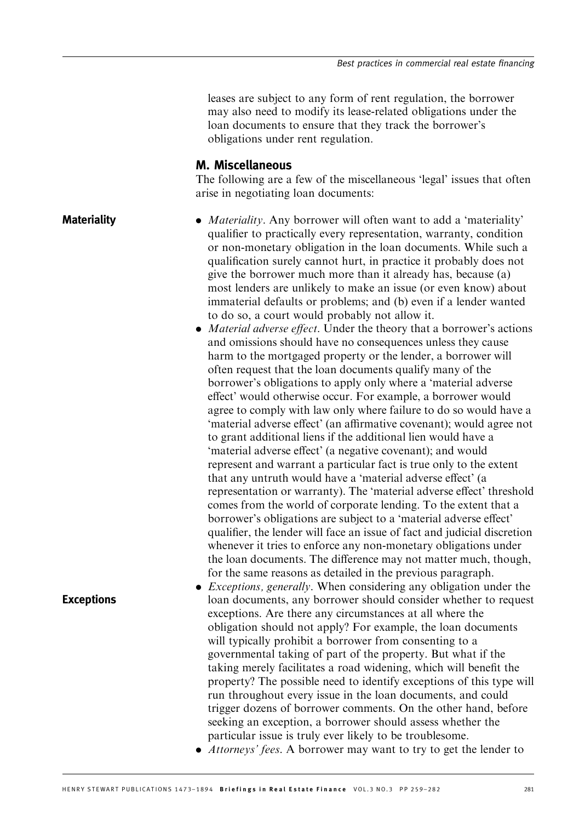leases are subject to any form of rent regulation, the borrower may also need to modify its lease-related obligations under the loan documents to ensure that they track the borrower's obligations under rent regulation.

#### M. Miscellaneous

The following are a few of the miscellaneous 'legal' issues that often arise in negotiating loan documents:

#### • *Materiality*. Any borrower will often want to add a 'materiality' qualifier to practically every representation, warranty, condition or non-monetary obligation in the loan documents. While such a **Materiality**

- qualification surely cannot hurt, in practice it probably does not give the borrower much more than it already has, because (a) most lenders are unlikely to make an issue (or even know) about immaterial defaults or problems; and (b) even if a lender wanted to do so, a court would probably not allow it.
- Material adverse effect. Under the theory that a borrower's actions and omissions should have no consequences unless they cause harm to the mortgaged property or the lender, a borrower will often request that the loan documents qualify many of the borrower's obligations to apply only where a 'material adverse effect' would otherwise occur. For example, a borrower would agree to comply with law only where failure to do so would have a 'material adverse effect' (an affirmative covenant); would agree not to grant additional liens if the additional lien would have a 'material adverse effect' (a negative covenant); and would represent and warrant a particular fact is true only to the extent that any untruth would have a 'material adverse effect' (a representation or warranty). The 'material adverse effect' threshold comes from the world of corporate lending. To the extent that a borrower's obligations are subject to a 'material adverse effect' qualifier, the lender will face an issue of fact and judicial discretion whenever it tries to enforce any non-monetary obligations under the loan documents. The difference may not matter much, though, for the same reasons as detailed in the previous paragraph.
- *Exceptions, generally*. When considering any obligation under the loan documents, any borrower should consider whether to request exceptions. Are there any circumstances at all where the obligation should not apply? For example, the loan documents will typically prohibit a borrower from consenting to a governmental taking of part of the property. But what if the taking merely facilitates a road widening, which will benefit the property? The possible need to identify exceptions of this type will run throughout every issue in the loan documents, and could trigger dozens of borrower comments. On the other hand, before seeking an exception, a borrower should assess whether the particular issue is truly ever likely to be troublesome.
- Attorneys' fees. A borrower may want to try to get the lender to

Exceptions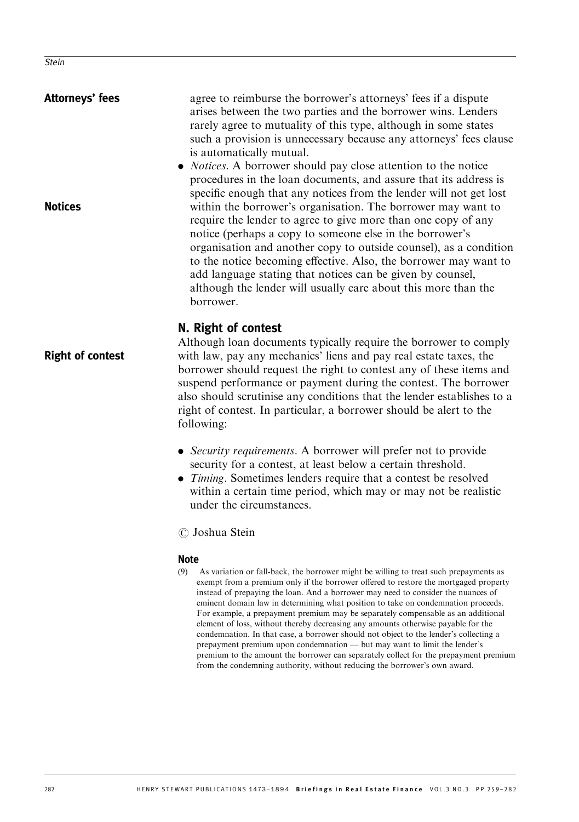| <b>Attorneys' fees</b><br><b>Notices</b> | agree to reimburse the borrower's attorneys' fees if a dispute<br>arises between the two parties and the borrower wins. Lenders<br>rarely agree to mutuality of this type, although in some states<br>such a provision is unnecessary because any attorneys' fees clause<br>is automatically mutual.<br>• <i>Notices</i> . A borrower should pay close attention to the notice<br>procedures in the loan documents, and assure that its address is<br>specific enough that any notices from the lender will not get lost<br>within the borrower's organisation. The borrower may want to<br>require the lender to agree to give more than one copy of any<br>notice (perhaps a copy to someone else in the borrower's<br>organisation and another copy to outside counsel), as a condition<br>to the notice becoming effective. Also, the borrower may want to<br>add language stating that notices can be given by counsel,<br>although the lender will usually care about this more than the<br>borrower. |
|------------------------------------------|-------------------------------------------------------------------------------------------------------------------------------------------------------------------------------------------------------------------------------------------------------------------------------------------------------------------------------------------------------------------------------------------------------------------------------------------------------------------------------------------------------------------------------------------------------------------------------------------------------------------------------------------------------------------------------------------------------------------------------------------------------------------------------------------------------------------------------------------------------------------------------------------------------------------------------------------------------------------------------------------------------------|
| <b>Right of contest</b>                  | N. Right of contest<br>Although loan documents typically require the borrower to comply<br>with law, pay any mechanics' liens and pay real estate taxes, the<br>borrower should request the right to contest any of these items and<br>suspend performance or payment during the contest. The borrower<br>also should scrutinise any conditions that the lender establishes to a<br>right of contest. In particular, a borrower should be alert to the<br>following:                                                                                                                                                                                                                                                                                                                                                                                                                                                                                                                                        |
|                                          | • Security requirements. A borrower will prefer not to provide<br>security for a contest, at least below a certain threshold.<br>• Timing. Sometimes lenders require that a contest be resolved<br>within a certain time period, which may or may not be realistic<br>under the circumstances.                                                                                                                                                                                                                                                                                                                                                                                                                                                                                                                                                                                                                                                                                                              |
|                                          | © Joshua Stein                                                                                                                                                                                                                                                                                                                                                                                                                                                                                                                                                                                                                                                                                                                                                                                                                                                                                                                                                                                              |
|                                          | <b>Note</b>                                                                                                                                                                                                                                                                                                                                                                                                                                                                                                                                                                                                                                                                                                                                                                                                                                                                                                                                                                                                 |
|                                          | As variation or fall-back, the borrower might be willing to treat such prepayments as<br>(9)<br>exempt from a premium only if the borrower offered to restore the mortgaged property<br>instead of prepaying the loan. And a borrower may need to consider the nuances of<br>eminent domain law in determining what position to take on condemnation proceeds.<br>For example, a prepayment premium may be separately compensable as an additional<br>element of loss, without thereby decreasing any amounts otherwise payable for the<br>condemnation. In that case, a borrower should not object to the lender's collecting a<br>prepayment premium upon condemnation - but may want to limit the lender's<br>premium to the amount the borrower can separately collect for the prepayment premium<br>from the condemning authority, without reducing the borrower's own award.                                                                                                                          |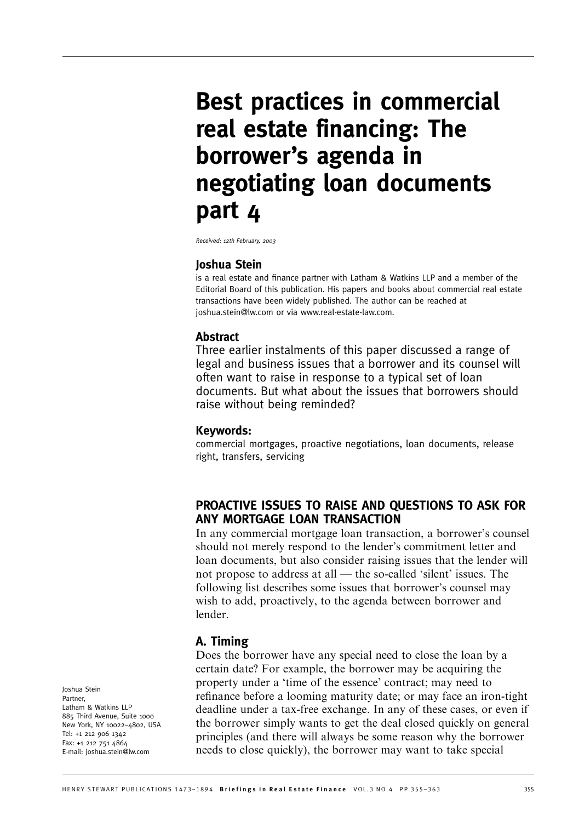# Best practices in commercial real estate financing: The borrower's agenda in negotiating loan documents part 4

Received: 12th February, 2003

### Joshua Stein

is a real estate and finance partner with Latham & Watkins LLP and a member of the Editorial Board of this publication. His papers and books about commercial real estate transactions have been widely published. The author can be reached at joshua.stein@lw.com or via www.real-estate-law.com.

### Abstract

Three earlier instalments of this paper discussed a range of legal and business issues that a borrower and its counsel will often want to raise in response to a typical set of loan documents. But what about the issues that borrowers should raise without being reminded?

#### Keywords:

commercial mortgages, proactive negotiations, loan documents, release right, transfers, servicing

# PROACTIVE ISSUES TO RAISE AND QUESTIONS TO ASK FOR ANY MORTGAGE LOAN TRANSACTION

In any commercial mortgage loan transaction, a borrower's counsel should not merely respond to the lender's commitment letter and loan documents, but also consider raising issues that the lender will not propose to address at all — the so-called 'silent' issues. The following list describes some issues that borrower's counsel may wish to add, proactively, to the agenda between borrower and lender.

# A. Timing

Does the borrower have any special need to close the loan by a certain date? For example, the borrower may be acquiring the property under a 'time of the essence' contract; may need to refinance before a looming maturity date; or may face an iron-tight deadline under a tax-free exchange. In any of these cases, or even if the borrower simply wants to get the deal closed quickly on general principles (and there will always be some reason why the borrower needs to close quickly), the borrower may want to take special

Joshua Stein Partner, Latham & Watkins LLP 885 Third Avenue, Suite 1000 New York, NY 10022–4802, USA Tel: +1 212 906 1342 Fax: +1 212 751 4864 E-mail: joshua.stein@lw.com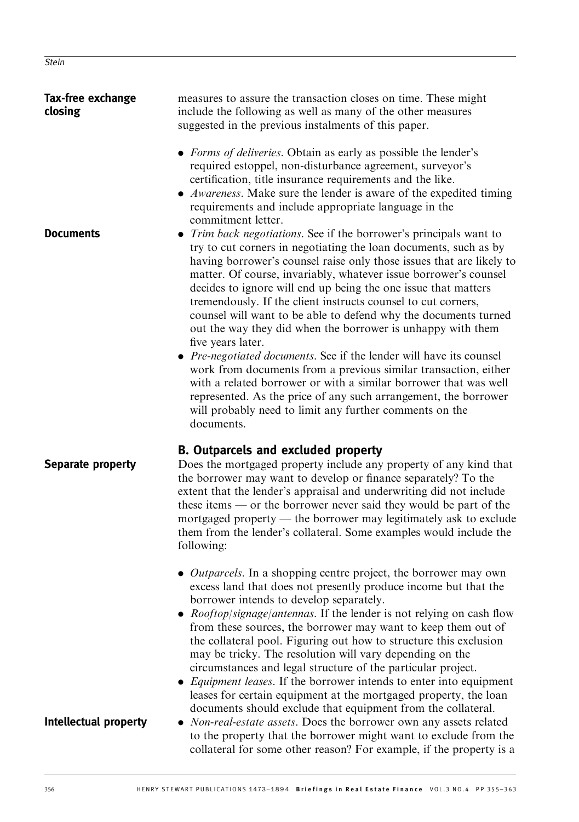| Tax-free exchange<br>closing | measures to assure the transaction closes on time. These might<br>include the following as well as many of the other measures<br>suggested in the previous instalments of this paper.                                                                                                                                                                                                                                                                                                                                                                                                                                                                                                                                                                                                                                                                                                                                                                                                                                                                                                                                                                                                                                 |
|------------------------------|-----------------------------------------------------------------------------------------------------------------------------------------------------------------------------------------------------------------------------------------------------------------------------------------------------------------------------------------------------------------------------------------------------------------------------------------------------------------------------------------------------------------------------------------------------------------------------------------------------------------------------------------------------------------------------------------------------------------------------------------------------------------------------------------------------------------------------------------------------------------------------------------------------------------------------------------------------------------------------------------------------------------------------------------------------------------------------------------------------------------------------------------------------------------------------------------------------------------------|
| <b>Documents</b>             | • Forms of deliveries. Obtain as early as possible the lender's<br>required estoppel, non-disturbance agreement, surveyor's<br>certification, title insurance requirements and the like.<br>• <i>Awareness</i> . Make sure the lender is aware of the expedited timing<br>requirements and include appropriate language in the<br>commitment letter.<br>• Trim back negotiations. See if the borrower's principals want to<br>try to cut corners in negotiating the loan documents, such as by<br>having borrower's counsel raise only those issues that are likely to<br>matter. Of course, invariably, whatever issue borrower's counsel<br>decides to ignore will end up being the one issue that matters<br>tremendously. If the client instructs counsel to cut corners,<br>counsel will want to be able to defend why the documents turned<br>out the way they did when the borrower is unhappy with them<br>five years later.<br>• Pre-negotiated documents. See if the lender will have its counsel<br>work from documents from a previous similar transaction, either<br>with a related borrower or with a similar borrower that was well<br>represented. As the price of any such arrangement, the borrower |
|                              | will probably need to limit any further comments on the<br>documents.                                                                                                                                                                                                                                                                                                                                                                                                                                                                                                                                                                                                                                                                                                                                                                                                                                                                                                                                                                                                                                                                                                                                                 |
| <b>Separate property</b>     | <b>B. Outparcels and excluded property</b><br>Does the mortgaged property include any property of any kind that<br>the borrower may want to develop or finance separately? To the<br>extent that the lender's appraisal and underwriting did not include<br>these items $-$ or the borrower never said they would be part of the<br>mortgaged property — the borrower may legitimately ask to exclude<br>them from the lender's collateral. Some examples would include the<br>following:                                                                                                                                                                                                                                                                                                                                                                                                                                                                                                                                                                                                                                                                                                                             |
|                              | • Outparcels. In a shopping centre project, the borrower may own<br>excess land that does not presently produce income but that the<br>borrower intends to develop separately.<br><i>Rooftop/signage/antennas.</i> If the lender is not relying on cash flow<br>from these sources, the borrower may want to keep them out of<br>the collateral pool. Figuring out how to structure this exclusion<br>may be tricky. The resolution will vary depending on the<br>circumstances and legal structure of the particular project.<br>Equipment leases. If the borrower intends to enter into equipment<br>leases for certain equipment at the mortgaged property, the loan<br>documents should exclude that equipment from the collateral.                                                                                                                                                                                                                                                                                                                                                                                                                                                                               |
| <b>Intellectual property</b> | • Non-real-estate assets. Does the borrower own any assets related<br>to the property that the borrower might want to exclude from the<br>collateral for some other reason? For example, if the property is a                                                                                                                                                                                                                                                                                                                                                                                                                                                                                                                                                                                                                                                                                                                                                                                                                                                                                                                                                                                                         |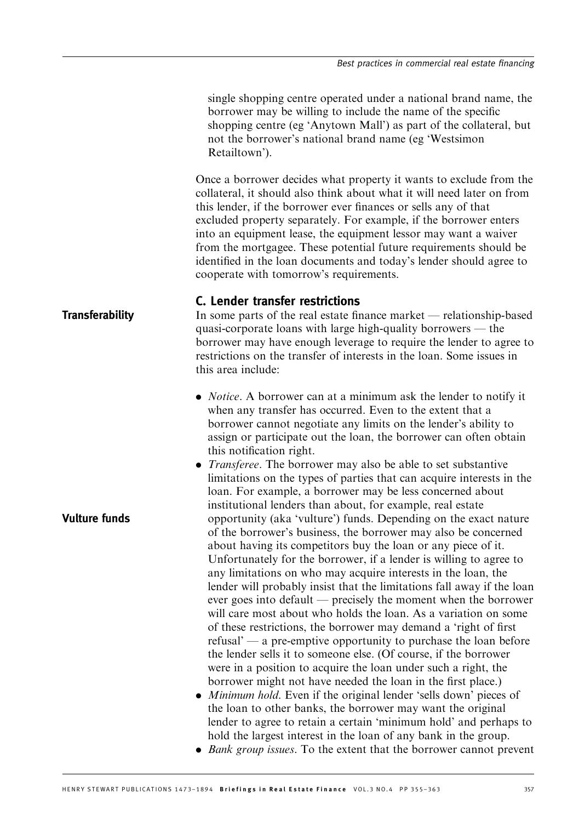single shopping centre operated under a national brand name, the borrower may be willing to include the name of the specific shopping centre (eg 'Anytown Mall') as part of the collateral, but not the borrower's national brand name (eg 'Westsimon Retailtown').

Once a borrower decides what property it wants to exclude from the collateral, it should also think about what it will need later on from this lender, if the borrower ever finances or sells any of that excluded property separately. For example, if the borrower enters into an equipment lease, the equipment lessor may want a waiver from the mortgagee. These potential future requirements should be identified in the loan documents and today's lender should agree to cooperate with tomorrow's requirements.

### C. Lender transfer restrictions

In some parts of the real estate finance market — relationship-based quasi-corporate loans with large high-quality borrowers — the borrower may have enough leverage to require the lender to agree to restrictions on the transfer of interests in the loan. Some issues in this area include:

- *Notice*. A borrower can at a minimum ask the lender to notify it when any transfer has occurred. Even to the extent that a borrower cannot negotiate any limits on the lender's ability to assign or participate out the loan, the borrower can often obtain this notification right.
- *Transferee*. The borrower may also be able to set substantive limitations on the types of parties that can acquire interests in the loan. For example, a borrower may be less concerned about institutional lenders than about, for example, real estate opportunity (aka 'vulture') funds. Depending on the exact nature of the borrower's business, the borrower may also be concerned about having its competitors buy the loan or any piece of it. Unfortunately for the borrower, if a lender is willing to agree to any limitations on who may acquire interests in the loan, the lender will probably insist that the limitations fall away if the loan ever goes into default — precisely the moment when the borrower will care most about who holds the loan. As a variation on some of these restrictions, the borrower may demand a 'right of first refusal' — a pre-emptive opportunity to purchase the loan before the lender sells it to someone else. (Of course, if the borrower were in a position to acquire the loan under such a right, the borrower might not have needed the loan in the first place.)
- . Minimum hold. Even if the original lender 'sells down' pieces of the loan to other banks, the borrower may want the original lender to agree to retain a certain 'minimum hold' and perhaps to hold the largest interest in the loan of any bank in the group.
- Bank group issues. To the extent that the borrower cannot prevent

### **Transferability**

Vulture funds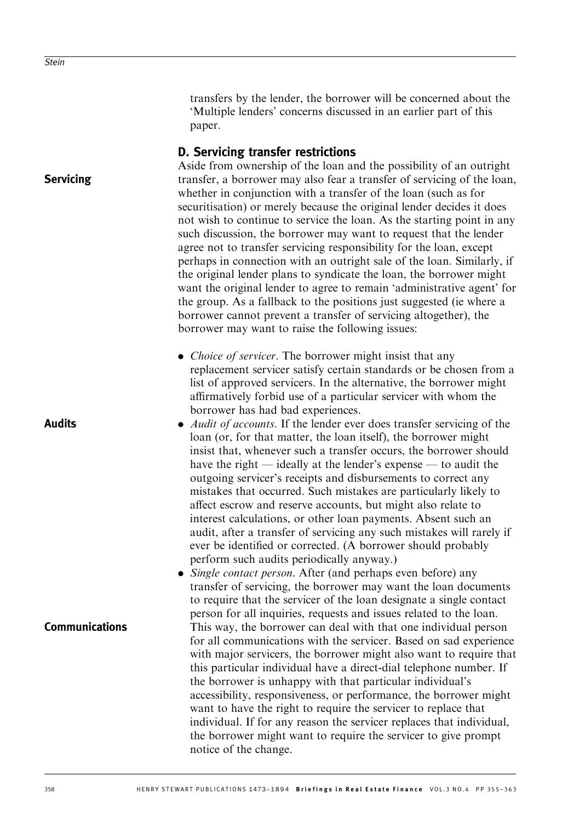transfers by the lender, the borrower will be concerned about the 'Multiple lenders' concerns discussed in an earlier part of this paper.

# D. Servicing transfer restrictions

### **Servicing**

Aside from ownership of the loan and the possibility of an outright transfer, a borrower may also fear a transfer of servicing of the loan, whether in conjunction with a transfer of the loan (such as for securitisation) or merely because the original lender decides it does not wish to continue to service the loan. As the starting point in any such discussion, the borrower may want to request that the lender agree not to transfer servicing responsibility for the loan, except perhaps in connection with an outright sale of the loan. Similarly, if the original lender plans to syndicate the loan, the borrower might want the original lender to agree to remain 'administrative agent' for the group. As a fallback to the positions just suggested (ie where a borrower cannot prevent a transfer of servicing altogether), the borrower may want to raise the following issues:

- *Choice of servicer*. The borrower might insist that any replacement servicer satisfy certain standards or be chosen from a list of approved servicers. In the alternative, the borrower might affirmatively forbid use of a particular servicer with whom the borrower has had bad experiences.
- *Audit of accounts*. If the lender ever does transfer servicing of the loan (or, for that matter, the loan itself), the borrower might insist that, whenever such a transfer occurs, the borrower should have the right — ideally at the lender's expense — to audit the outgoing servicer's receipts and disbursements to correct any mistakes that occurred. Such mistakes are particularly likely to affect escrow and reserve accounts, but might also relate to interest calculations, or other loan payments. Absent such an audit, after a transfer of servicing any such mistakes will rarely if ever be identified or corrected. (A borrower should probably perform such audits periodically anyway.)
- Single contact person. After (and perhaps even before) any transfer of servicing, the borrower may want the loan documents to require that the servicer of the loan designate a single contact person for all inquiries, requests and issues related to the loan. This way, the borrower can deal with that one individual person for all communications with the servicer. Based on sad experience with major servicers, the borrower might also want to require that this particular individual have a direct-dial telephone number. If the borrower is unhappy with that particular individual's accessibility, responsiveness, or performance, the borrower might want to have the right to require the servicer to replace that individual. If for any reason the servicer replaces that individual, the borrower might want to require the servicer to give prompt notice of the change.

Audits

Communications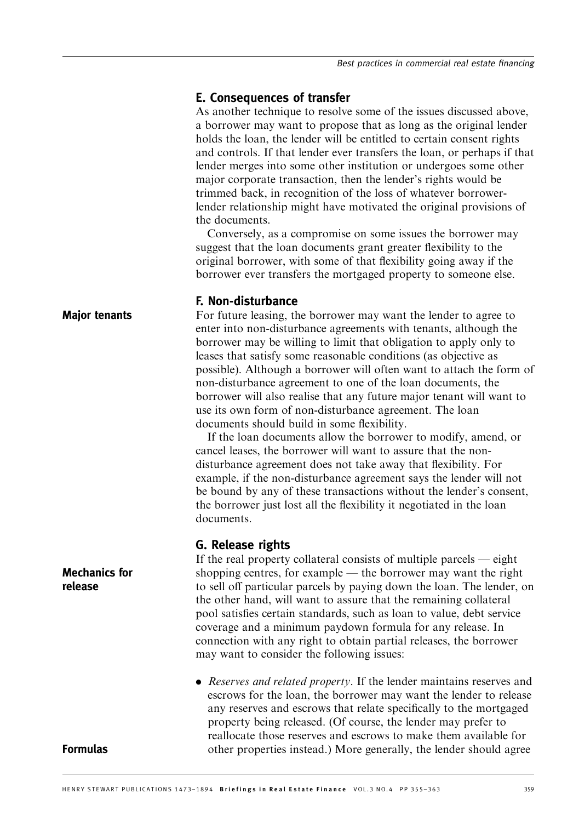# E. Consequences of transfer

As another technique to resolve some of the issues discussed above, a borrower may want to propose that as long as the original lender holds the loan, the lender will be entitled to certain consent rights and controls. If that lender ever transfers the loan, or perhaps if that lender merges into some other institution or undergoes some other major corporate transaction, then the lender's rights would be trimmed back, in recognition of the loss of whatever borrowerlender relationship might have motivated the original provisions of the documents.

Conversely, as a compromise on some issues the borrower may suggest that the loan documents grant greater flexibility to the original borrower, with some of that flexibility going away if the borrower ever transfers the mortgaged property to someone else.

#### F. Non-disturbance

For future leasing, the borrower may want the lender to agree to enter into non-disturbance agreements with tenants, although the borrower may be willing to limit that obligation to apply only to leases that satisfy some reasonable conditions (as objective as possible). Although a borrower will often want to attach the form of non-disturbance agreement to one of the loan documents, the borrower will also realise that any future major tenant will want to use its own form of non-disturbance agreement. The loan documents should build in some flexibility.

If the loan documents allow the borrower to modify, amend, or cancel leases, the borrower will want to assure that the nondisturbance agreement does not take away that flexibility. For example, if the non-disturbance agreement says the lender will not be bound by any of these transactions without the lender's consent, the borrower just lost all the flexibility it negotiated in the loan documents.

#### G. Release rights

If the real property collateral consists of multiple parcels — eight shopping centres, for example — the borrower may want the right to sell off particular parcels by paying down the loan. The lender, on the other hand, will want to assure that the remaining collateral pool satisfies certain standards, such as loan to value, debt service coverage and a minimum paydown formula for any release. In connection with any right to obtain partial releases, the borrower may want to consider the following issues:

• Reserves and related property. If the lender maintains reserves and escrows for the loan, the borrower may want the lender to release any reserves and escrows that relate specifically to the mortgaged property being released. (Of course, the lender may prefer to reallocate those reserves and escrows to make them available for other properties instead.) More generally, the lender should agree

#### Major tenants

Mechanics for release

Formulas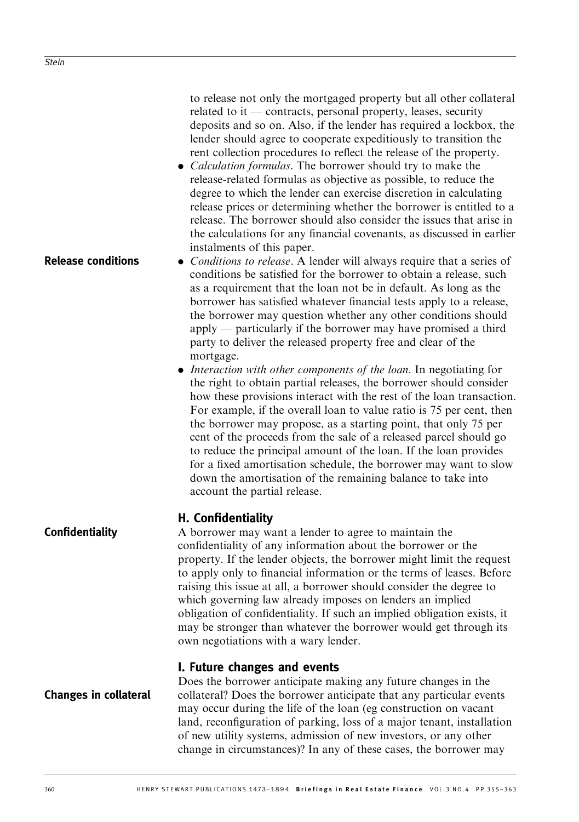to release not only the mortgaged property but all other collateral related to it — contracts, personal property, leases, security deposits and so on. Also, if the lender has required a lockbox, the lender should agree to cooperate expeditiously to transition the rent collection procedures to reflect the release of the property.

- Calculation formulas. The borrower should try to make the release-related formulas as objective as possible, to reduce the degree to which the lender can exercise discretion in calculating release prices or determining whether the borrower is entitled to a release. The borrower should also consider the issues that arise in the calculations for any financial covenants, as discussed in earlier instalments of this paper.
- . Conditions to release. A lender will always require that a series of conditions be satisfied for the borrower to obtain a release, such as a requirement that the loan not be in default. As long as the borrower has satisfied whatever financial tests apply to a release, the borrower may question whether any other conditions should apply — particularly if the borrower may have promised a third party to deliver the released property free and clear of the mortgage. Release conditions
	- Interaction with other components of the loan. In negotiating for the right to obtain partial releases, the borrower should consider how these provisions interact with the rest of the loan transaction. For example, if the overall loan to value ratio is 75 per cent, then the borrower may propose, as a starting point, that only 75 per cent of the proceeds from the sale of a released parcel should go to reduce the principal amount of the loan. If the loan provides for a fixed amortisation schedule, the borrower may want to slow down the amortisation of the remaining balance to take into account the partial release.

### H. Confidentiality

A borrower may want a lender to agree to maintain the confidentiality of any information about the borrower or the property. If the lender objects, the borrower might limit the request to apply only to financial information or the terms of leases. Before raising this issue at all, a borrower should consider the degree to which governing law already imposes on lenders an implied obligation of confidentiality. If such an implied obligation exists, it may be stronger than whatever the borrower would get through its own negotiations with a wary lender. **Confidentiality** 

### I. Future changes and events

Changes in collateral

Does the borrower anticipate making any future changes in the collateral? Does the borrower anticipate that any particular events may occur during the life of the loan (eg construction on vacant land, reconfiguration of parking, loss of a major tenant, installation of new utility systems, admission of new investors, or any other change in circumstances)? In any of these cases, the borrower may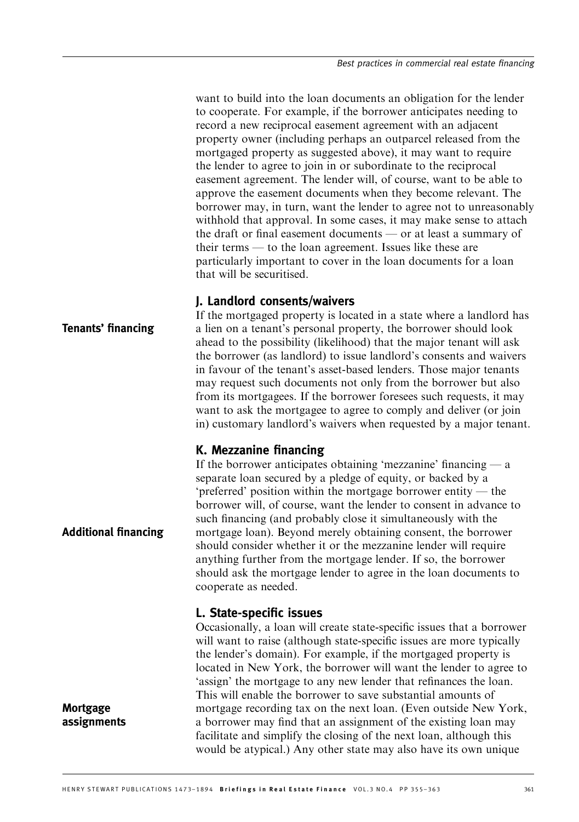want to build into the loan documents an obligation for the lender to cooperate. For example, if the borrower anticipates needing to record a new reciprocal easement agreement with an adjacent property owner (including perhaps an outparcel released from the mortgaged property as suggested above), it may want to require the lender to agree to join in or subordinate to the reciprocal easement agreement. The lender will, of course, want to be able to approve the easement documents when they become relevant. The borrower may, in turn, want the lender to agree not to unreasonably withhold that approval. In some cases, it may make sense to attach the draft or final easement documents — or at least a summary of their terms — to the loan agreement. Issues like these are particularly important to cover in the loan documents for a loan that will be securitised.

# J. Landlord consents/waivers

If the mortgaged property is located in a state where a landlord has a lien on a tenant's personal property, the borrower should look ahead to the possibility (likelihood) that the major tenant will ask the borrower (as landlord) to issue landlord's consents and waivers in favour of the tenant's asset-based lenders. Those major tenants may request such documents not only from the borrower but also from its mortgagees. If the borrower foresees such requests, it may want to ask the mortgagee to agree to comply and deliver (or join in) customary landlord's waivers when requested by a major tenant. Tenants' financing

# K. Mezzanine financing

If the borrower anticipates obtaining 'mezzanine' financing  $-$  a separate loan secured by a pledge of equity, or backed by a 'preferred' position within the mortgage borrower entity — the borrower will, of course, want the lender to consent in advance to such financing (and probably close it simultaneously with the mortgage loan). Beyond merely obtaining consent, the borrower should consider whether it or the mezzanine lender will require anything further from the mortgage lender. If so, the borrower should ask the mortgage lender to agree in the loan documents to cooperate as needed.

# L. State-specific issues

Occasionally, a loan will create state-specific issues that a borrower will want to raise (although state-specific issues are more typically the lender's domain). For example, if the mortgaged property is located in New York, the borrower will want the lender to agree to 'assign' the mortgage to any new lender that refinances the loan. This will enable the borrower to save substantial amounts of mortgage recording tax on the next loan. (Even outside New York, a borrower may find that an assignment of the existing loan may facilitate and simplify the closing of the next loan, although this would be atypical.) Any other state may also have its own unique

Additional financing

Mortgage assignments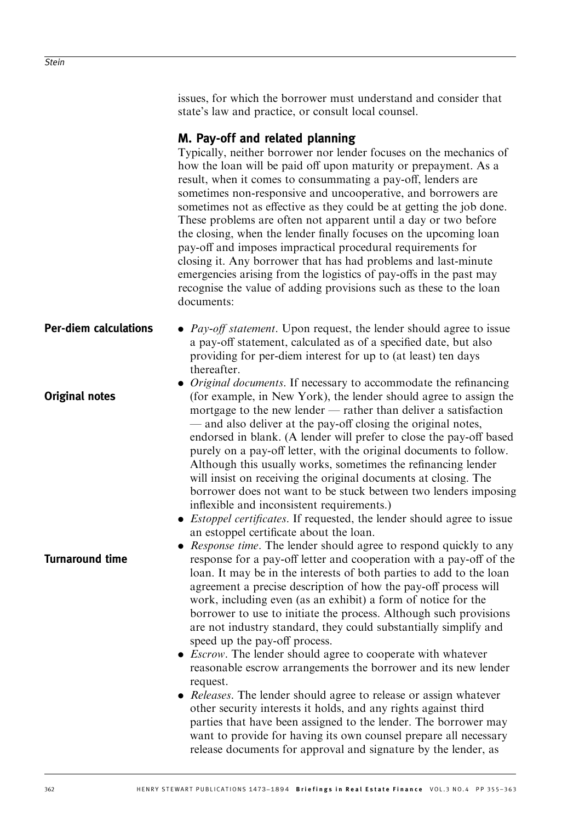issues, for which the borrower must understand and consider that state's law and practice, or consult local counsel.

# M. Pay-off and related planning

Typically, neither borrower nor lender focuses on the mechanics of how the loan will be paid off upon maturity or prepayment. As a result, when it comes to consummating a pay-off, lenders are sometimes non-responsive and uncooperative, and borrowers are sometimes not as effective as they could be at getting the job done. These problems are often not apparent until a day or two before the closing, when the lender finally focuses on the upcoming loan pay-off and imposes impractical procedural requirements for closing it. Any borrower that has had problems and last-minute emergencies arising from the logistics of pay-offs in the past may recognise the value of adding provisions such as these to the loan documents:

- $\bullet$  *Pay-off statement*. Upon request, the lender should agree to issue a pay-off statement, calculated as of a specified date, but also providing for per-diem interest for up to (at least) ten days thereafter. Per-diem calculations
	- Original documents. If necessary to accommodate the refinancing (for example, in New York), the lender should agree to assign the mortgage to the new lender — rather than deliver a satisfaction — and also deliver at the pay-off closing the original notes, endorsed in blank. (A lender will prefer to close the pay-off based purely on a pay-off letter, with the original documents to follow. Although this usually works, sometimes the refinancing lender will insist on receiving the original documents at closing. The borrower does not want to be stuck between two lenders imposing inflexible and inconsistent requirements.)
		- *Estoppel certificates*. If requested, the lender should agree to issue an estoppel certificate about the loan.
		- Response time. The lender should agree to respond quickly to any response for a pay-off letter and cooperation with a pay-off of the loan. It may be in the interests of both parties to add to the loan agreement a precise description of how the pay-off process will work, including even (as an exhibit) a form of notice for the borrower to use to initiate the process. Although such provisions are not industry standard, they could substantially simplify and speed up the pay-off process.
		- *Escrow*. The lender should agree to cooperate with whatever reasonable escrow arrangements the borrower and its new lender request.
		- *Releases*. The lender should agree to release or assign whatever other security interests it holds, and any rights against third parties that have been assigned to the lender. The borrower may want to provide for having its own counsel prepare all necessary release documents for approval and signature by the lender, as

Turnaround time

Original notes